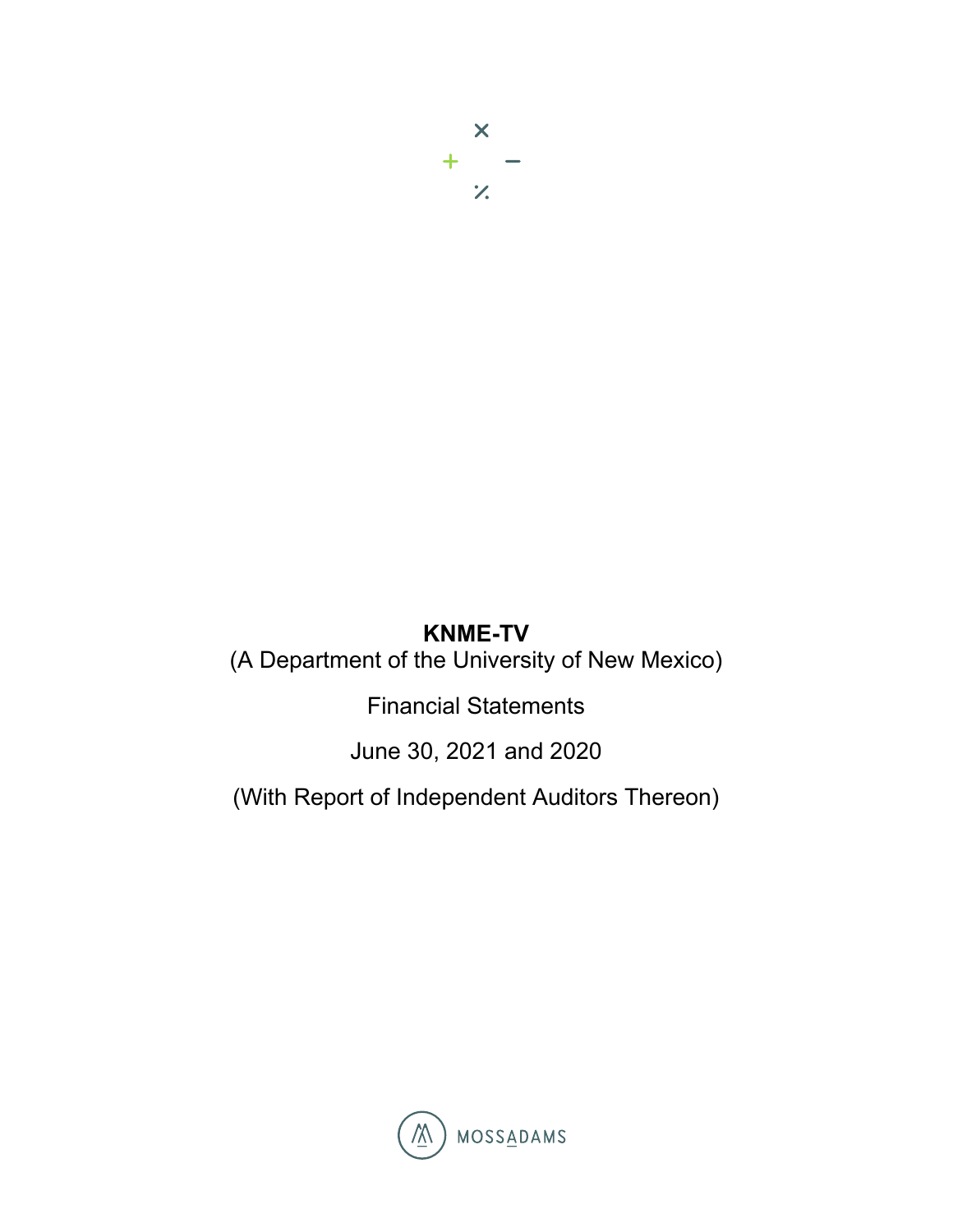$\overline{\mathsf{x}}$  $+$   $\mathcal{Z}$ 

# **KNME-TV**

(A Department of the University of New Mexico)

Financial Statements

June 30, 2021 and 2020

(With Report of Independent Auditors Thereon)

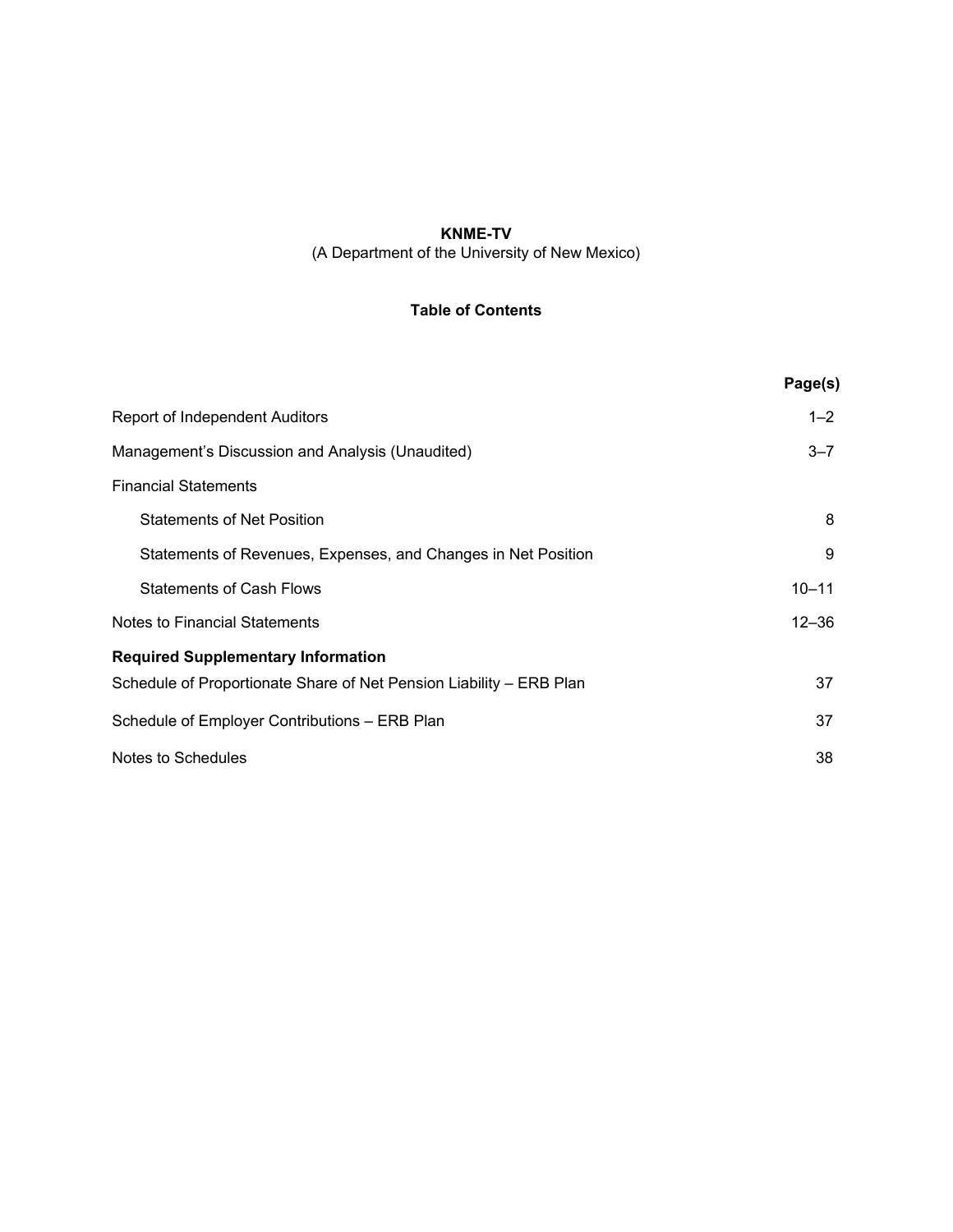### **KNME-TV**  (A Department of the University of New Mexico)

### **Table of Contents**

|                                                                     | Page(s)   |
|---------------------------------------------------------------------|-----------|
| <b>Report of Independent Auditors</b>                               | $1 - 2$   |
| Management's Discussion and Analysis (Unaudited)                    | $3 - 7$   |
| <b>Financial Statements</b>                                         |           |
| <b>Statements of Net Position</b>                                   | 8         |
| Statements of Revenues, Expenses, and Changes in Net Position       | 9         |
| <b>Statements of Cash Flows</b>                                     | $10 - 11$ |
| Notes to Financial Statements                                       | $12 - 36$ |
| <b>Required Supplementary Information</b>                           |           |
| Schedule of Proportionate Share of Net Pension Liability - ERB Plan | 37        |
| Schedule of Employer Contributions - ERB Plan                       | 37        |
| Notes to Schedules                                                  | 38        |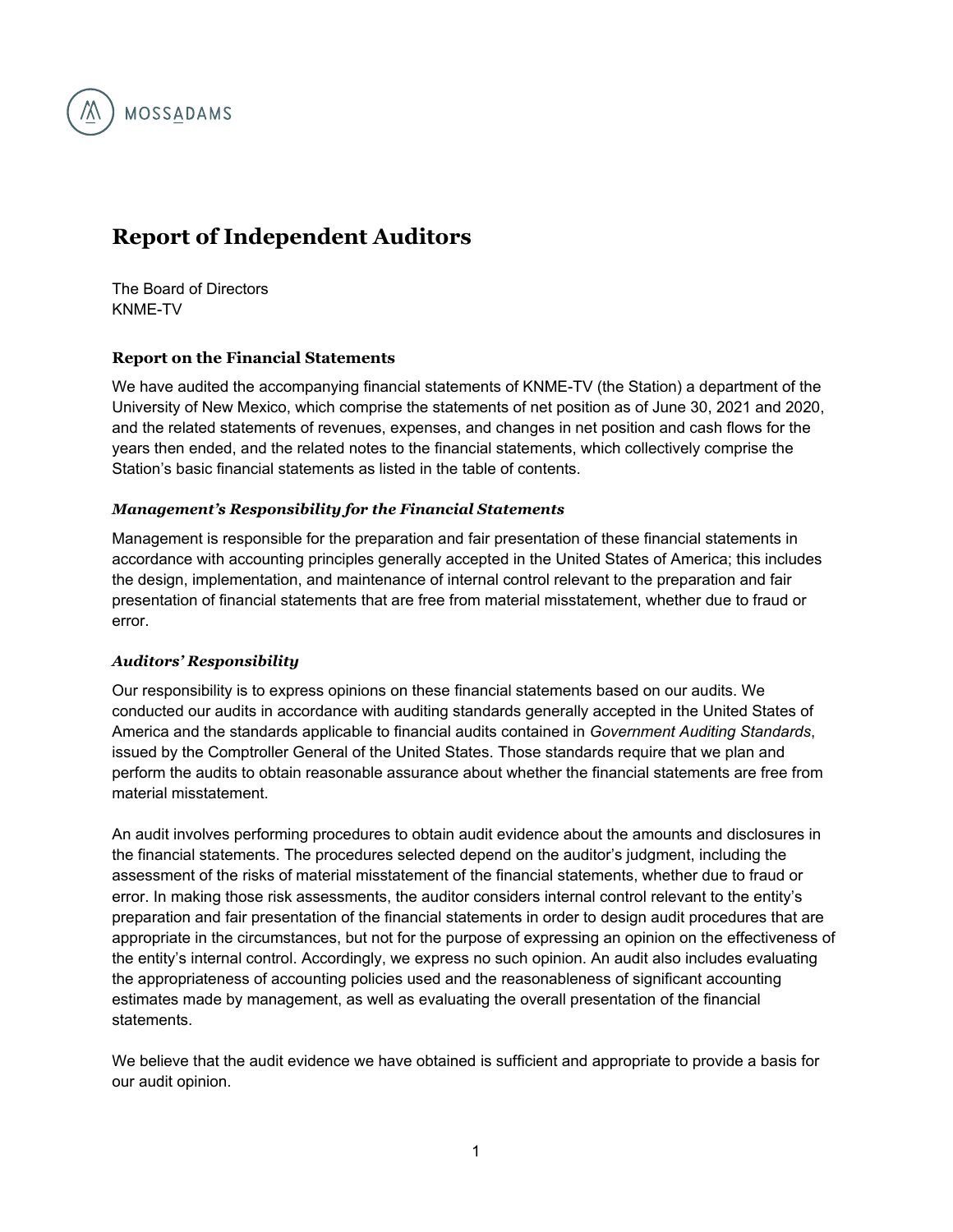

# **Report of Independent Auditors**

The Board of Directors KNME-TV

### **Report on the Financial Statements**

We have audited the accompanying financial statements of KNME-TV (the Station) a department of the University of New Mexico, which comprise the statements of net position as of June 30, 2021 and 2020, and the related statements of revenues, expenses, and changes in net position and cash flows for the years then ended, and the related notes to the financial statements, which collectively comprise the Station's basic financial statements as listed in the table of contents.

### *Management's Responsibility for the Financial Statements*

Management is responsible for the preparation and fair presentation of these financial statements in accordance with accounting principles generally accepted in the United States of America; this includes the design, implementation, and maintenance of internal control relevant to the preparation and fair presentation of financial statements that are free from material misstatement, whether due to fraud or error.

#### *Auditors' Responsibility*

Our responsibility is to express opinions on these financial statements based on our audits. We conducted our audits in accordance with auditing standards generally accepted in the United States of America and the standards applicable to financial audits contained in *Government Auditing Standards*, issued by the Comptroller General of the United States. Those standards require that we plan and perform the audits to obtain reasonable assurance about whether the financial statements are free from material misstatement.

An audit involves performing procedures to obtain audit evidence about the amounts and disclosures in the financial statements. The procedures selected depend on the auditor's judgment, including the assessment of the risks of material misstatement of the financial statements, whether due to fraud or error. In making those risk assessments, the auditor considers internal control relevant to the entity's preparation and fair presentation of the financial statements in order to design audit procedures that are appropriate in the circumstances, but not for the purpose of expressing an opinion on the effectiveness of the entity's internal control. Accordingly, we express no such opinion. An audit also includes evaluating the appropriateness of accounting policies used and the reasonableness of significant accounting estimates made by management, as well as evaluating the overall presentation of the financial statements.

We believe that the audit evidence we have obtained is sufficient and appropriate to provide a basis for our audit opinion.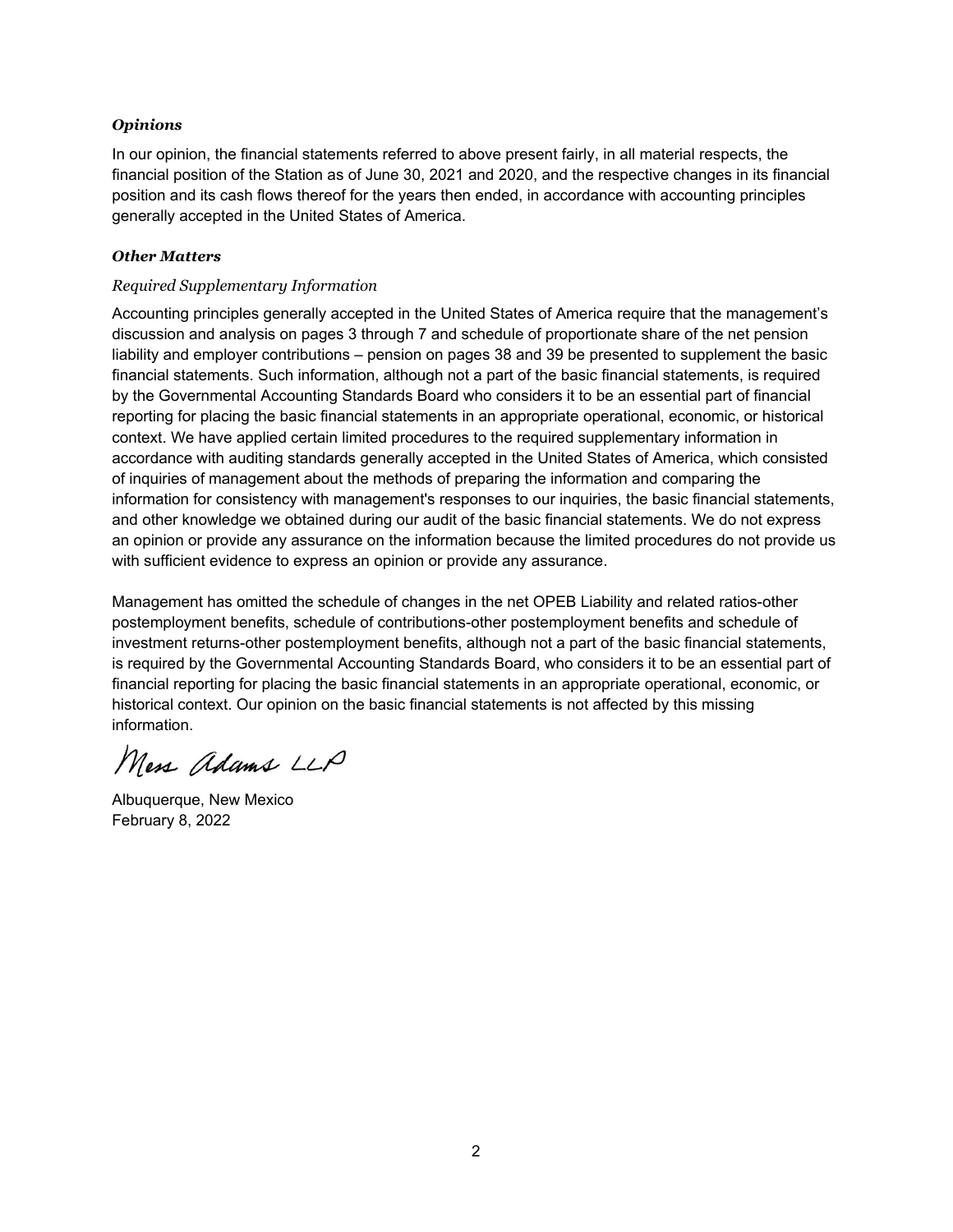### *Opinions*

In our opinion, the financial statements referred to above present fairly, in all material respects, the financial position of the Station as of June 30, 2021 and 2020, and the respective changes in its financial position and its cash flows thereof for the years then ended, in accordance with accounting principles generally accepted in the United States of America.

#### *Other Matters*

### *Required Supplementary Information*

Accounting principles generally accepted in the United States of America require that the management's discussion and analysis on pages 3 through 7 and schedule of proportionate share of the net pension liability and employer contributions – pension on pages 38 and 39 be presented to supplement the basic financial statements. Such information, although not a part of the basic financial statements, is required by the Governmental Accounting Standards Board who considers it to be an essential part of financial reporting for placing the basic financial statements in an appropriate operational, economic, or historical context. We have applied certain limited procedures to the required supplementary information in accordance with auditing standards generally accepted in the United States of America, which consisted of inquiries of management about the methods of preparing the information and comparing the information for consistency with management's responses to our inquiries, the basic financial statements, and other knowledge we obtained during our audit of the basic financial statements. We do not express an opinion or provide any assurance on the information because the limited procedures do not provide us with sufficient evidence to express an opinion or provide any assurance.

Management has omitted the schedule of changes in the net OPEB Liability and related ratios-other postemployment benefits, schedule of contributions-other postemployment benefits and schedule of investment returns-other postemployment benefits, although not a part of the basic financial statements, is required by the Governmental Accounting Standards Board, who considers it to be an essential part of financial reporting for placing the basic financial statements in an appropriate operational, economic, or historical context. Our opinion on the basic financial statements is not affected by this missing information.

Mess adams LLP

Albuquerque, New Mexico February 8, 2022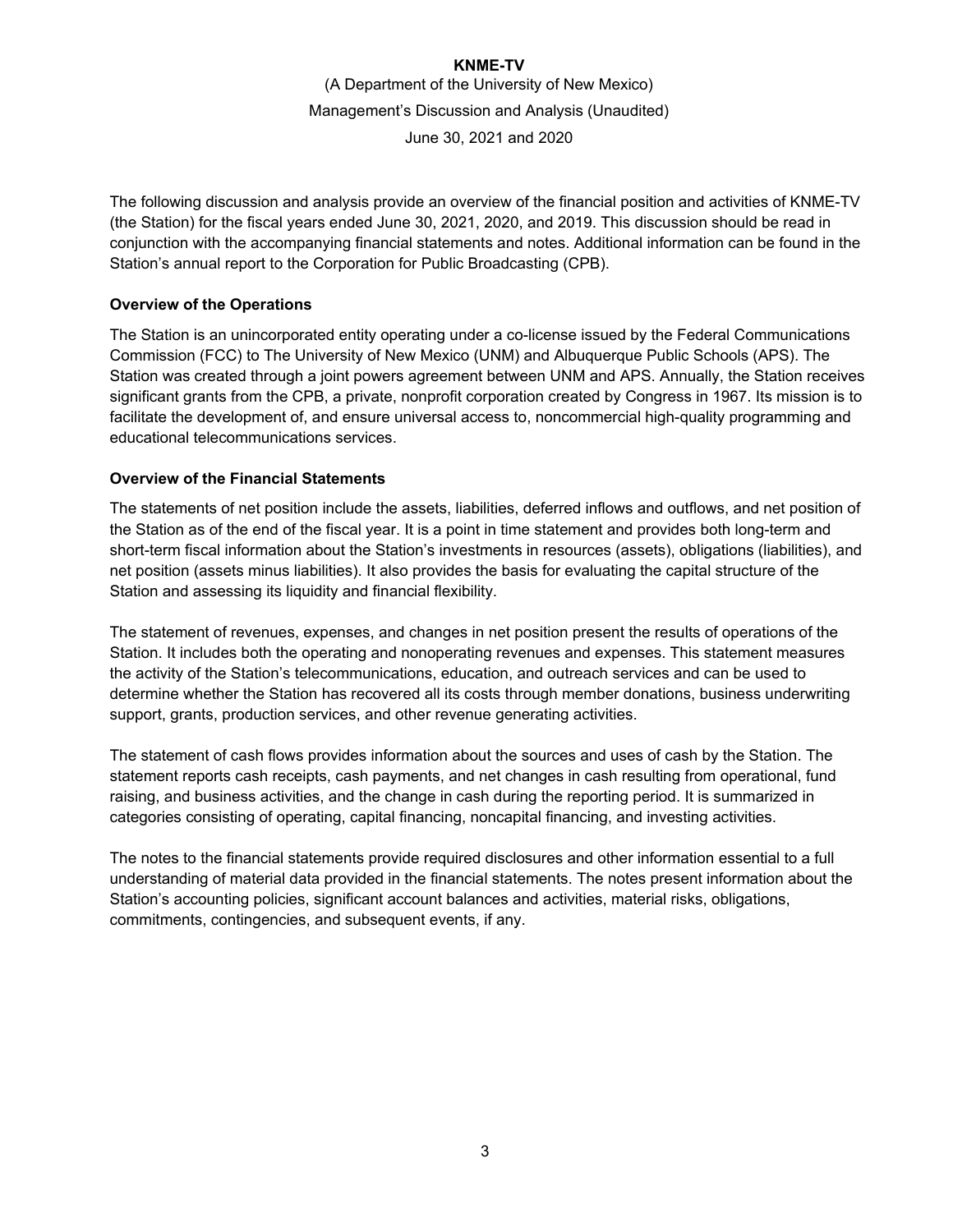The following discussion and analysis provide an overview of the financial position and activities of KNME-TV (the Station) for the fiscal years ended June 30, 2021, 2020, and 2019. This discussion should be read in conjunction with the accompanying financial statements and notes. Additional information can be found in the Station's annual report to the Corporation for Public Broadcasting (CPB).

### **Overview of the Operations**

The Station is an unincorporated entity operating under a co-license issued by the Federal Communications Commission (FCC) to The University of New Mexico (UNM) and Albuquerque Public Schools (APS). The Station was created through a joint powers agreement between UNM and APS. Annually, the Station receives significant grants from the CPB, a private, nonprofit corporation created by Congress in 1967. Its mission is to facilitate the development of, and ensure universal access to, noncommercial high-quality programming and educational telecommunications services.

### **Overview of the Financial Statements**

The statements of net position include the assets, liabilities, deferred inflows and outflows, and net position of the Station as of the end of the fiscal year. It is a point in time statement and provides both long-term and short-term fiscal information about the Station's investments in resources (assets), obligations (liabilities), and net position (assets minus liabilities). It also provides the basis for evaluating the capital structure of the Station and assessing its liquidity and financial flexibility.

The statement of revenues, expenses, and changes in net position present the results of operations of the Station. It includes both the operating and nonoperating revenues and expenses. This statement measures the activity of the Station's telecommunications, education, and outreach services and can be used to determine whether the Station has recovered all its costs through member donations, business underwriting support, grants, production services, and other revenue generating activities.

The statement of cash flows provides information about the sources and uses of cash by the Station. The statement reports cash receipts, cash payments, and net changes in cash resulting from operational, fund raising, and business activities, and the change in cash during the reporting period. It is summarized in categories consisting of operating, capital financing, noncapital financing, and investing activities.

The notes to the financial statements provide required disclosures and other information essential to a full understanding of material data provided in the financial statements. The notes present information about the Station's accounting policies, significant account balances and activities, material risks, obligations, commitments, contingencies, and subsequent events, if any.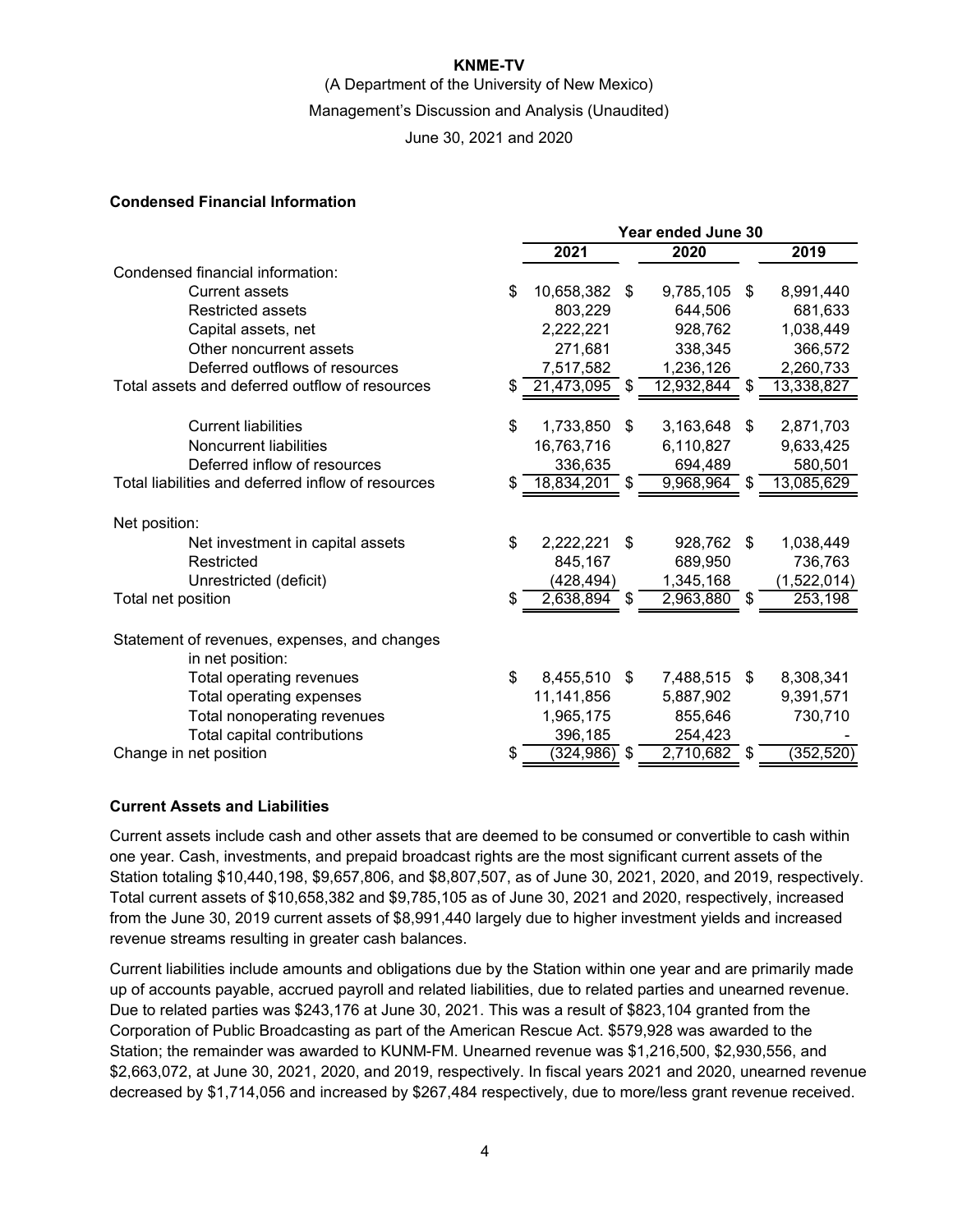### **KNME-TV**

(A Department of the University of New Mexico)

Management's Discussion and Analysis (Unaudited)

June 30, 2021 and 2020

### **Condensed Financial Information**

|                                                    | Year ended June 30 |                 |    |            |    |             |
|----------------------------------------------------|--------------------|-----------------|----|------------|----|-------------|
|                                                    |                    | 2021            |    | 2020       |    | 2019        |
| Condensed financial information:                   |                    |                 |    |            |    |             |
| Current assets                                     | \$                 | 10,658,382      | \$ | 9,785,105  | \$ | 8,991,440   |
| <b>Restricted assets</b>                           |                    | 803,229         |    | 644,506    |    | 681,633     |
| Capital assets, net                                |                    | 2,222,221       |    | 928,762    |    | 1,038,449   |
| Other noncurrent assets                            |                    | 271,681         |    | 338,345    |    | 366,572     |
| Deferred outflows of resources                     |                    | 7,517,582       |    | 1,236,126  |    | 2,260,733   |
| Total assets and deferred outflow of resources     | S                  | 21,473,095      | \$ | 12,932,844 | S  | 13,338,827  |
| <b>Current liabilities</b>                         | \$                 | 1,733,850       | \$ | 3,163,648  | \$ | 2,871,703   |
| Noncurrent liabilities                             |                    | 16,763,716      |    | 6,110,827  |    | 9,633,425   |
| Deferred inflow of resources                       |                    | 336,635         |    | 694,489    |    | 580,501     |
| Total liabilities and deferred inflow of resources | S                  | 18,834,201      |    | 9,968,964  |    | 13,085,629  |
| Net position:                                      |                    |                 |    |            |    |             |
| Net investment in capital assets                   | \$                 | 2,222,221       | \$ | 928,762    | \$ | 1,038,449   |
| Restricted                                         |                    | 845,167         |    | 689,950    |    | 736,763     |
| Unrestricted (deficit)                             |                    | (428, 494)      |    | 1,345,168  |    | (1,522,014) |
| Total net position                                 | \$                 | 2,638,894       | \$ | 2,963,880  | \$ | 253,198     |
| Statement of revenues, expenses, and changes       |                    |                 |    |            |    |             |
| in net position:                                   |                    |                 |    |            |    |             |
| Total operating revenues                           | \$                 | 8,455,510       | \$ | 7,488,515  | \$ | 8,308,341   |
| Total operating expenses                           |                    | 11,141,856      |    | 5,887,902  |    | 9,391,571   |
| Total nonoperating revenues                        |                    | 1,965,175       |    | 855,646    |    | 730,710     |
| Total capital contributions                        |                    | 396,185         |    | 254,423    |    |             |
| Change in net position                             | \$                 | $(324, 986)$ \$ |    | 2,710,682  | \$ | (352, 520)  |

### **Current Assets and Liabilities**

Current assets include cash and other assets that are deemed to be consumed or convertible to cash within one year. Cash, investments, and prepaid broadcast rights are the most significant current assets of the Station totaling \$10,440,198, \$9,657,806, and \$8,807,507, as of June 30, 2021, 2020, and 2019, respectively. Total current assets of \$10,658,382 and \$9,785,105 as of June 30, 2021 and 2020, respectively, increased from the June 30, 2019 current assets of \$8,991,440 largely due to higher investment yields and increased revenue streams resulting in greater cash balances.

Current liabilities include amounts and obligations due by the Station within one year and are primarily made up of accounts payable, accrued payroll and related liabilities, due to related parties and unearned revenue. Due to related parties was \$243,176 at June 30, 2021. This was a result of \$823,104 granted from the Corporation of Public Broadcasting as part of the American Rescue Act. \$579,928 was awarded to the Station; the remainder was awarded to KUNM-FM. Unearned revenue was \$1,216,500, \$2,930,556, and \$2,663,072, at June 30, 2021, 2020, and 2019, respectively. In fiscal years 2021 and 2020, unearned revenue decreased by \$1,714,056 and increased by \$267,484 respectively, due to more/less grant revenue received.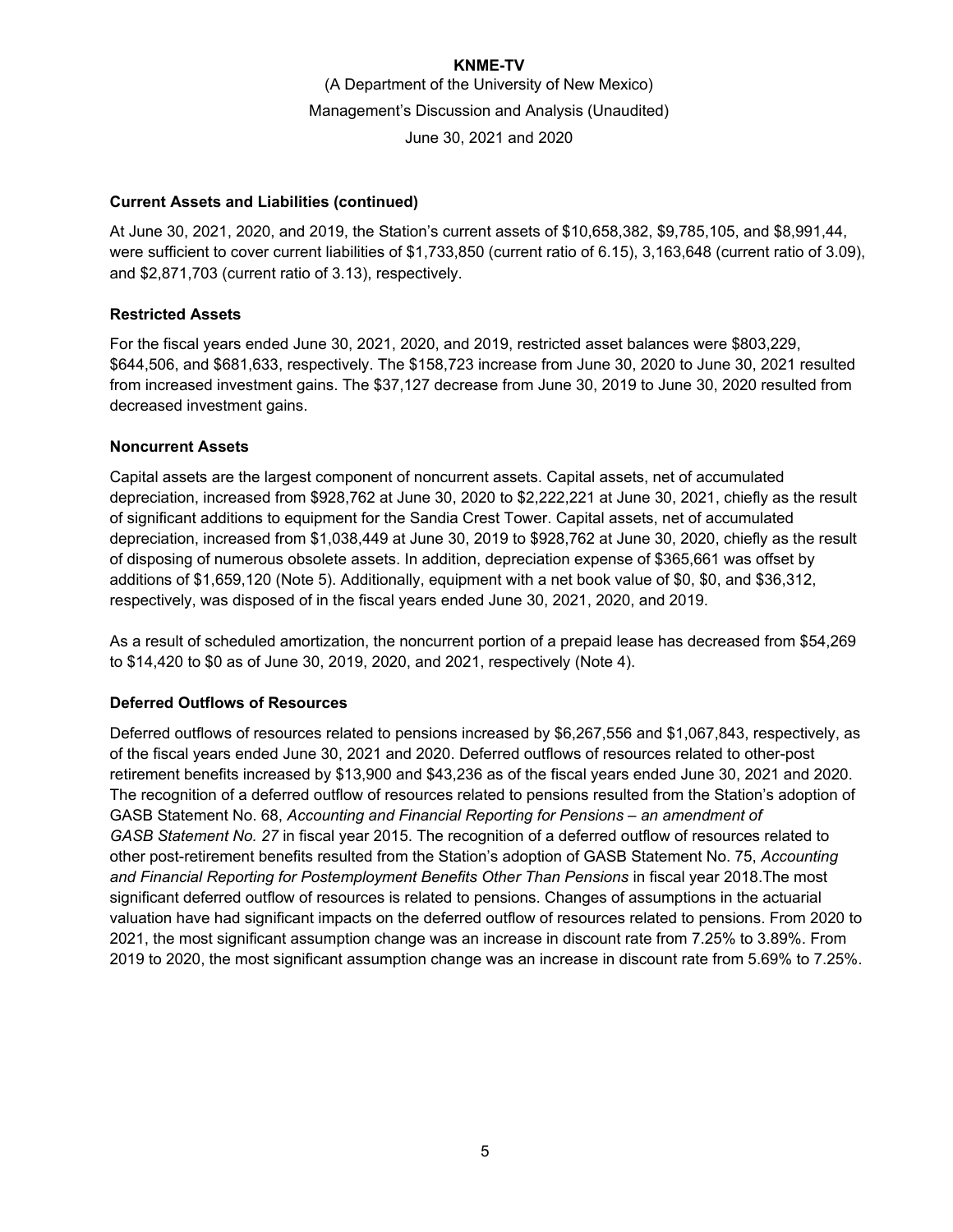### **Current Assets and Liabilities (continued)**

At June 30, 2021, 2020, and 2019, the Station's current assets of \$10,658,382, \$9,785,105, and \$8,991,44, were sufficient to cover current liabilities of \$1,733,850 (current ratio of 6.15), 3,163,648 (current ratio of 3.09), and \$2,871,703 (current ratio of 3.13), respectively.

### **Restricted Assets**

For the fiscal years ended June 30, 2021, 2020, and 2019, restricted asset balances were \$803,229, \$644,506, and \$681,633, respectively. The \$158,723 increase from June 30, 2020 to June 30, 2021 resulted from increased investment gains. The \$37,127 decrease from June 30, 2019 to June 30, 2020 resulted from decreased investment gains.

### **Noncurrent Assets**

Capital assets are the largest component of noncurrent assets. Capital assets, net of accumulated depreciation, increased from \$928,762 at June 30, 2020 to \$2,222,221 at June 30, 2021, chiefly as the result of significant additions to equipment for the Sandia Crest Tower. Capital assets, net of accumulated depreciation, increased from \$1,038,449 at June 30, 2019 to \$928,762 at June 30, 2020, chiefly as the result of disposing of numerous obsolete assets. In addition, depreciation expense of \$365,661 was offset by additions of \$1,659,120 (Note 5). Additionally, equipment with a net book value of \$0, \$0, and \$36,312, respectively, was disposed of in the fiscal years ended June 30, 2021, 2020, and 2019.

As a result of scheduled amortization, the noncurrent portion of a prepaid lease has decreased from \$54,269 to \$14,420 to \$0 as of June 30, 2019, 2020, and 2021, respectively (Note 4).

### **Deferred Outflows of Resources**

Deferred outflows of resources related to pensions increased by \$6,267,556 and \$1,067,843, respectively, as of the fiscal years ended June 30, 2021 and 2020. Deferred outflows of resources related to other-post retirement benefits increased by \$13,900 and \$43,236 as of the fiscal years ended June 30, 2021 and 2020. The recognition of a deferred outflow of resources related to pensions resulted from the Station's adoption of GASB Statement No. 68, *Accounting and Financial Reporting for Pensions – an amendment of GASB Statement No. 27* in fiscal year 2015. The recognition of a deferred outflow of resources related to other post-retirement benefits resulted from the Station's adoption of GASB Statement No. 75, *Accounting*  and Financial Reporting for Postemployment Benefits Other Than Pensions in fiscal year 2018. The most significant deferred outflow of resources is related to pensions. Changes of assumptions in the actuarial valuation have had significant impacts on the deferred outflow of resources related to pensions. From 2020 to 2021, the most significant assumption change was an increase in discount rate from 7.25% to 3.89%. From 2019 to 2020, the most significant assumption change was an increase in discount rate from 5.69% to 7.25%.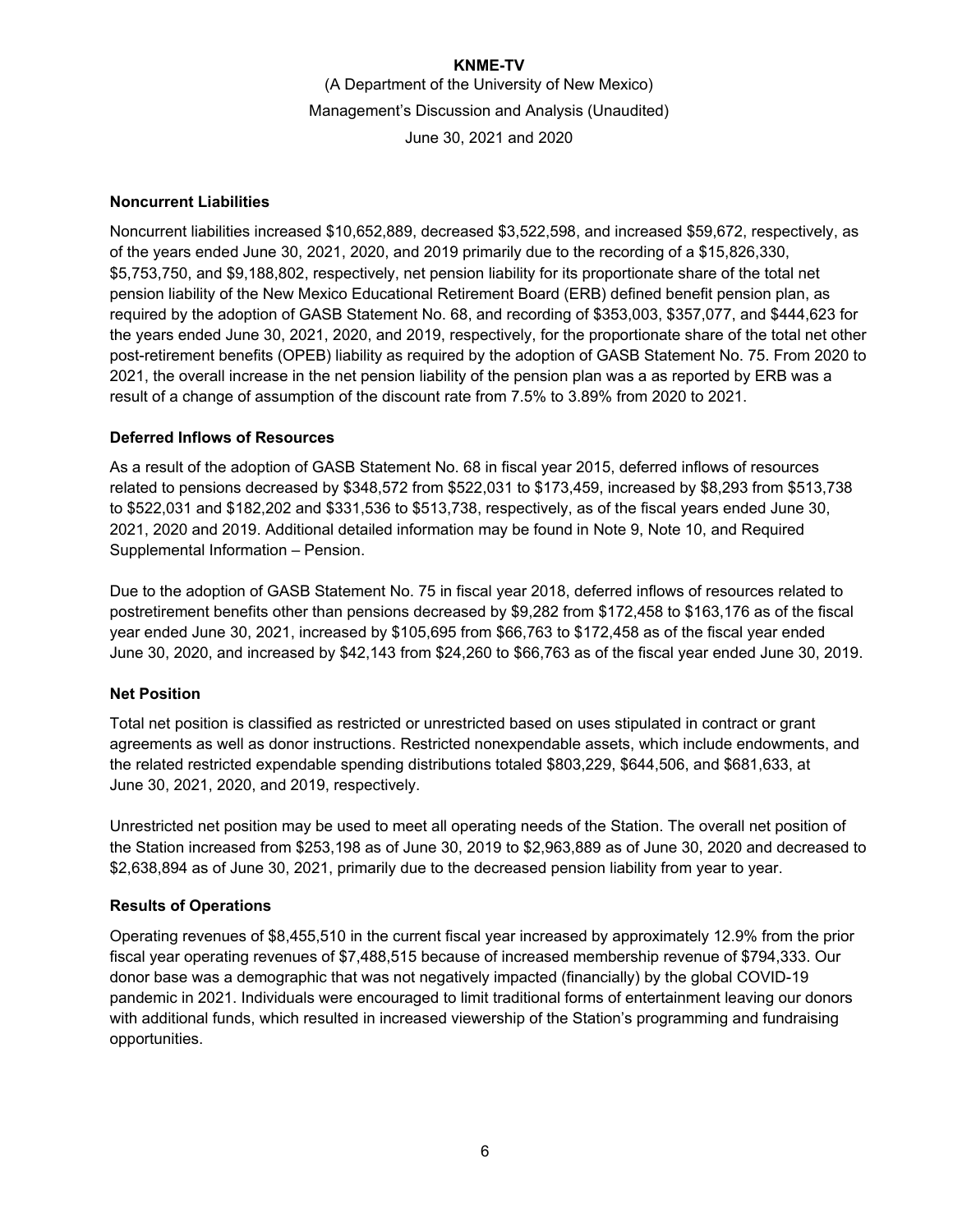### **Noncurrent Liabilities**

Noncurrent liabilities increased \$10,652,889, decreased \$3,522,598, and increased \$59,672, respectively, as of the years ended June 30, 2021, 2020, and 2019 primarily due to the recording of a \$15,826,330, \$5,753,750, and \$9,188,802, respectively, net pension liability for its proportionate share of the total net pension liability of the New Mexico Educational Retirement Board (ERB) defined benefit pension plan, as required by the adoption of GASB Statement No. 68, and recording of \$353,003, \$357,077, and \$444,623 for the years ended June 30, 2021, 2020, and 2019, respectively, for the proportionate share of the total net other post-retirement benefits (OPEB) liability as required by the adoption of GASB Statement No. 75. From 2020 to 2021, the overall increase in the net pension liability of the pension plan was a as reported by ERB was a result of a change of assumption of the discount rate from 7.5% to 3.89% from 2020 to 2021.

### **Deferred Inflows of Resources**

As a result of the adoption of GASB Statement No. 68 in fiscal year 2015, deferred inflows of resources related to pensions decreased by \$348,572 from \$522,031 to \$173,459, increased by \$8,293 from \$513,738 to \$522,031 and \$182,202 and \$331,536 to \$513,738, respectively, as of the fiscal years ended June 30, 2021, 2020 and 2019. Additional detailed information may be found in Note 9, Note 10, and Required Supplemental Information – Pension.

Due to the adoption of GASB Statement No. 75 in fiscal year 2018, deferred inflows of resources related to postretirement benefits other than pensions decreased by \$9,282 from \$172,458 to \$163,176 as of the fiscal year ended June 30, 2021, increased by \$105,695 from \$66,763 to \$172,458 as of the fiscal year ended June 30, 2020, and increased by \$42,143 from \$24,260 to \$66,763 as of the fiscal year ended June 30, 2019.

### **Net Position**

Total net position is classified as restricted or unrestricted based on uses stipulated in contract or grant agreements as well as donor instructions. Restricted nonexpendable assets, which include endowments, and the related restricted expendable spending distributions totaled \$803,229, \$644,506, and \$681,633, at June 30, 2021, 2020, and 2019, respectively.

Unrestricted net position may be used to meet all operating needs of the Station. The overall net position of the Station increased from \$253,198 as of June 30, 2019 to \$2,963,889 as of June 30, 2020 and decreased to \$2,638,894 as of June 30, 2021, primarily due to the decreased pension liability from year to year.

### **Results of Operations**

Operating revenues of \$8,455,510 in the current fiscal year increased by approximately 12.9% from the prior fiscal year operating revenues of \$7,488,515 because of increased membership revenue of \$794,333. Our donor base was a demographic that was not negatively impacted (financially) by the global COVID-19 pandemic in 2021. Individuals were encouraged to limit traditional forms of entertainment leaving our donors with additional funds, which resulted in increased viewership of the Station's programming and fundraising opportunities.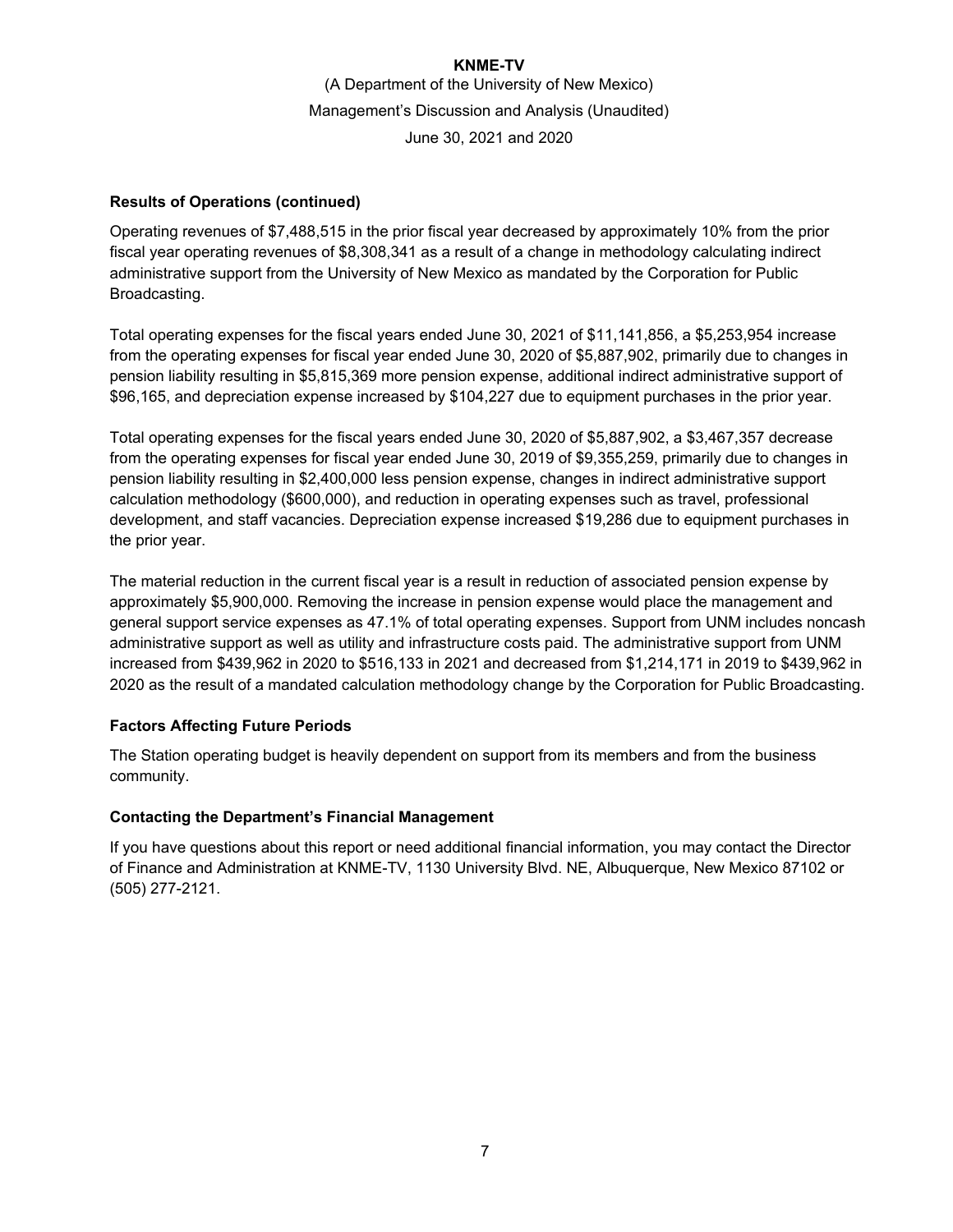### **Results of Operations (continued)**

Operating revenues of \$7,488,515 in the prior fiscal year decreased by approximately 10% from the prior fiscal year operating revenues of \$8,308,341 as a result of a change in methodology calculating indirect administrative support from the University of New Mexico as mandated by the Corporation for Public Broadcasting.

Total operating expenses for the fiscal years ended June 30, 2021 of \$11,141,856, a \$5,253,954 increase from the operating expenses for fiscal year ended June 30, 2020 of \$5,887,902, primarily due to changes in pension liability resulting in \$5,815,369 more pension expense, additional indirect administrative support of \$96,165, and depreciation expense increased by \$104,227 due to equipment purchases in the prior year.

Total operating expenses for the fiscal years ended June 30, 2020 of \$5,887,902, a \$3,467,357 decrease from the operating expenses for fiscal year ended June 30, 2019 of \$9,355,259, primarily due to changes in pension liability resulting in \$2,400,000 less pension expense, changes in indirect administrative support calculation methodology (\$600,000), and reduction in operating expenses such as travel, professional development, and staff vacancies. Depreciation expense increased \$19,286 due to equipment purchases in the prior year.

The material reduction in the current fiscal year is a result in reduction of associated pension expense by approximately \$5,900,000. Removing the increase in pension expense would place the management and general support service expenses as 47.1% of total operating expenses. Support from UNM includes noncash administrative support as well as utility and infrastructure costs paid. The administrative support from UNM increased from \$439,962 in 2020 to \$516,133 in 2021 and decreased from \$1,214,171 in 2019 to \$439,962 in 2020 as the result of a mandated calculation methodology change by the Corporation for Public Broadcasting.

### **Factors Affecting Future Periods**

The Station operating budget is heavily dependent on support from its members and from the business community.

### **Contacting the Department's Financial Management**

If you have questions about this report or need additional financial information, you may contact the Director of Finance and Administration at KNME-TV, 1130 University Blvd. NE, Albuquerque, New Mexico 87102 or (505) 277-2121.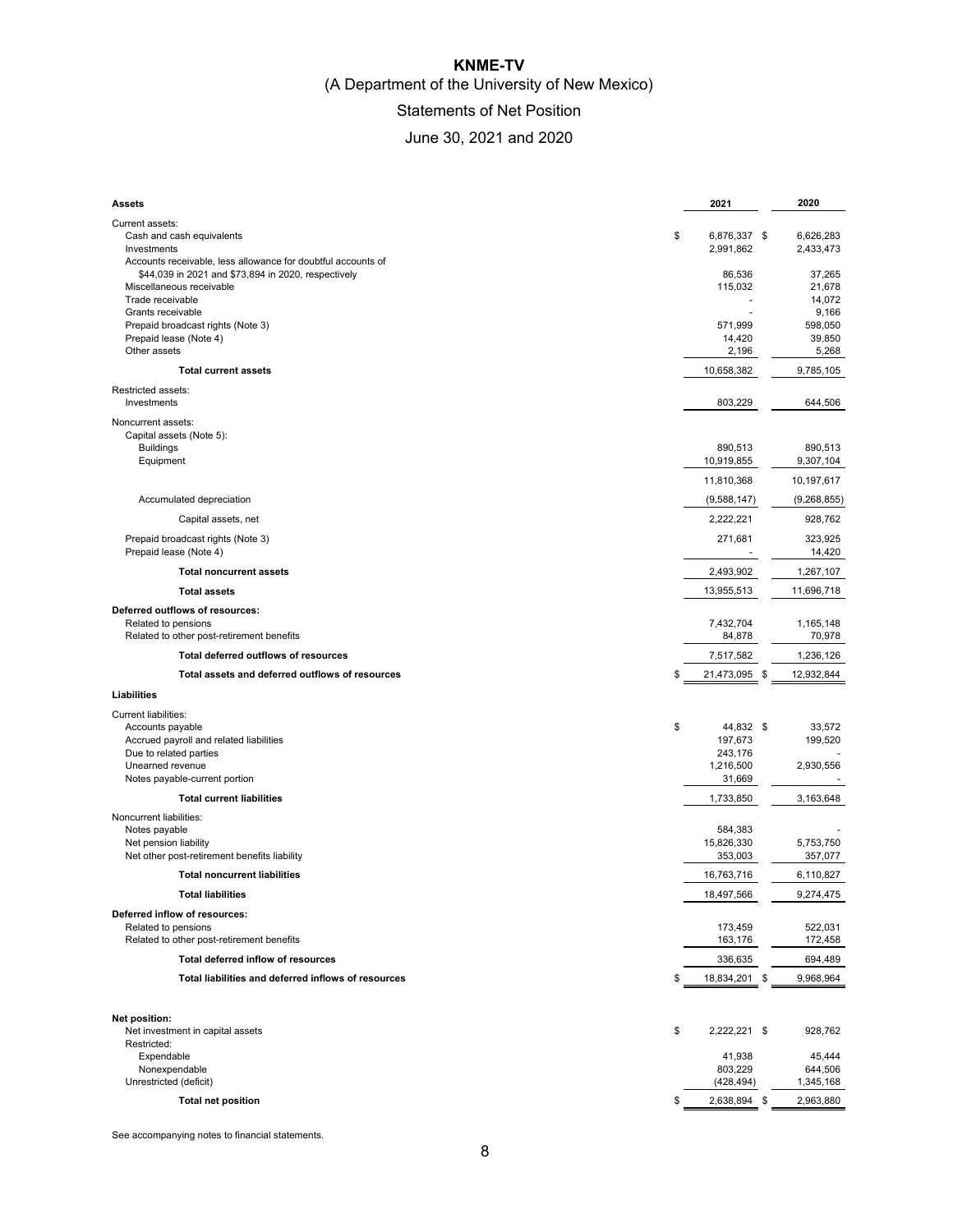## **KNME-TV**  (A Department of the University of New Mexico) Statements of Net Position

# June 30, 2021 and 2020

| Assets                                                                                                                      | 2021                            | 2020                                |
|-----------------------------------------------------------------------------------------------------------------------------|---------------------------------|-------------------------------------|
| Current assets:<br>Cash and cash equivalents<br>Investments<br>Accounts receivable, less allowance for doubtful accounts of | \$<br>6,876,337 \$<br>2,991,862 | 6,626,283<br>2,433,473              |
| \$44,039 in 2021 and \$73,894 in 2020, respectively<br>Miscellaneous receivable<br>Trade receivable<br>Grants receivable    | 86.536<br>115,032               | 37,265<br>21,678<br>14,072<br>9,166 |
| Prepaid broadcast rights (Note 3)<br>Prepaid lease (Note 4)<br>Other assets                                                 | 571,999<br>14,420<br>2,196      | 598,050<br>39,850<br>5,268          |
| <b>Total current assets</b>                                                                                                 | 10,658,382                      | 9,785,105                           |
| Restricted assets:<br>Investments                                                                                           | 803,229                         | 644,506                             |
| Noncurrent assets:<br>Capital assets (Note 5):<br><b>Buildings</b>                                                          | 890,513                         | 890,513                             |
| Equipment                                                                                                                   | 10,919,855                      | 9,307,104                           |
|                                                                                                                             | 11,810,368                      | 10,197,617                          |
| Accumulated depreciation                                                                                                    | (9,588,147)                     | (9,268,855)                         |
| Capital assets, net                                                                                                         | 2,222,221                       | 928,762                             |
| Prepaid broadcast rights (Note 3)<br>Prepaid lease (Note 4)                                                                 | 271,681                         | 323,925<br>14,420                   |
| <b>Total noncurrent assets</b>                                                                                              | 2,493,902                       | 1,267,107                           |
| <b>Total assets</b>                                                                                                         | 13,955,513                      | 11,696,718                          |
| Deferred outflows of resources:<br>Related to pensions<br>Related to other post-retirement benefits                         | 7,432,704<br>84,878             | 1,165,148<br>70,978                 |
| Total deferred outflows of resources                                                                                        | 7,517,582                       | 1,236,126                           |
| Total assets and deferred outflows of resources                                                                             | \$<br>21,473,095                | \$<br>12,932,844                    |
| Liabilities                                                                                                                 |                                 |                                     |
| <b>Current liabilities:</b>                                                                                                 |                                 |                                     |
| Accounts payable                                                                                                            | \$<br>44,832 \$                 | 33,572                              |
| Accrued payroll and related liabilities<br>Due to related parties                                                           | 197,673<br>243,176              | 199,520                             |
| Unearned revenue                                                                                                            | 1,216,500                       | 2,930,556                           |
| Notes payable-current portion                                                                                               | 31,669                          |                                     |
| <b>Total current liabilities</b>                                                                                            | 1,733,850                       | 3,163,648                           |
| Noncurrent liabilities:<br>Notes payable<br>Net pension liability                                                           | 584,383<br>15,826,330           | 5,753,750                           |
| Net other post-retirement benefits liability                                                                                | 353,003                         | 357,077                             |
| <b>Total noncurrent liabilities</b>                                                                                         | 16,763,716                      | 6,110,827                           |
| <b>Total liabilities</b>                                                                                                    | 18,497,566                      | 9,274,475                           |
| Deferred inflow of resources:<br>Related to pensions                                                                        | 173,459                         | 522,031                             |
| Related to other post-retirement benefits                                                                                   | 163,176                         | 172,458                             |
| Total deferred inflow of resources                                                                                          | 336,635                         | 694,489                             |
| Total liabilities and deferred inflows of resources                                                                         | \$<br>18,834,201 \$             | 9,968,964                           |
| Net position:                                                                                                               |                                 |                                     |
| Net investment in capital assets<br>Restricted:                                                                             | \$<br>2,222,221 \$              | 928,762                             |
| Expendable<br>Nonexpendable                                                                                                 | 41,938<br>803,229               | 45,444<br>644,506                   |
| Unrestricted (deficit)                                                                                                      | (428, 494)                      | 1,345,168                           |
| <b>Total net position</b>                                                                                                   | \$<br>2,638,894 \$              | 2,963,880                           |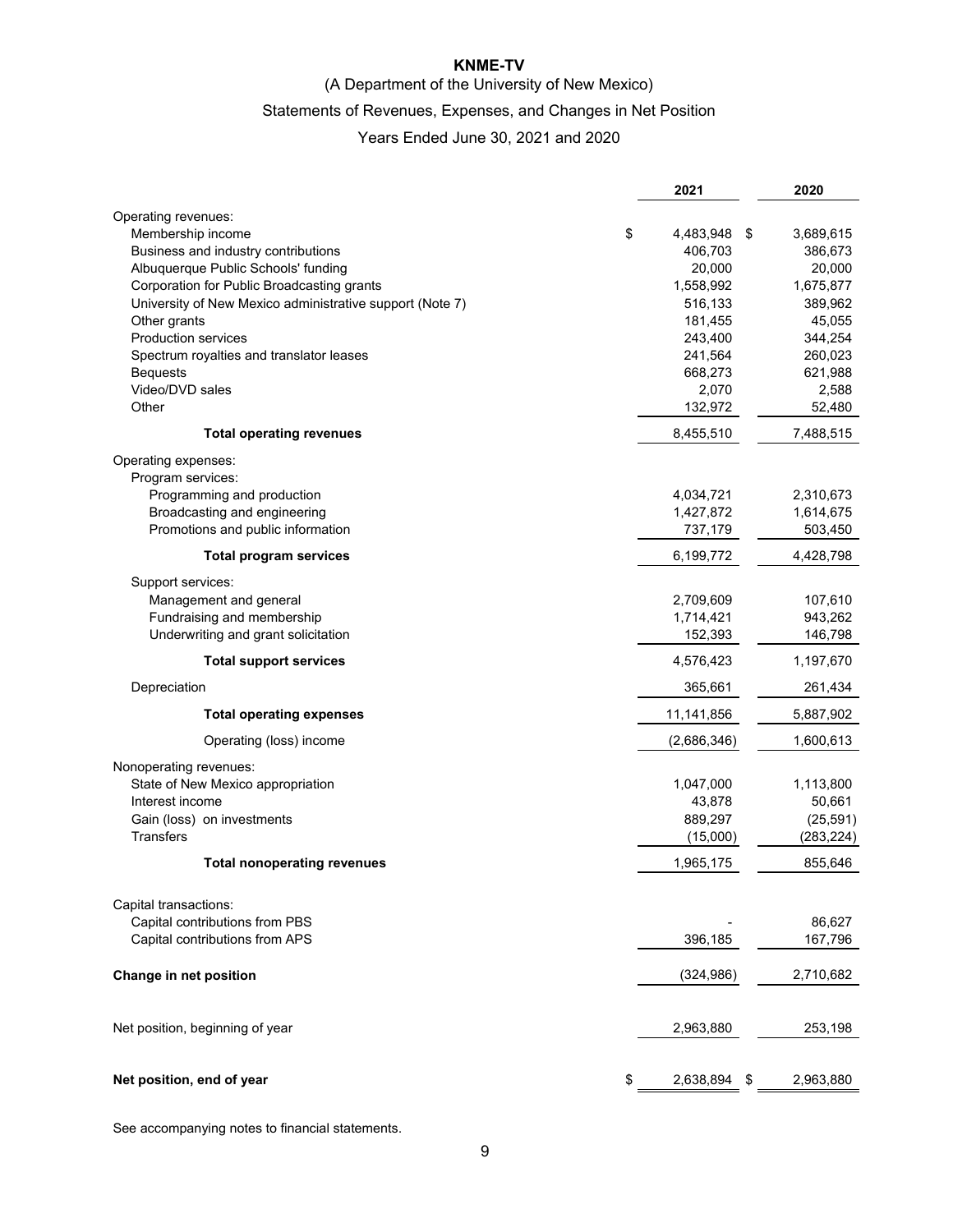### **KNME-TV**

### (A Department of the University of New Mexico)

### Statements of Revenues, Expenses, and Changes in Net Position

### Years Ended June 30, 2021 and 2020

|                                                             | 2021             | 2020       |
|-------------------------------------------------------------|------------------|------------|
| Operating revenues:                                         |                  |            |
| Membership income<br>\$                                     | 4,483,948<br>-\$ | 3,689,615  |
| Business and industry contributions                         | 406,703          | 386,673    |
| Albuquerque Public Schools' funding                         | 20,000           | 20,000     |
| Corporation for Public Broadcasting grants                  | 1,558,992        | 1,675,877  |
| University of New Mexico administrative support (Note 7)    | 516,133          | 389,962    |
| Other grants                                                | 181,455          | 45,055     |
| <b>Production services</b>                                  | 243,400          | 344,254    |
| Spectrum royalties and translator leases                    | 241,564          | 260,023    |
| <b>Bequests</b>                                             | 668,273          | 621,988    |
| Video/DVD sales                                             | 2,070            | 2,588      |
| Other                                                       | 132,972          | 52,480     |
| <b>Total operating revenues</b>                             | 8,455,510        | 7,488,515  |
| Operating expenses:                                         |                  |            |
| Program services:                                           |                  |            |
| Programming and production                                  | 4,034,721        | 2,310,673  |
| Broadcasting and engineering                                | 1,427,872        | 1,614,675  |
| Promotions and public information                           | 737,179          | 503,450    |
| <b>Total program services</b>                               | 6,199,772        | 4,428,798  |
| Support services:                                           |                  |            |
| Management and general                                      | 2,709,609        | 107,610    |
| Fundraising and membership                                  | 1,714,421        | 943,262    |
| Underwriting and grant solicitation                         | 152,393          | 146,798    |
| <b>Total support services</b>                               | 4,576,423        | 1,197,670  |
| Depreciation                                                | 365,661          | 261,434    |
| <b>Total operating expenses</b>                             | 11,141,856       | 5,887,902  |
| Operating (loss) income                                     | (2,686,346)      | 1,600,613  |
|                                                             |                  |            |
| Nonoperating revenues:<br>State of New Mexico appropriation | 1,047,000        | 1,113,800  |
| Interest income                                             | 43,878           | 50,661     |
| Gain (loss) on investments                                  | 889,297          | (25, 591)  |
| <b>Transfers</b>                                            | (15,000)         | (283, 224) |
| <b>Total nonoperating revenues</b>                          | 1,965,175        | 855,646    |
|                                                             |                  |            |
| Capital transactions:                                       |                  |            |
| Capital contributions from PBS                              |                  | 86,627     |
| Capital contributions from APS                              | 396,185          | 167,796    |
| Change in net position                                      | (324, 986)       | 2,710,682  |
|                                                             |                  |            |
| Net position, beginning of year                             | 2,963,880        | 253,198    |
|                                                             |                  |            |
| Net position, end of year<br>\$                             | 2,638,894<br>\$  | 2,963,880  |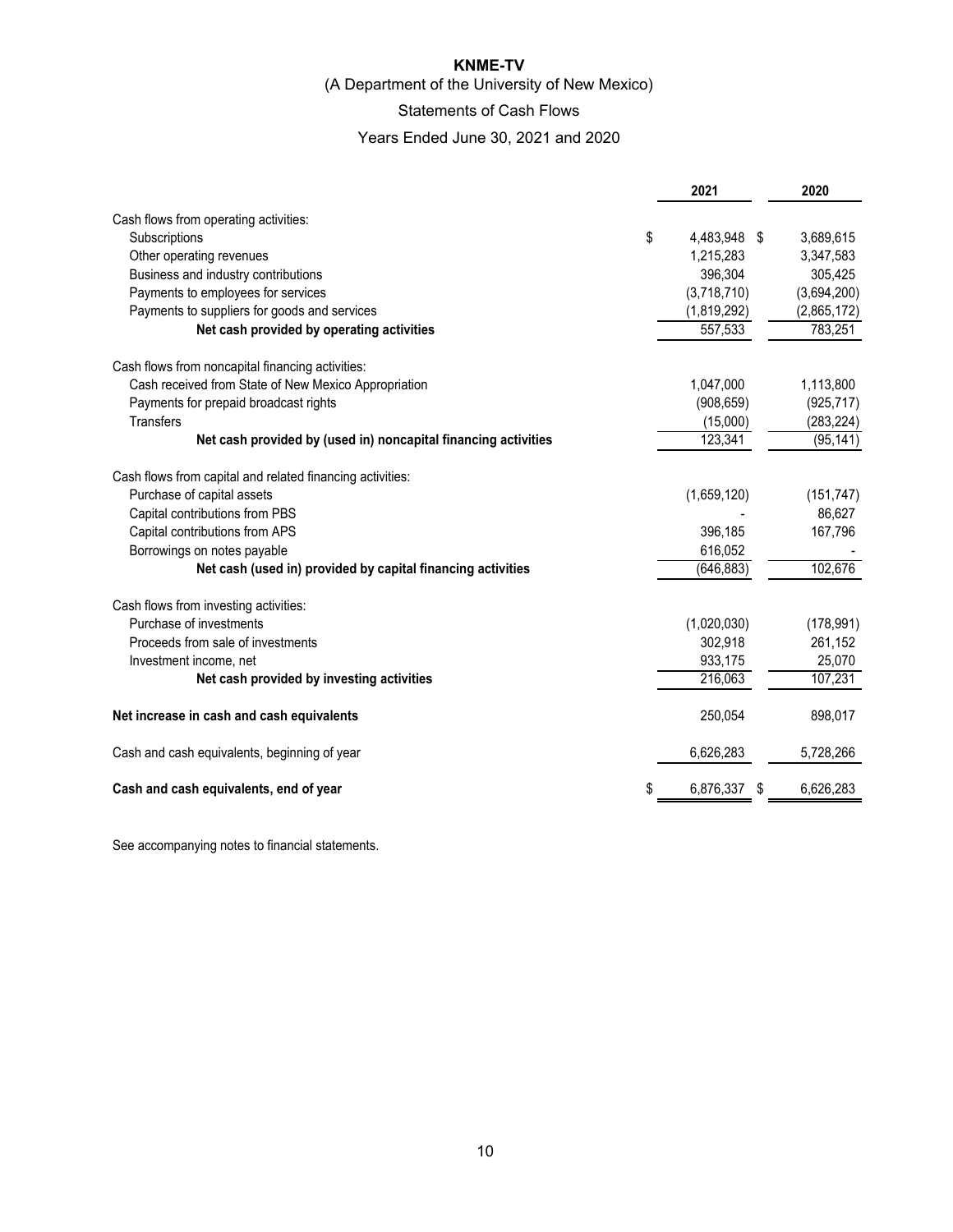### **KNME-TV**

(A Department of the University of New Mexico)

### Statements of Cash Flows

Years Ended June 30, 2021 and 2020

|                                                                | 2021                 | 2020        |
|----------------------------------------------------------------|----------------------|-------------|
| Cash flows from operating activities:                          |                      |             |
| Subscriptions                                                  | \$<br>4,483,948 \$   | 3,689,615   |
| Other operating revenues                                       | 1,215,283            | 3,347,583   |
| Business and industry contributions                            | 396,304              | 305,425     |
| Payments to employees for services                             | (3,718,710)          | (3,694,200) |
| Payments to suppliers for goods and services                   | (1,819,292)          | (2,865,172) |
| Net cash provided by operating activities                      | 557,533              | 783,251     |
| Cash flows from noncapital financing activities:               |                      |             |
| Cash received from State of New Mexico Appropriation           | 1,047,000            | 1,113,800   |
| Payments for prepaid broadcast rights                          | (908, 659)           | (925, 717)  |
| Transfers                                                      | (15,000)             | (283, 224)  |
| Net cash provided by (used in) noncapital financing activities | 123,341              | (95, 141)   |
| Cash flows from capital and related financing activities:      |                      |             |
| Purchase of capital assets                                     | (1,659,120)          | (151, 747)  |
| Capital contributions from PBS                                 |                      | 86,627      |
| Capital contributions from APS                                 | 396,185              | 167,796     |
| Borrowings on notes payable                                    | 616,052              |             |
| Net cash (used in) provided by capital financing activities    | (646, 883)           | 102,676     |
| Cash flows from investing activities:                          |                      |             |
| Purchase of investments                                        | (1,020,030)          | (178, 991)  |
| Proceeds from sale of investments                              | 302,918              | 261,152     |
| Investment income, net                                         | 933,175              | 25,070      |
| Net cash provided by investing activities                      | 216,063              | 107,231     |
| Net increase in cash and cash equivalents                      | 250,054              | 898,017     |
| Cash and cash equivalents, beginning of year                   | 6,626,283            | 5,728,266   |
| Cash and cash equivalents, end of year                         | \$<br>6,876,337<br>S | 6,626,283   |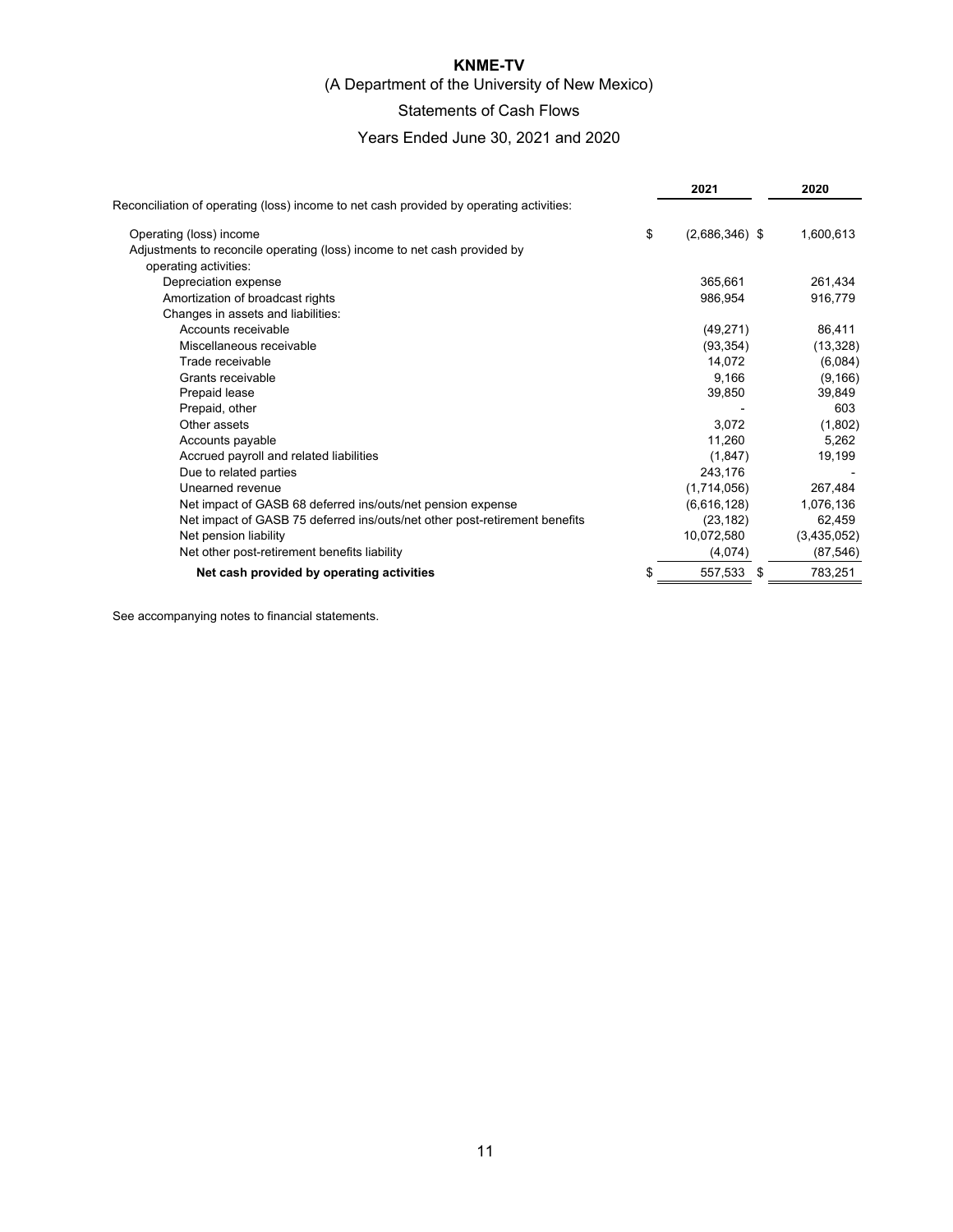### **KNME-TV**  (A Department of the University of New Mexico)

# Statements of Cash Flows

### Years Ended June 30, 2021 and 2020

|                                                                                         | 2021                   | 2020        |
|-----------------------------------------------------------------------------------------|------------------------|-------------|
| Reconciliation of operating (loss) income to net cash provided by operating activities: |                        |             |
| Operating (loss) income                                                                 | \$<br>$(2,686,346)$ \$ | 1,600,613   |
| Adjustments to reconcile operating (loss) income to net cash provided by                |                        |             |
| operating activities:                                                                   |                        |             |
| Depreciation expense                                                                    | 365,661                | 261,434     |
| Amortization of broadcast rights                                                        | 986,954                | 916,779     |
| Changes in assets and liabilities:                                                      |                        |             |
| Accounts receivable                                                                     | (49, 271)              | 86,411      |
| Miscellaneous receivable                                                                | (93, 354)              | (13, 328)   |
| Trade receivable                                                                        | 14,072                 | (6,084)     |
| Grants receivable                                                                       | 9,166                  | (9, 166)    |
| Prepaid lease                                                                           | 39,850                 | 39,849      |
| Prepaid, other                                                                          |                        | 603         |
| Other assets                                                                            | 3,072                  | (1,802)     |
| Accounts payable                                                                        | 11,260                 | 5,262       |
| Accrued payroll and related liabilities                                                 | (1, 847)               | 19,199      |
| Due to related parties                                                                  | 243,176                |             |
| Unearned revenue                                                                        | (1,714,056)            | 267,484     |
| Net impact of GASB 68 deferred ins/outs/net pension expense                             | (6,616,128)            | 1,076,136   |
| Net impact of GASB 75 deferred ins/outs/net other post-retirement benefits              | (23, 182)              | 62,459      |
| Net pension liability                                                                   | 10,072,580             | (3,435,052) |
| Net other post-retirement benefits liability                                            | (4,074)                | (87, 546)   |
| Net cash provided by operating activities                                               | \$<br>557,533          | 783,251     |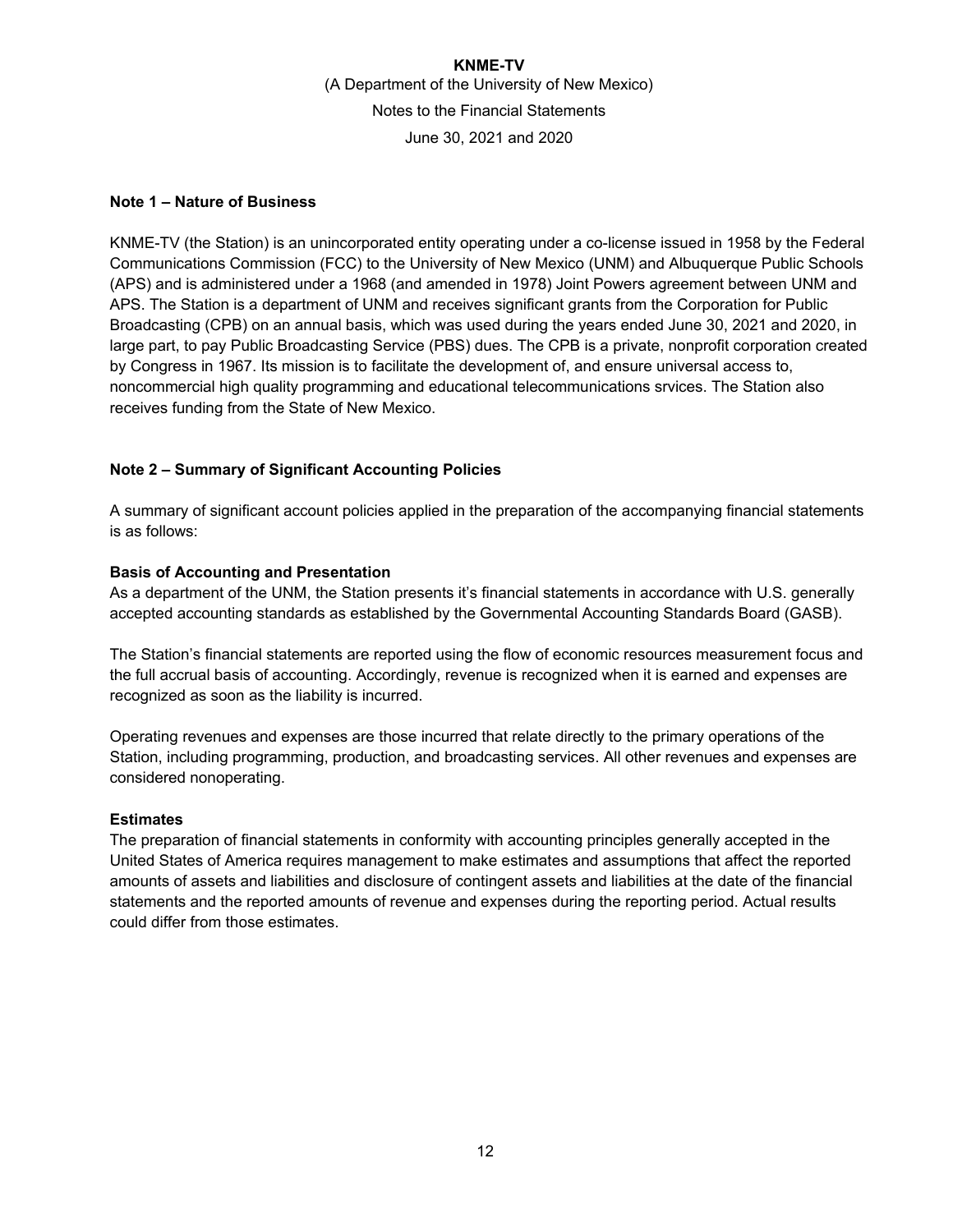### **Note 1 – Nature of Business**

KNME-TV (the Station) is an unincorporated entity operating under a co-license issued in 1958 by the Federal Communications Commission (FCC) to the University of New Mexico (UNM) and Albuquerque Public Schools (APS) and is administered under a 1968 (and amended in 1978) Joint Powers agreement between UNM and APS. The Station is a department of UNM and receives significant grants from the Corporation for Public Broadcasting (CPB) on an annual basis, which was used during the years ended June 30, 2021 and 2020, in large part, to pay Public Broadcasting Service (PBS) dues. The CPB is a private, nonprofit corporation created by Congress in 1967. Its mission is to facilitate the development of, and ensure universal access to, noncommercial high quality programming and educational telecommunications srvices. The Station also receives funding from the State of New Mexico.

### **Note 2 – Summary of Significant Accounting Policies**

A summary of significant account policies applied in the preparation of the accompanying financial statements is as follows:

### **Basis of Accounting and Presentation**

As a department of the UNM, the Station presents it's financial statements in accordance with U.S. generally accepted accounting standards as established by the Governmental Accounting Standards Board (GASB).

The Station's financial statements are reported using the flow of economic resources measurement focus and the full accrual basis of accounting. Accordingly, revenue is recognized when it is earned and expenses are recognized as soon as the liability is incurred.

Operating revenues and expenses are those incurred that relate directly to the primary operations of the Station, including programming, production, and broadcasting services. All other revenues and expenses are considered nonoperating.

#### **Estimates**

The preparation of financial statements in conformity with accounting principles generally accepted in the United States of America requires management to make estimates and assumptions that affect the reported amounts of assets and liabilities and disclosure of contingent assets and liabilities at the date of the financial statements and the reported amounts of revenue and expenses during the reporting period. Actual results could differ from those estimates.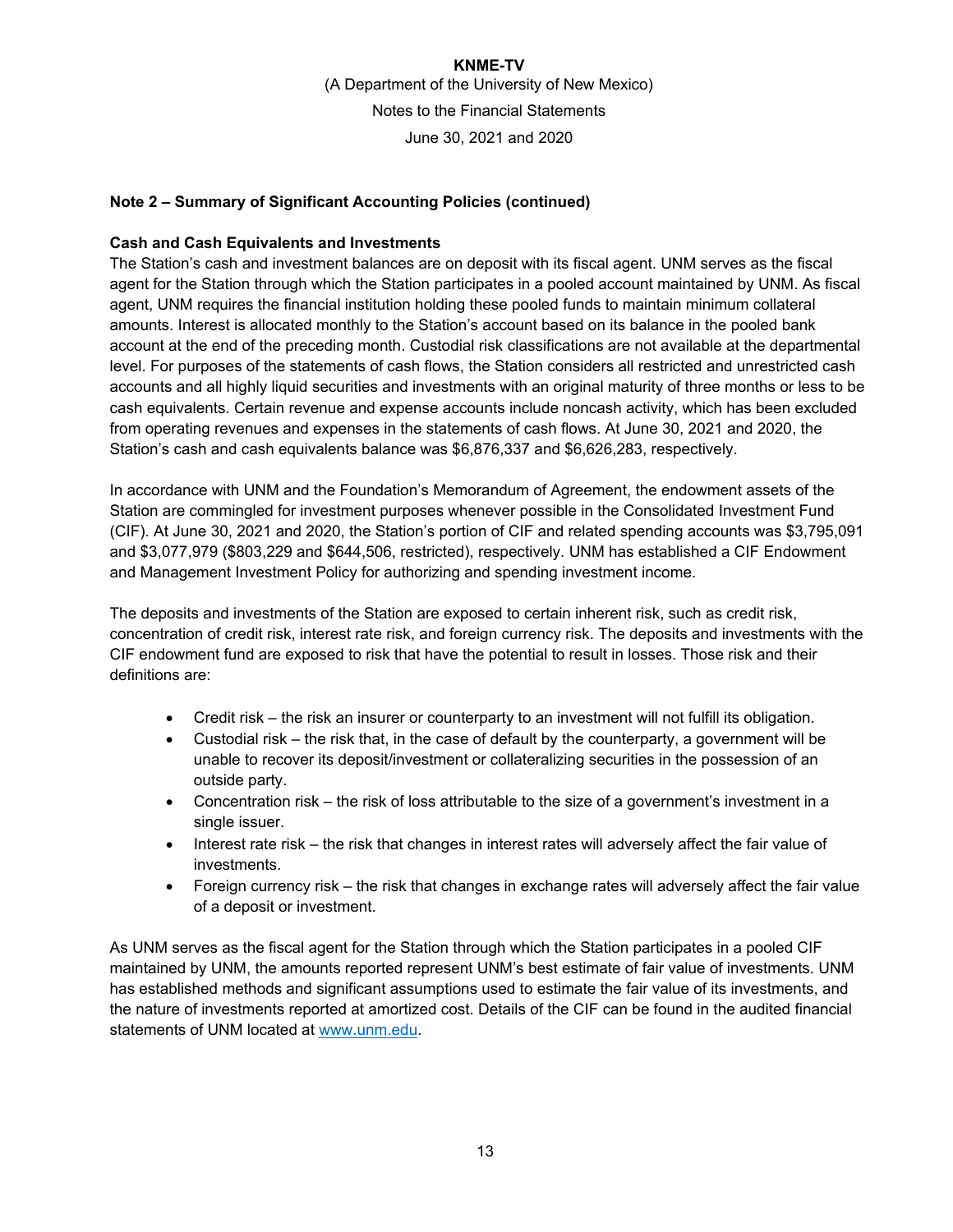### **Note 2 – Summary of Significant Accounting Policies (continued)**

### **Cash and Cash Equivalents and Investments**

The Station's cash and investment balances are on deposit with its fiscal agent. UNM serves as the fiscal agent for the Station through which the Station participates in a pooled account maintained by UNM. As fiscal agent, UNM requires the financial institution holding these pooled funds to maintain minimum collateral amounts. Interest is allocated monthly to the Station's account based on its balance in the pooled bank account at the end of the preceding month. Custodial risk classifications are not available at the departmental level. For purposes of the statements of cash flows, the Station considers all restricted and unrestricted cash accounts and all highly liquid securities and investments with an original maturity of three months or less to be cash equivalents. Certain revenue and expense accounts include noncash activity, which has been excluded from operating revenues and expenses in the statements of cash flows. At June 30, 2021 and 2020, the Station's cash and cash equivalents balance was \$6,876,337 and \$6,626,283, respectively.

In accordance with UNM and the Foundation's Memorandum of Agreement, the endowment assets of the Station are commingled for investment purposes whenever possible in the Consolidated Investment Fund (CIF). At June 30, 2021 and 2020, the Station's portion of CIF and related spending accounts was \$3,795,091 and \$3,077,979 (\$803,229 and \$644,506, restricted), respectively. UNM has established a CIF Endowment and Management Investment Policy for authorizing and spending investment income.

The deposits and investments of the Station are exposed to certain inherent risk, such as credit risk, concentration of credit risk, interest rate risk, and foreign currency risk. The deposits and investments with the CIF endowment fund are exposed to risk that have the potential to result in losses. Those risk and their definitions are:

- Credit risk the risk an insurer or counterparty to an investment will not fulfill its obligation.
- $\bullet$  Custodial risk the risk that, in the case of default by the counterparty, a government will be unable to recover its deposit/investment or collateralizing securities in the possession of an outside party.
- Concentration risk the risk of loss attributable to the size of a government's investment in a single issuer.
- Interest rate risk the risk that changes in interest rates will adversely affect the fair value of investments.
- Foreign currency risk the risk that changes in exchange rates will adversely affect the fair value of a deposit or investment.

As UNM serves as the fiscal agent for the Station through which the Station participates in a pooled CIF maintained by UNM, the amounts reported represent UNM's best estimate of fair value of investments. UNM has established methods and significant assumptions used to estimate the fair value of its investments, and the nature of investments reported at amortized cost. Details of the CIF can be found in the audited financial statements of UNM located at www.unm.edu.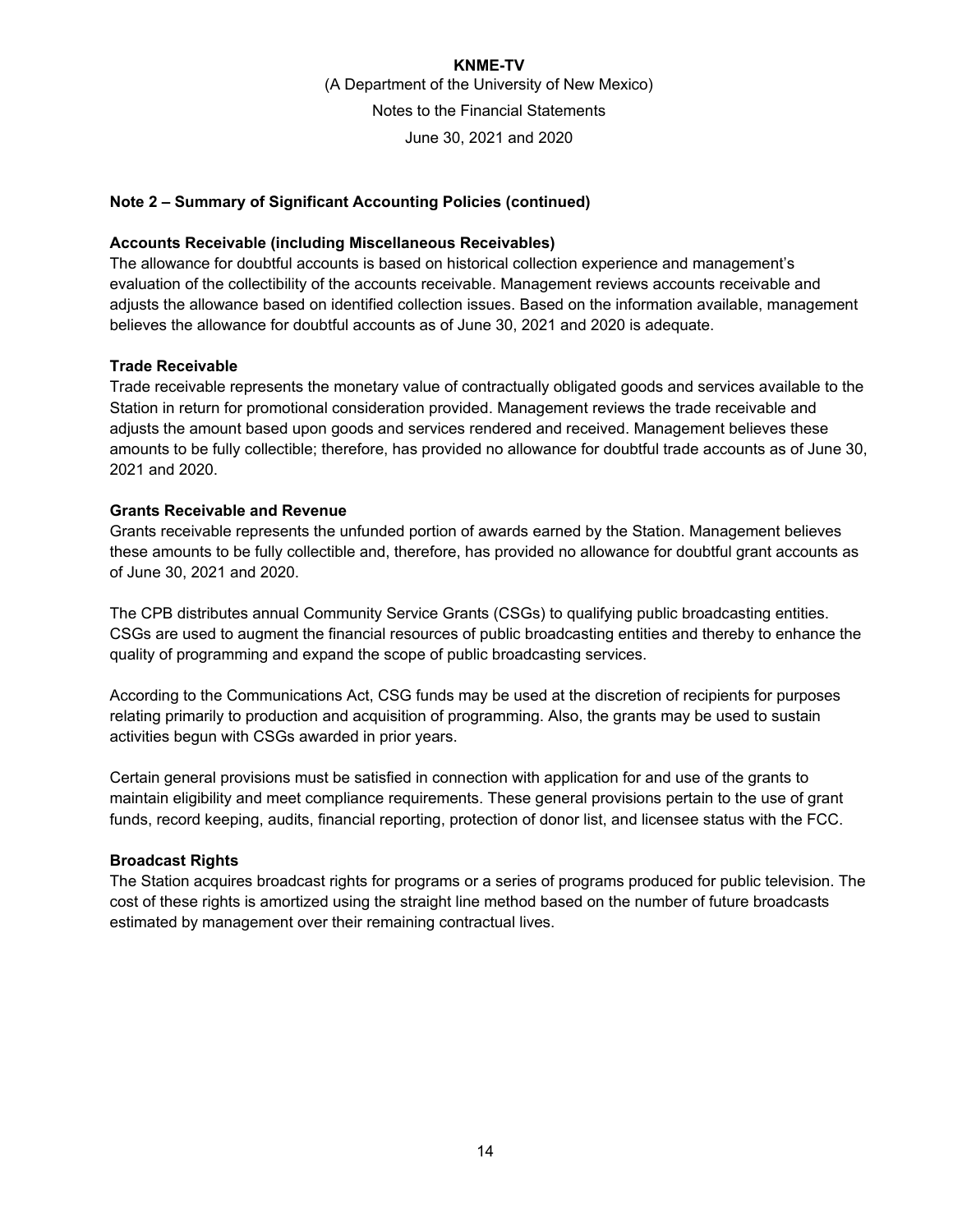### **Note 2 – Summary of Significant Accounting Policies (continued)**

#### **Accounts Receivable (including Miscellaneous Receivables)**

The allowance for doubtful accounts is based on historical collection experience and management's evaluation of the collectibility of the accounts receivable. Management reviews accounts receivable and adjusts the allowance based on identified collection issues. Based on the information available, management believes the allowance for doubtful accounts as of June 30, 2021 and 2020 is adequate.

### **Trade Receivable**

Trade receivable represents the monetary value of contractually obligated goods and services available to the Station in return for promotional consideration provided. Management reviews the trade receivable and adjusts the amount based upon goods and services rendered and received. Management believes these amounts to be fully collectible; therefore, has provided no allowance for doubtful trade accounts as of June 30, 2021 and 2020.

### **Grants Receivable and Revenue**

Grants receivable represents the unfunded portion of awards earned by the Station. Management believes these amounts to be fully collectible and, therefore, has provided no allowance for doubtful grant accounts as of June 30, 2021 and 2020.

The CPB distributes annual Community Service Grants (CSGs) to qualifying public broadcasting entities. CSGs are used to augment the financial resources of public broadcasting entities and thereby to enhance the quality of programming and expand the scope of public broadcasting services.

According to the Communications Act, CSG funds may be used at the discretion of recipients for purposes relating primarily to production and acquisition of programming. Also, the grants may be used to sustain activities begun with CSGs awarded in prior years.

Certain general provisions must be satisfied in connection with application for and use of the grants to maintain eligibility and meet compliance requirements. These general provisions pertain to the use of grant funds, record keeping, audits, financial reporting, protection of donor list, and licensee status with the FCC.

#### **Broadcast Rights**

The Station acquires broadcast rights for programs or a series of programs produced for public television. The cost of these rights is amortized using the straight line method based on the number of future broadcasts estimated by management over their remaining contractual lives.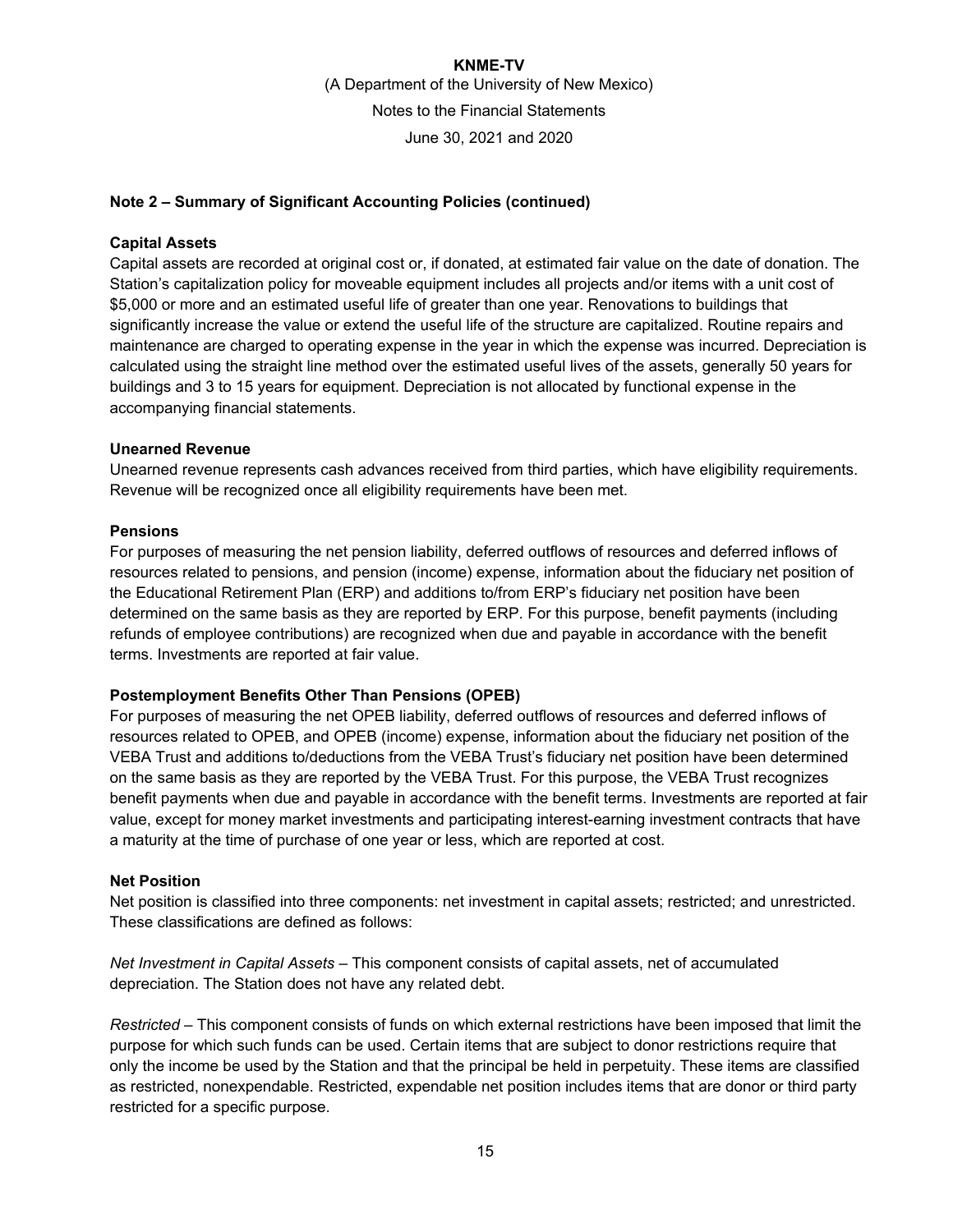### **Note 2 – Summary of Significant Accounting Policies (continued)**

#### **Capital Assets**

Capital assets are recorded at original cost or, if donated, at estimated fair value on the date of donation. The Station's capitalization policy for moveable equipment includes all projects and/or items with a unit cost of \$5,000 or more and an estimated useful life of greater than one year. Renovations to buildings that significantly increase the value or extend the useful life of the structure are capitalized. Routine repairs and maintenance are charged to operating expense in the year in which the expense was incurred. Depreciation is calculated using the straight line method over the estimated useful lives of the assets, generally 50 years for buildings and 3 to 15 years for equipment. Depreciation is not allocated by functional expense in the accompanying financial statements.

### **Unearned Revenue**

Unearned revenue represents cash advances received from third parties, which have eligibility requirements. Revenue will be recognized once all eligibility requirements have been met.

### **Pensions**

For purposes of measuring the net pension liability, deferred outflows of resources and deferred inflows of resources related to pensions, and pension (income) expense, information about the fiduciary net position of the Educational Retirement Plan (ERP) and additions to/from ERP's fiduciary net position have been determined on the same basis as they are reported by ERP. For this purpose, benefit payments (including refunds of employee contributions) are recognized when due and payable in accordance with the benefit terms. Investments are reported at fair value.

### **Postemployment Benefits Other Than Pensions (OPEB)**

For purposes of measuring the net OPEB liability, deferred outflows of resources and deferred inflows of resources related to OPEB, and OPEB (income) expense, information about the fiduciary net position of the VEBA Trust and additions to/deductions from the VEBA Trust's fiduciary net position have been determined on the same basis as they are reported by the VEBA Trust. For this purpose, the VEBA Trust recognizes benefit payments when due and payable in accordance with the benefit terms. Investments are reported at fair value, except for money market investments and participating interest-earning investment contracts that have a maturity at the time of purchase of one year or less, which are reported at cost.

#### **Net Position**

Net position is classified into three components: net investment in capital assets; restricted; and unrestricted. These classifications are defined as follows:

*Net Investment in Capital Assets* – This component consists of capital assets, net of accumulated depreciation. The Station does not have any related debt.

*Restricted* – This component consists of funds on which external restrictions have been imposed that limit the purpose for which such funds can be used. Certain items that are subject to donor restrictions require that only the income be used by the Station and that the principal be held in perpetuity. These items are classified as restricted, nonexpendable. Restricted, expendable net position includes items that are donor or third party restricted for a specific purpose.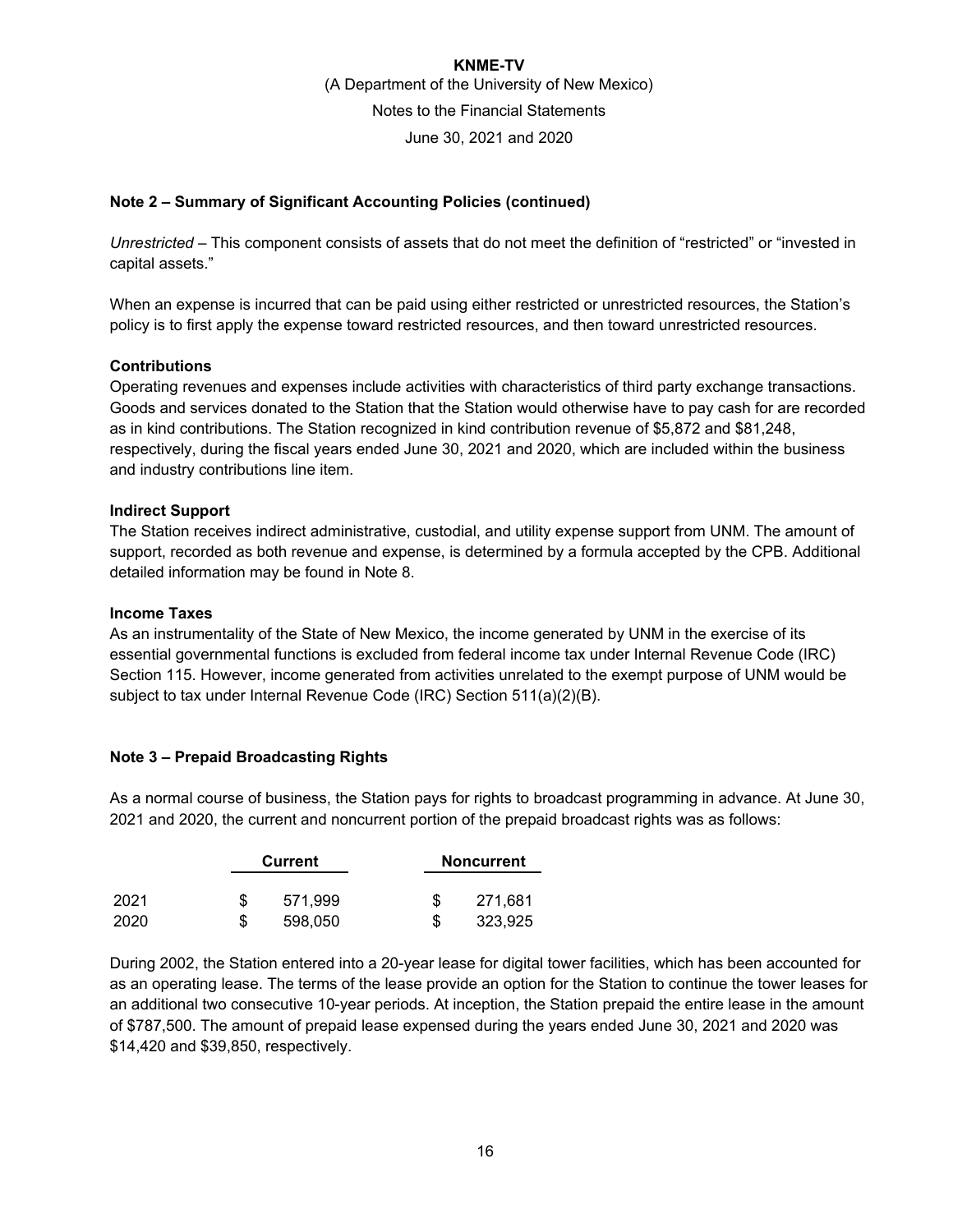### **Note 2 – Summary of Significant Accounting Policies (continued)**

*Unrestricted* – This component consists of assets that do not meet the definition of "restricted" or "invested in capital assets."

When an expense is incurred that can be paid using either restricted or unrestricted resources, the Station's policy is to first apply the expense toward restricted resources, and then toward unrestricted resources.

#### **Contributions**

Operating revenues and expenses include activities with characteristics of third party exchange transactions. Goods and services donated to the Station that the Station would otherwise have to pay cash for are recorded as in kind contributions. The Station recognized in kind contribution revenue of \$5,872 and \$81,248, respectively, during the fiscal years ended June 30, 2021 and 2020, which are included within the business and industry contributions line item.

#### **Indirect Support**

The Station receives indirect administrative, custodial, and utility expense support from UNM. The amount of support, recorded as both revenue and expense, is determined by a formula accepted by the CPB. Additional detailed information may be found in Note 8.

#### **Income Taxes**

As an instrumentality of the State of New Mexico, the income generated by UNM in the exercise of its essential governmental functions is excluded from federal income tax under Internal Revenue Code (IRC) Section 115. However, income generated from activities unrelated to the exempt purpose of UNM would be subject to tax under Internal Revenue Code (IRC) Section 511(a)(2)(B).

#### **Note 3 – Prepaid Broadcasting Rights**

As a normal course of business, the Station pays for rights to broadcast programming in advance. At June 30, 2021 and 2020, the current and noncurrent portion of the prepaid broadcast rights was as follows:

|      | Current |  | <b>Noncurrent</b> |
|------|---------|--|-------------------|
| 2021 | 571.999 |  | 271,681           |
| 2020 | 598,050 |  | 323,925           |

During 2002, the Station entered into a 20-year lease for digital tower facilities, which has been accounted for as an operating lease. The terms of the lease provide an option for the Station to continue the tower leases for an additional two consecutive 10-year periods. At inception, the Station prepaid the entire lease in the amount of \$787,500. The amount of prepaid lease expensed during the years ended June 30, 2021 and 2020 was \$14,420 and \$39,850, respectively.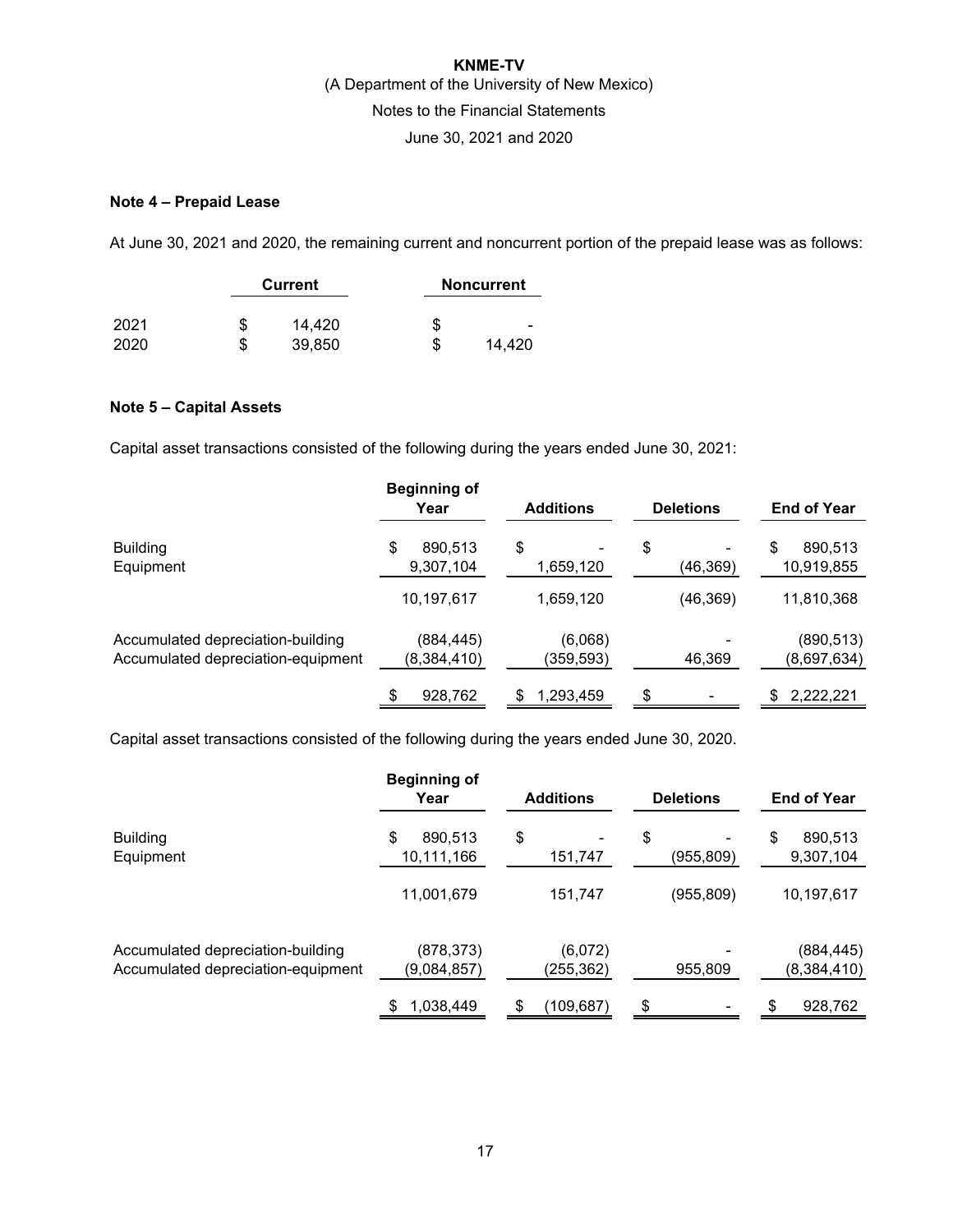### **Note 4 – Prepaid Lease**

At June 30, 2021 and 2020, the remaining current and noncurrent portion of the prepaid lease was as follows:

|      | <b>Current</b> |    | <b>Noncurrent</b>        |
|------|----------------|----|--------------------------|
| 2021 | \$<br>14,420   | S  | $\overline{\phantom{0}}$ |
| 2020 | \$<br>39,850   | \$ | 14.420                   |

### **Note 5 – Capital Assets**

Capital asset transactions consisted of the following during the years ended June 30, 2021:

|                                                                         | <b>Beginning of</b><br>Year | <b>Additions</b>      | <b>Deletions</b> | <b>End of Year</b>          |
|-------------------------------------------------------------------------|-----------------------------|-----------------------|------------------|-----------------------------|
| <b>Building</b><br>Equipment                                            | \$<br>890,513<br>9,307,104  | \$<br>۰<br>1,659,120  | \$<br>(46,369)   | 890,513<br>\$<br>10,919,855 |
|                                                                         | 10,197,617                  | 1,659,120             | (46,369)         | 11,810,368                  |
| Accumulated depreciation-building<br>Accumulated depreciation-equipment | (884,445)<br>(8,384,410)    | (6,068)<br>(359, 593) | 46,369           | (890, 513)<br>(8,697,634)   |
|                                                                         | 928,762                     | 1,293,459             | \$               | 2,222,221<br>\$             |

Capital asset transactions consisted of the following during the years ended June 30, 2020.

|                                                                         | <b>Beginning of</b><br>Year | <b>Additions</b>     | <b>Deletions</b> | <b>End of Year</b>         |
|-------------------------------------------------------------------------|-----------------------------|----------------------|------------------|----------------------------|
| <b>Building</b><br>Equipment                                            | \$<br>890,513<br>10,111,166 | \$<br>۰<br>151,747   | \$<br>(955,809)  | \$<br>890,513<br>9,307,104 |
|                                                                         | 11,001,679                  | 151,747              | (955, 809)       | 10,197,617                 |
| Accumulated depreciation-building<br>Accumulated depreciation-equipment | (878, 373)<br>(9,084,857)   | (6,072)<br>(255,362) | 955,809          | (884, 445)<br>(8,384,410)  |
|                                                                         | 1,038,449                   | \$<br>(109, 687)     | \$               | 928,762<br>\$              |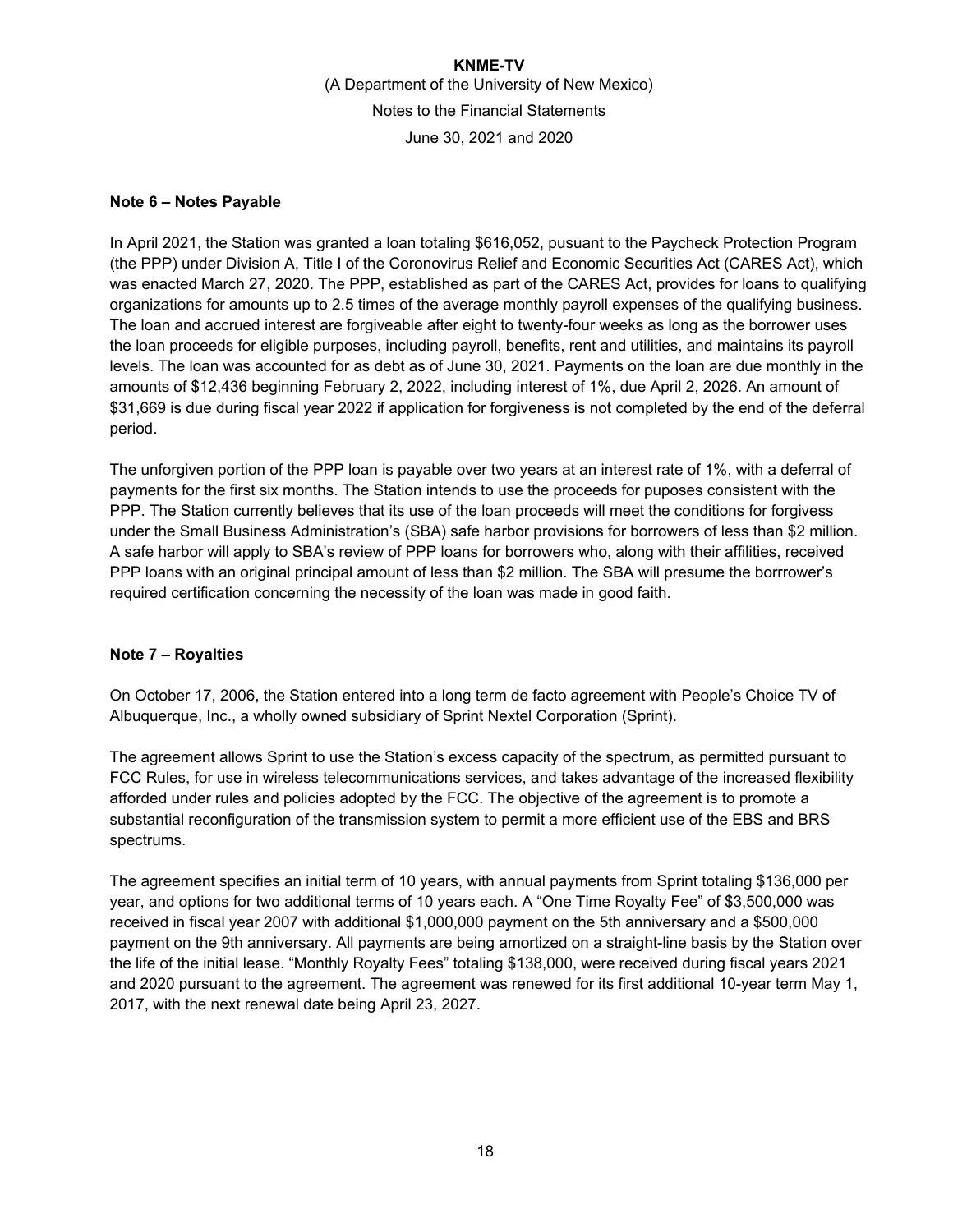### **Note 6 – Notes Payable**

In April 2021, the Station was granted a loan totaling \$616,052, pusuant to the Paycheck Protection Program (the PPP) under Division A, Title I of the Coronovirus Relief and Economic Securities Act (CARES Act), which was enacted March 27, 2020. The PPP, established as part of the CARES Act, provides for loans to qualifying organizations for amounts up to 2.5 times of the average monthly payroll expenses of the qualifying business. The loan and accrued interest are forgiveable after eight to twenty-four weeks as long as the borrower uses the loan proceeds for eligible purposes, including payroll, benefits, rent and utilities, and maintains its payroll levels. The loan was accounted for as debt as of June 30, 2021. Payments on the loan are due monthly in the amounts of \$12,436 beginning February 2, 2022, including interest of 1%, due April 2, 2026. An amount of \$31,669 is due during fiscal year 2022 if application for forgiveness is not completed by the end of the deferral period.

The unforgiven portion of the PPP loan is payable over two years at an interest rate of 1%, with a deferral of payments for the first six months. The Station intends to use the proceeds for puposes consistent with the PPP. The Station currently believes that its use of the loan proceeds will meet the conditions for forgivess under the Small Business Administration's (SBA) safe harbor provisions for borrowers of less than \$2 million. A safe harbor will apply to SBA's review of PPP loans for borrowers who, along with their affilities, received PPP loans with an original principal amount of less than \$2 million. The SBA will presume the borrrower's required certification concerning the necessity of the loan was made in good faith.

### **Note 7 – Royalties**

On October 17, 2006, the Station entered into a long term de facto agreement with People's Choice TV of Albuquerque, Inc., a wholly owned subsidiary of Sprint Nextel Corporation (Sprint).

The agreement allows Sprint to use the Station's excess capacity of the spectrum, as permitted pursuant to FCC Rules, for use in wireless telecommunications services, and takes advantage of the increased flexibility afforded under rules and policies adopted by the FCC. The objective of the agreement is to promote a substantial reconfiguration of the transmission system to permit a more efficient use of the EBS and BRS spectrums.

The agreement specifies an initial term of 10 years, with annual payments from Sprint totaling \$136,000 per year, and options for two additional terms of 10 years each. A "One Time Royalty Fee" of \$3,500,000 was received in fiscal year 2007 with additional \$1,000,000 payment on the 5th anniversary and a \$500,000 payment on the 9th anniversary. All payments are being amortized on a straight-line basis by the Station over the life of the initial lease. "Monthly Royalty Fees" totaling \$138,000, were received during fiscal years 2021 and 2020 pursuant to the agreement. The agreement was renewed for its first additional 10-year term May 1, 2017, with the next renewal date being April 23, 2027.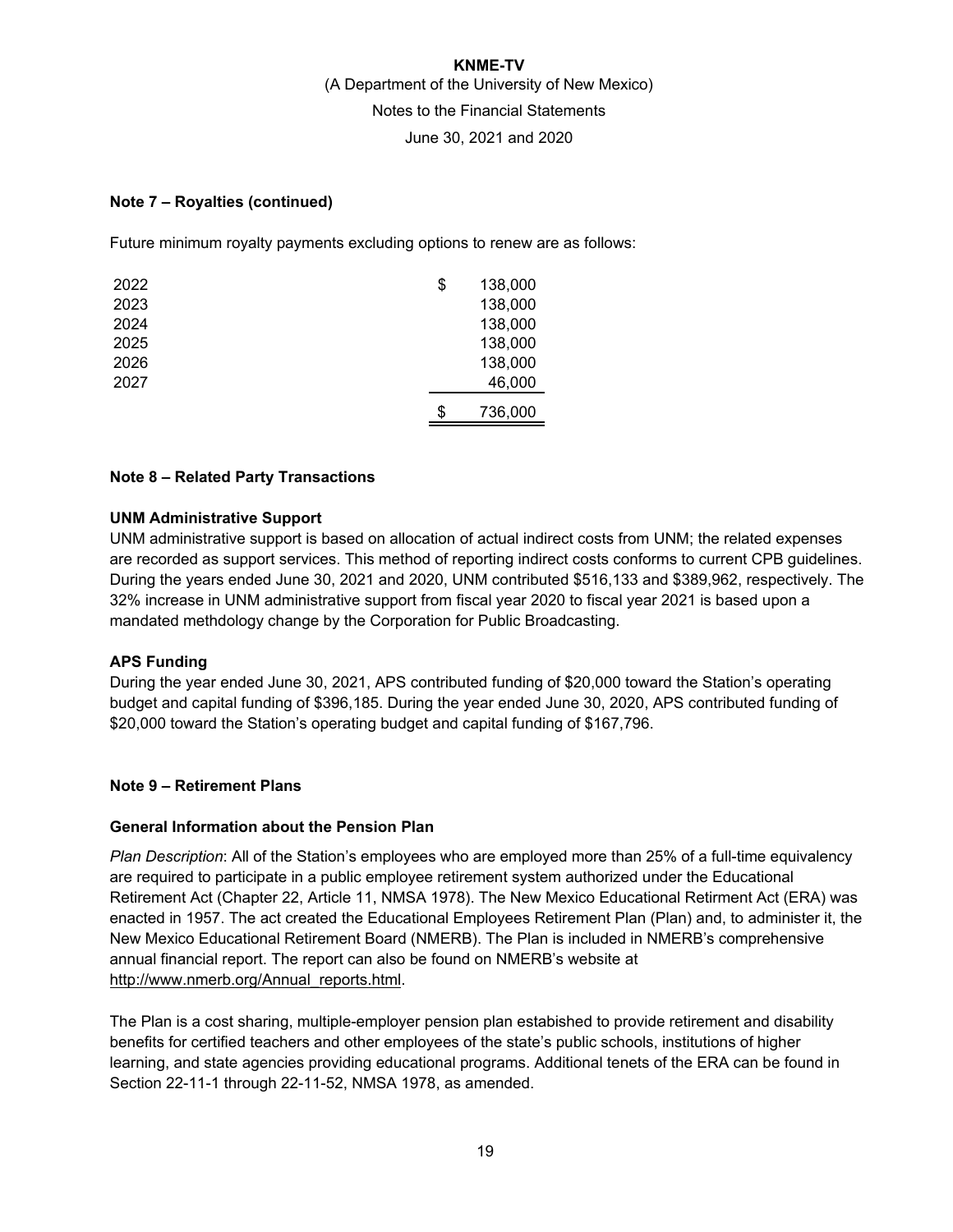### **Note 7 – Royalties (continued)**

Future minimum royalty payments excluding options to renew are as follows:

| 2022 | \$<br>138,000 |
|------|---------------|
| 2023 | 138,000       |
| 2024 | 138,000       |
| 2025 | 138,000       |
| 2026 | 138,000       |
| 2027 | 46,000        |
|      | \$<br>736,000 |

### **Note 8 – Related Party Transactions**

### **UNM Administrative Support**

UNM administrative support is based on allocation of actual indirect costs from UNM; the related expenses are recorded as support services. This method of reporting indirect costs conforms to current CPB guidelines. During the years ended June 30, 2021 and 2020, UNM contributed \$516,133 and \$389,962, respectively. The 32% increase in UNM administrative support from fiscal year 2020 to fiscal year 2021 is based upon a mandated methdology change by the Corporation for Public Broadcasting.

#### **APS Funding**

During the year ended June 30, 2021, APS contributed funding of \$20,000 toward the Station's operating budget and capital funding of \$396,185. During the year ended June 30, 2020, APS contributed funding of \$20,000 toward the Station's operating budget and capital funding of \$167,796.

#### **Note 9 – Retirement Plans**

#### **General Information about the Pension Plan**

*Plan Description*: All of the Station's employees who are employed more than 25% of a full-time equivalency are required to participate in a public employee retirement system authorized under the Educational Retirement Act (Chapter 22, Article 11, NMSA 1978). The New Mexico Educational Retirment Act (ERA) was enacted in 1957. The act created the Educational Employees Retirement Plan (Plan) and, to administer it, the New Mexico Educational Retirement Board (NMERB). The Plan is included in NMERB's comprehensive annual financial report. The report can also be found on NMERB's website at http://www.nmerb.org/Annual\_reports.html.

The Plan is a cost sharing, multiple-employer pension plan estabished to provide retirement and disability benefits for certified teachers and other employees of the state's public schools, institutions of higher learning, and state agencies providing educational programs. Additional tenets of the ERA can be found in Section 22-11-1 through 22-11-52, NMSA 1978, as amended.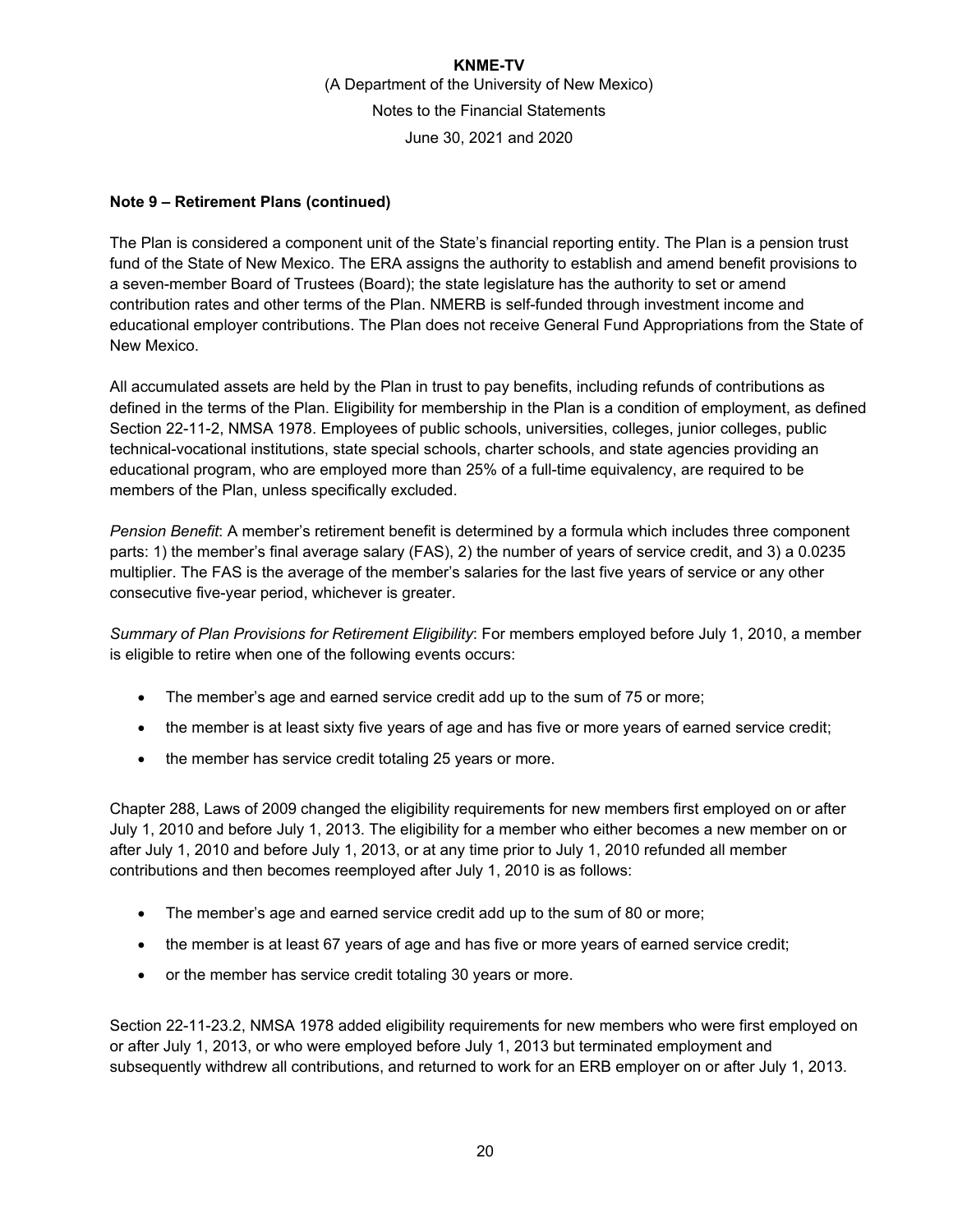### **Note 9 – Retirement Plans (continued)**

The Plan is considered a component unit of the State's financial reporting entity. The Plan is a pension trust fund of the State of New Mexico. The ERA assigns the authority to establish and amend benefit provisions to a seven-member Board of Trustees (Board); the state legislature has the authority to set or amend contribution rates and other terms of the Plan. NMERB is self-funded through investment income and educational employer contributions. The Plan does not receive General Fund Appropriations from the State of New Mexico.

All accumulated assets are held by the Plan in trust to pay benefits, including refunds of contributions as defined in the terms of the Plan. Eligibility for membership in the Plan is a condition of employment, as defined Section 22-11-2, NMSA 1978. Employees of public schools, universities, colleges, junior colleges, public technical-vocational institutions, state special schools, charter schools, and state agencies providing an educational program, who are employed more than 25% of a full-time equivalency, are required to be members of the Plan, unless specifically excluded.

*Pension Benefit*: A member's retirement benefit is determined by a formula which includes three component parts: 1) the member's final average salary (FAS), 2) the number of years of service credit, and 3) a 0.0235 multiplier. The FAS is the average of the member's salaries for the last five years of service or any other consecutive five-year period, whichever is greater.

*Summary of Plan Provisions for Retirement Eligibility*: For members employed before July 1, 2010, a member is eligible to retire when one of the following events occurs:

- The member's age and earned service credit add up to the sum of 75 or more;
- the member is at least sixty five years of age and has five or more years of earned service credit;
- the member has service credit totaling 25 years or more.

Chapter 288, Laws of 2009 changed the eligibility requirements for new members first employed on or after July 1, 2010 and before July 1, 2013. The eligibility for a member who either becomes a new member on or after July 1, 2010 and before July 1, 2013, or at any time prior to July 1, 2010 refunded all member contributions and then becomes reemployed after July 1, 2010 is as follows:

- The member's age and earned service credit add up to the sum of 80 or more;
- the member is at least 67 years of age and has five or more years of earned service credit;
- or the member has service credit totaling 30 years or more.

Section 22-11-23.2, NMSA 1978 added eligibility requirements for new members who were first employed on or after July 1, 2013, or who were employed before July 1, 2013 but terminated employment and subsequently withdrew all contributions, and returned to work for an ERB employer on or after July 1, 2013.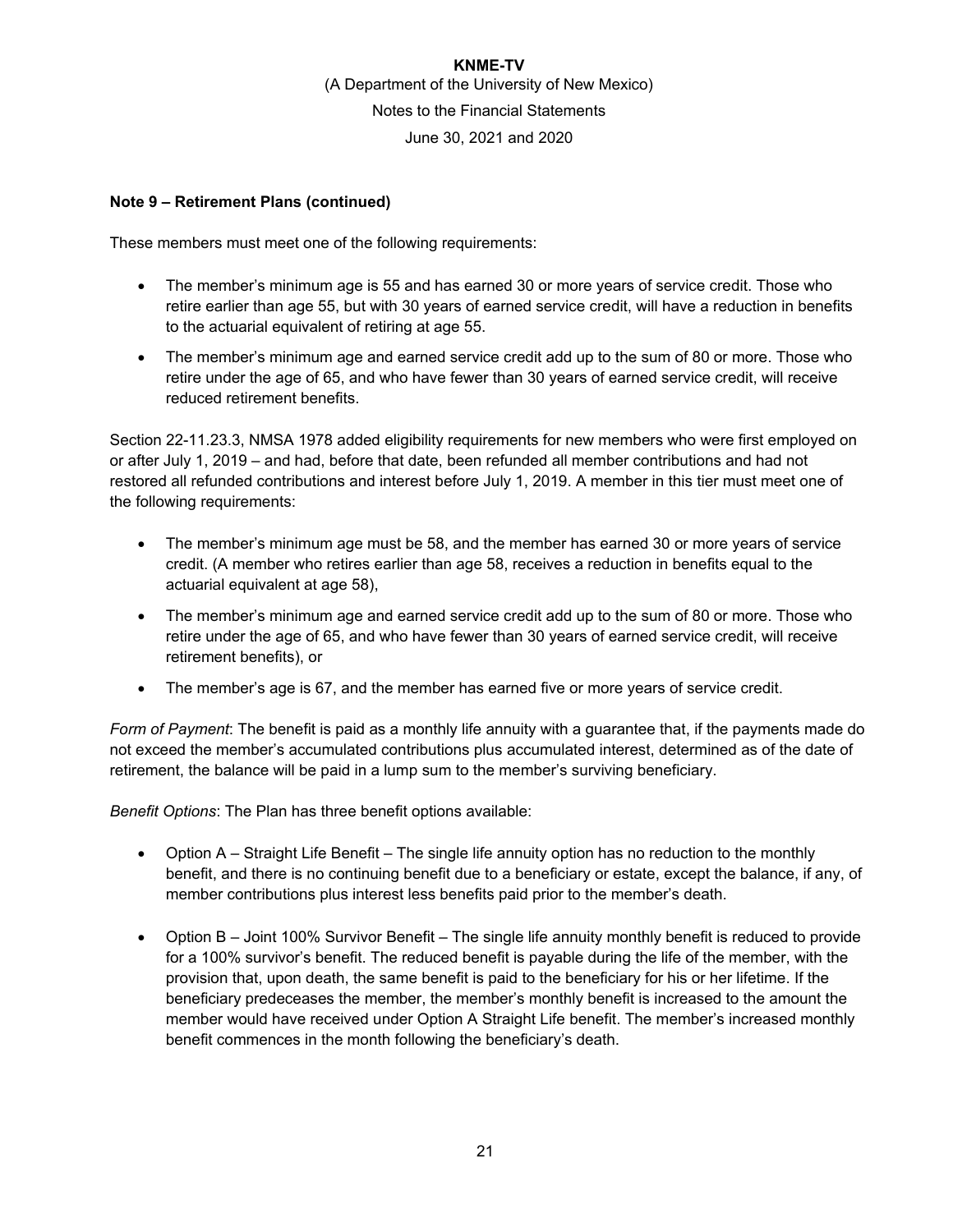### **Note 9 – Retirement Plans (continued)**

These members must meet one of the following requirements:

- The member's minimum age is 55 and has earned 30 or more years of service credit. Those who retire earlier than age 55, but with 30 years of earned service credit, will have a reduction in benefits to the actuarial equivalent of retiring at age 55.
- The member's minimum age and earned service credit add up to the sum of 80 or more. Those who retire under the age of 65, and who have fewer than 30 years of earned service credit, will receive reduced retirement benefits.

Section 22-11.23.3, NMSA 1978 added eligibility requirements for new members who were first employed on or after July 1, 2019 – and had, before that date, been refunded all member contributions and had not restored all refunded contributions and interest before July 1, 2019. A member in this tier must meet one of the following requirements:

- The member's minimum age must be 58, and the member has earned 30 or more years of service credit. (A member who retires earlier than age 58, receives a reduction in benefits equal to the actuarial equivalent at age 58),
- The member's minimum age and earned service credit add up to the sum of 80 or more. Those who retire under the age of 65, and who have fewer than 30 years of earned service credit, will receive retirement benefits), or
- The member's age is 67, and the member has earned five or more years of service credit.

*Form of Payment*: The benefit is paid as a monthly life annuity with a guarantee that, if the payments made do not exceed the member's accumulated contributions plus accumulated interest, determined as of the date of retirement, the balance will be paid in a lump sum to the member's surviving beneficiary.

*Benefit Options*: The Plan has three benefit options available:

- Option A Straight Life Benefit The single life annuity option has no reduction to the monthly benefit, and there is no continuing benefit due to a beneficiary or estate, except the balance, if any, of member contributions plus interest less benefits paid prior to the member's death.
- Option B Joint 100% Survivor Benefit The single life annuity monthly benefit is reduced to provide for a 100% survivor's benefit. The reduced benefit is payable during the life of the member, with the provision that, upon death, the same benefit is paid to the beneficiary for his or her lifetime. If the beneficiary predeceases the member, the member's monthly benefit is increased to the amount the member would have received under Option A Straight Life benefit. The member's increased monthly benefit commences in the month following the beneficiary's death.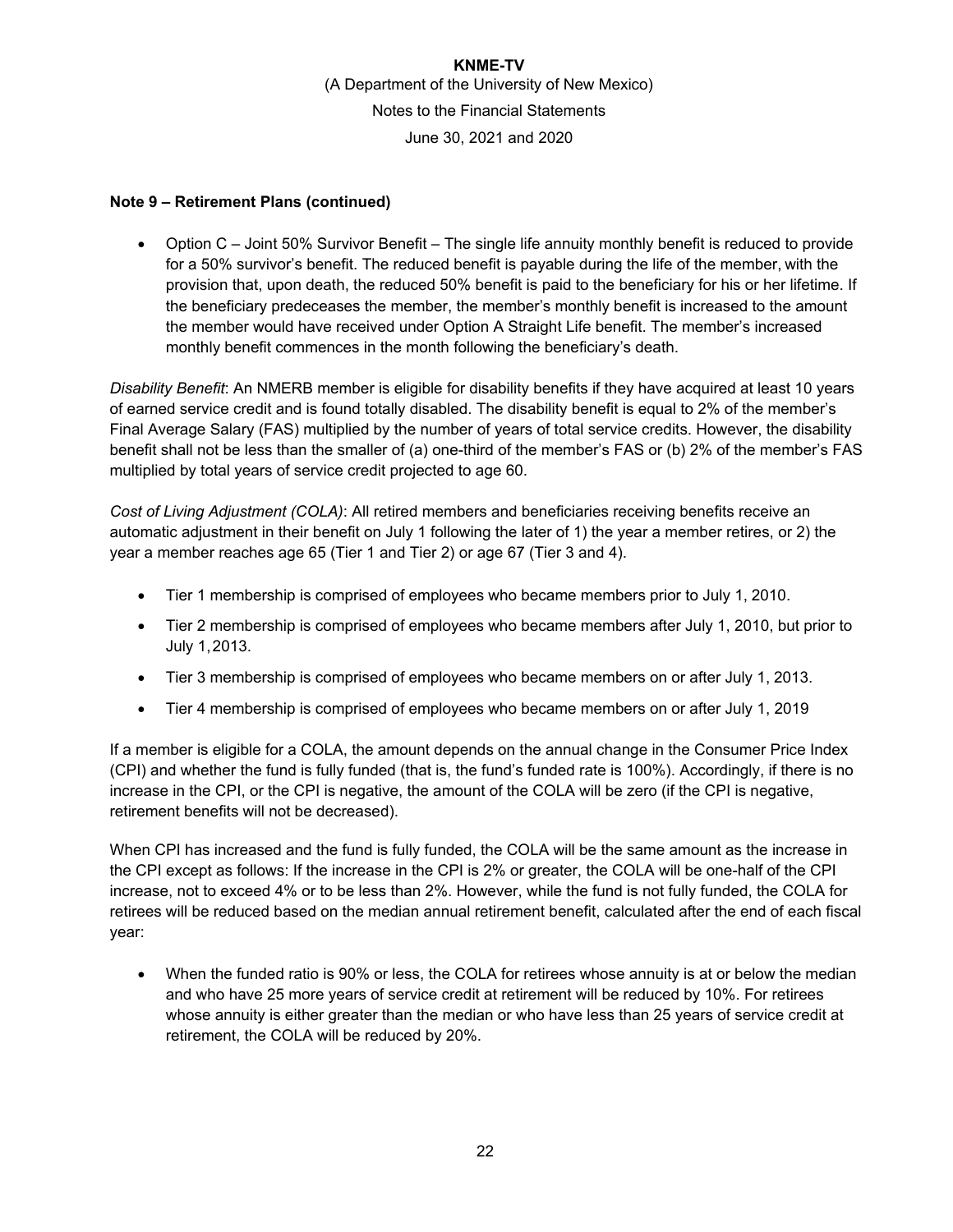### **Note 9 – Retirement Plans (continued)**

 Option C – Joint 50% Survivor Benefit – The single life annuity monthly benefit is reduced to provide for a 50% survivor's benefit. The reduced benefit is payable during the life of the member, with the provision that, upon death, the reduced 50% benefit is paid to the beneficiary for his or her lifetime. If the beneficiary predeceases the member, the member's monthly benefit is increased to the amount the member would have received under Option A Straight Life benefit. The member's increased monthly benefit commences in the month following the beneficiary's death.

*Disability Benefit*: An NMERB member is eligible for disability benefits if they have acquired at least 10 years of earned service credit and is found totally disabled. The disability benefit is equal to 2% of the member's Final Average Salary (FAS) multiplied by the number of years of total service credits. However, the disability benefit shall not be less than the smaller of (a) one-third of the member's FAS or (b) 2% of the member's FAS multiplied by total years of service credit projected to age 60.

*Cost of Living Adjustment (COLA)*: All retired members and beneficiaries receiving benefits receive an automatic adjustment in their benefit on July 1 following the later of 1) the year a member retires, or 2) the year a member reaches age 65 (Tier 1 and Tier 2) or age 67 (Tier 3 and 4).

- Tier 1 membership is comprised of employees who became members prior to July 1, 2010.
- Tier 2 membership is comprised of employees who became members after July 1, 2010, but prior to July 1, 2013.
- Tier 3 membership is comprised of employees who became members on or after July 1, 2013.
- Tier 4 membership is comprised of employees who became members on or after July 1, 2019

If a member is eligible for a COLA, the amount depends on the annual change in the Consumer Price Index (CPI) and whether the fund is fully funded (that is, the fund's funded rate is 100%). Accordingly, if there is no increase in the CPI, or the CPI is negative, the amount of the COLA will be zero (if the CPI is negative, retirement benefits will not be decreased).

When CPI has increased and the fund is fully funded, the COLA will be the same amount as the increase in the CPI except as follows: If the increase in the CPI is 2% or greater, the COLA will be one-half of the CPI increase, not to exceed 4% or to be less than 2%. However, while the fund is not fully funded, the COLA for retirees will be reduced based on the median annual retirement benefit, calculated after the end of each fiscal year:

 When the funded ratio is 90% or less, the COLA for retirees whose annuity is at or below the median and who have 25 more years of service credit at retirement will be reduced by 10%. For retirees whose annuity is either greater than the median or who have less than 25 years of service credit at retirement, the COLA will be reduced by 20%.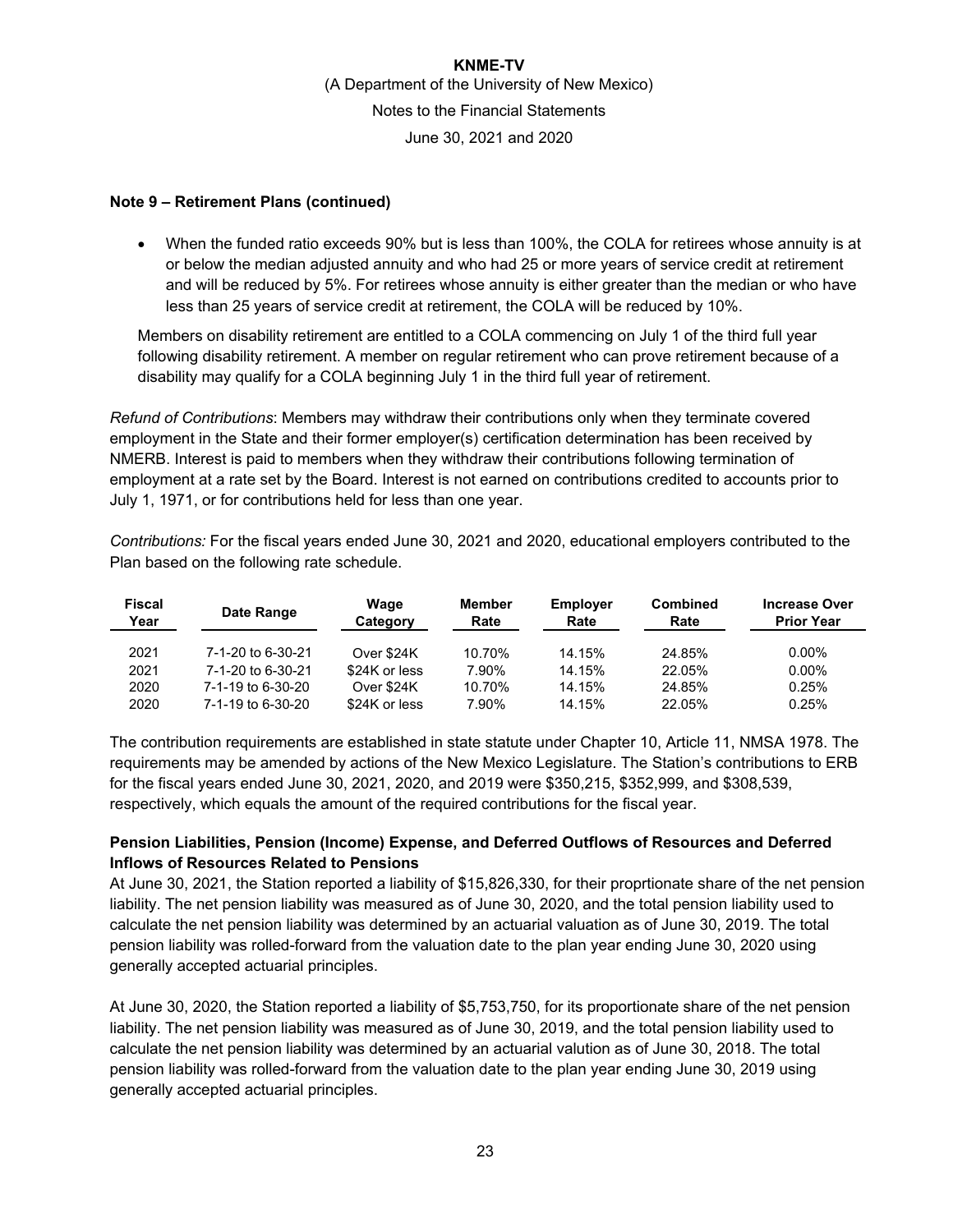### **Note 9 – Retirement Plans (continued)**

 When the funded ratio exceeds 90% but is less than 100%, the COLA for retirees whose annuity is at or below the median adjusted annuity and who had 25 or more years of service credit at retirement and will be reduced by 5%. For retirees whose annuity is either greater than the median or who have less than 25 years of service credit at retirement, the COLA will be reduced by 10%.

Members on disability retirement are entitled to a COLA commencing on July 1 of the third full year following disability retirement. A member on regular retirement who can prove retirement because of a disability may qualify for a COLA beginning July 1 in the third full year of retirement.

*Refund of Contributions*: Members may withdraw their contributions only when they terminate covered employment in the State and their former employer(s) certification determination has been received by NMERB. Interest is paid to members when they withdraw their contributions following termination of employment at a rate set by the Board. Interest is not earned on contributions credited to accounts prior to July 1, 1971, or for contributions held for less than one year.

*Contributions:* For the fiscal years ended June 30, 2021 and 2020, educational employers contributed to the Plan based on the following rate schedule.

| <b>Fiscal</b><br>Year | Date Range        | Wage<br>Category | <b>Member</b><br>Rate | <b>Employer</b><br>Rate | Combined<br>Rate | <b>Increase Over</b><br><b>Prior Year</b> |
|-----------------------|-------------------|------------------|-----------------------|-------------------------|------------------|-------------------------------------------|
| 2021                  | 7-1-20 to 6-30-21 | Over \$24K       | 10.70%                | 14.15%                  | 24.85%           | $0.00\%$                                  |
| 2021                  | 7-1-20 to 6-30-21 | \$24K or less    | 7.90%                 | 14.15%                  | 22.05%           | $0.00\%$                                  |
| 2020                  | 7-1-19 to 6-30-20 | Over \$24K       | 10.70%                | 14.15%                  | 24.85%           | 0.25%                                     |
| 2020                  | 7-1-19 to 6-30-20 | \$24K or less    | 7.90%                 | 14.15%                  | 22.05%           | 0.25%                                     |

The contribution requirements are established in state statute under Chapter 10, Article 11, NMSA 1978. The requirements may be amended by actions of the New Mexico Legislature. The Station's contributions to ERB for the fiscal years ended June 30, 2021, 2020, and 2019 were \$350,215, \$352,999, and \$308,539, respectively, which equals the amount of the required contributions for the fiscal year.

### **Pension Liabilities, Pension (Income) Expense, and Deferred Outflows of Resources and Deferred Inflows of Resources Related to Pensions**

At June 30, 2021, the Station reported a liability of \$15,826,330, for their proprtionate share of the net pension liability. The net pension liability was measured as of June 30, 2020, and the total pension liability used to calculate the net pension liability was determined by an actuarial valuation as of June 30, 2019. The total pension liability was rolled-forward from the valuation date to the plan year ending June 30, 2020 using generally accepted actuarial principles.

At June 30, 2020, the Station reported a liability of \$5,753,750, for its proportionate share of the net pension liability. The net pension liability was measured as of June 30, 2019, and the total pension liability used to calculate the net pension liability was determined by an actuarial valution as of June 30, 2018. The total pension liability was rolled-forward from the valuation date to the plan year ending June 30, 2019 using generally accepted actuarial principles.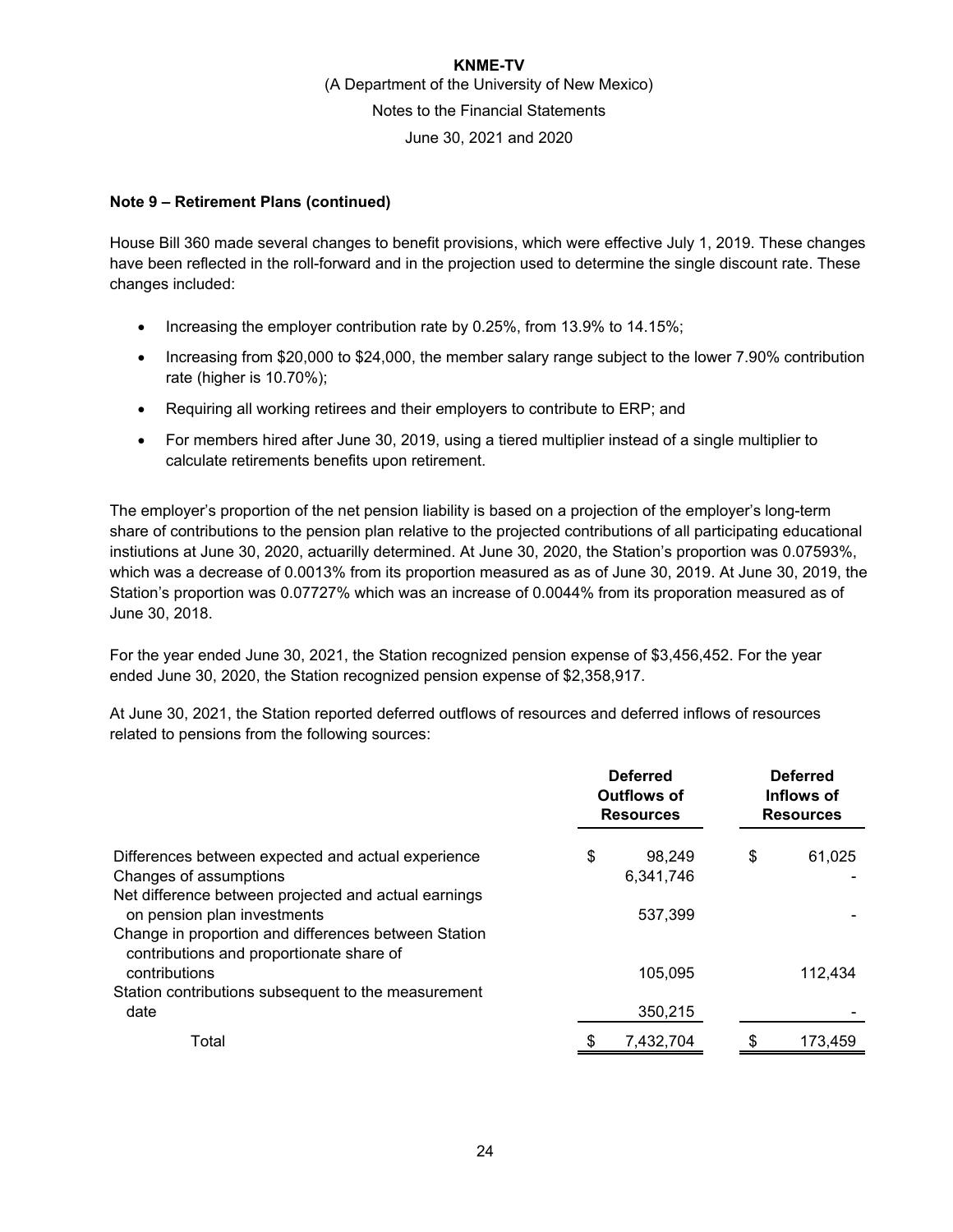### **Note 9 – Retirement Plans (continued)**

House Bill 360 made several changes to benefit provisions, which were effective July 1, 2019. These changes have been reflected in the roll-forward and in the projection used to determine the single discount rate. These changes included:

- Increasing the employer contribution rate by 0.25%, from 13.9% to 14.15%;
- Increasing from \$20,000 to \$24,000, the member salary range subject to the lower 7.90% contribution rate (higher is 10.70%);
- Requiring all working retirees and their employers to contribute to ERP; and
- For members hired after June 30, 2019, using a tiered multiplier instead of a single multiplier to calculate retirements benefits upon retirement.

The employer's proportion of the net pension liability is based on a projection of the employer's long-term share of contributions to the pension plan relative to the projected contributions of all participating educational instiutions at June 30, 2020, actuarilly determined. At June 30, 2020, the Station's proportion was 0.07593%, which was a decrease of 0.0013% from its proportion measured as as of June 30, 2019. At June 30, 2019, the Station's proportion was 0.07727% which was an increase of 0.0044% from its proporation measured as of June 30, 2018.

For the year ended June 30, 2021, the Station recognized pension expense of \$3,456,452. For the year ended June 30, 2020, the Station recognized pension expense of \$2,358,917.

At June 30, 2021, the Station reported deferred outflows of resources and deferred inflows of resources related to pensions from the following sources:

|                                                                                                                                             | <b>Deferred</b><br><b>Outflows of</b><br><b>Resources</b> |                     | <b>Deferred</b><br>Inflows of<br><b>Resources</b> |         |
|---------------------------------------------------------------------------------------------------------------------------------------------|-----------------------------------------------------------|---------------------|---------------------------------------------------|---------|
| Differences between expected and actual experience<br>Changes of assumptions                                                                | \$                                                        | 98.249<br>6,341,746 | \$                                                | 61,025  |
| Net difference between projected and actual earnings<br>on pension plan investments<br>Change in proportion and differences between Station |                                                           | 537.399             |                                                   |         |
| contributions and proportionate share of<br>contributions                                                                                   |                                                           | 105.095             |                                                   | 112,434 |
| Station contributions subsequent to the measurement<br>date                                                                                 |                                                           | 350,215             |                                                   |         |
| Total                                                                                                                                       |                                                           | 7,432,704           |                                                   | 173,459 |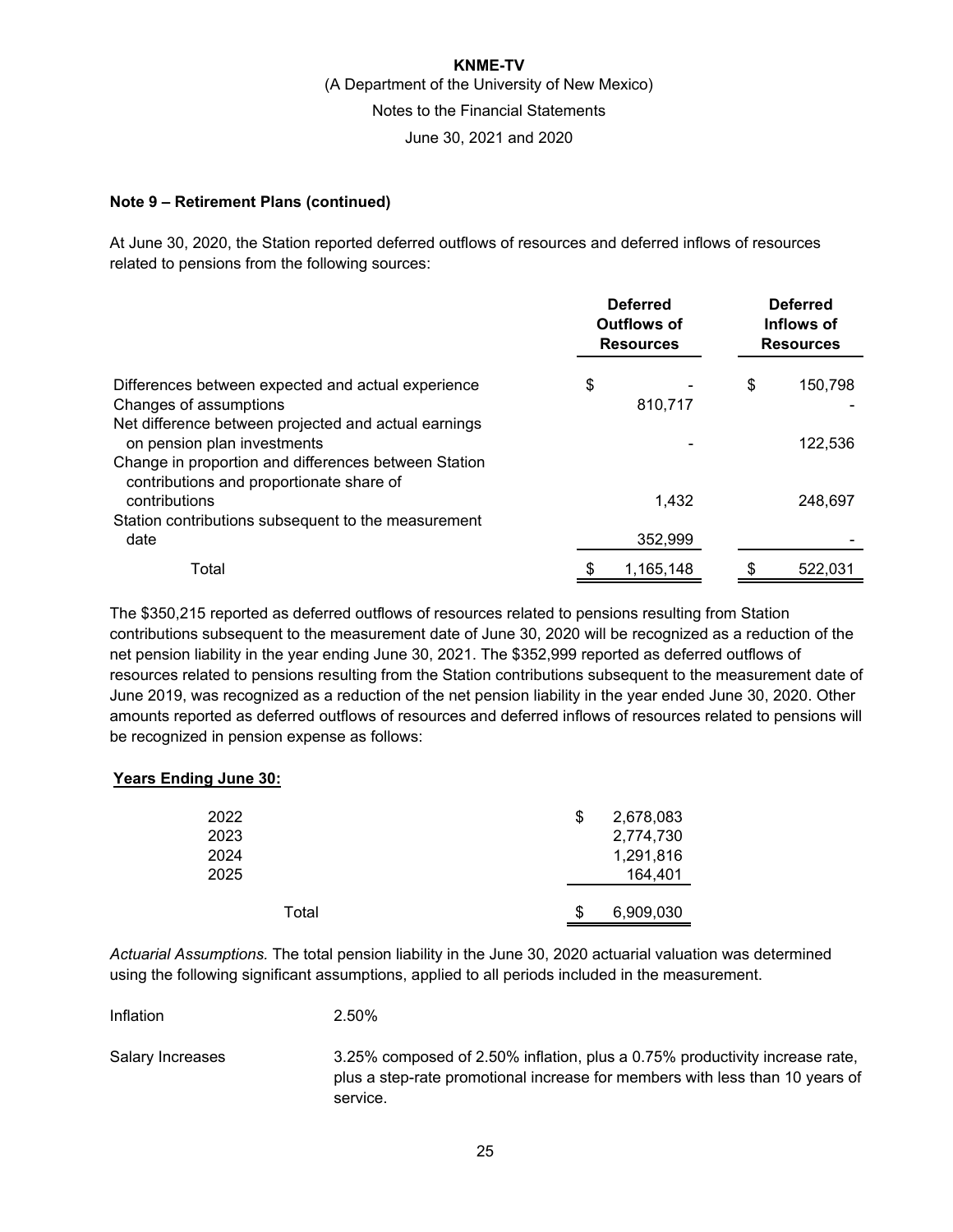### **Note 9 – Retirement Plans (continued)**

At June 30, 2020, the Station reported deferred outflows of resources and deferred inflows of resources related to pensions from the following sources:

|                                                                                                  | <b>Deferred</b><br>Outflows of<br><b>Resources</b> |           | <b>Deferred</b><br>Inflows of<br><b>Resources</b> |         |
|--------------------------------------------------------------------------------------------------|----------------------------------------------------|-----------|---------------------------------------------------|---------|
| Differences between expected and actual experience                                               | \$                                                 |           | \$                                                | 150,798 |
| Changes of assumptions                                                                           |                                                    | 810,717   |                                                   |         |
| Net difference between projected and actual earnings<br>on pension plan investments              |                                                    |           |                                                   | 122,536 |
| Change in proportion and differences between Station<br>contributions and proportionate share of |                                                    |           |                                                   |         |
| contributions                                                                                    |                                                    | 1,432     |                                                   | 248.697 |
| Station contributions subsequent to the measurement<br>date                                      |                                                    | 352,999   |                                                   |         |
| Total                                                                                            |                                                    | 1,165,148 |                                                   | 522,031 |

The \$350,215 reported as deferred outflows of resources related to pensions resulting from Station contributions subsequent to the measurement date of June 30, 2020 will be recognized as a reduction of the net pension liability in the year ending June 30, 2021. The \$352,999 reported as deferred outflows of resources related to pensions resulting from the Station contributions subsequent to the measurement date of June 2019, was recognized as a reduction of the net pension liability in the year ended June 30, 2020. Other amounts reported as deferred outflows of resources and deferred inflows of resources related to pensions will be recognized in pension expense as follows:

### **Years Ending June 30:**

| 2022<br>2023<br>2024<br>2025 | \$<br>2,678,083<br>2,774,730<br>1,291,816<br>164,401 |
|------------------------------|------------------------------------------------------|
| Total                        | 6,909,030                                            |

*Actuarial Assumptions.* The total pension liability in the June 30, 2020 actuarial valuation was determined using the following significant assumptions, applied to all periods included in the measurement.

| Inflation        | 2.50%                                                                                                                                                                   |
|------------------|-------------------------------------------------------------------------------------------------------------------------------------------------------------------------|
| Salary Increases | 3.25% composed of 2.50% inflation, plus a 0.75% productivity increase rate,<br>plus a step-rate promotional increase for members with less than 10 years of<br>service. |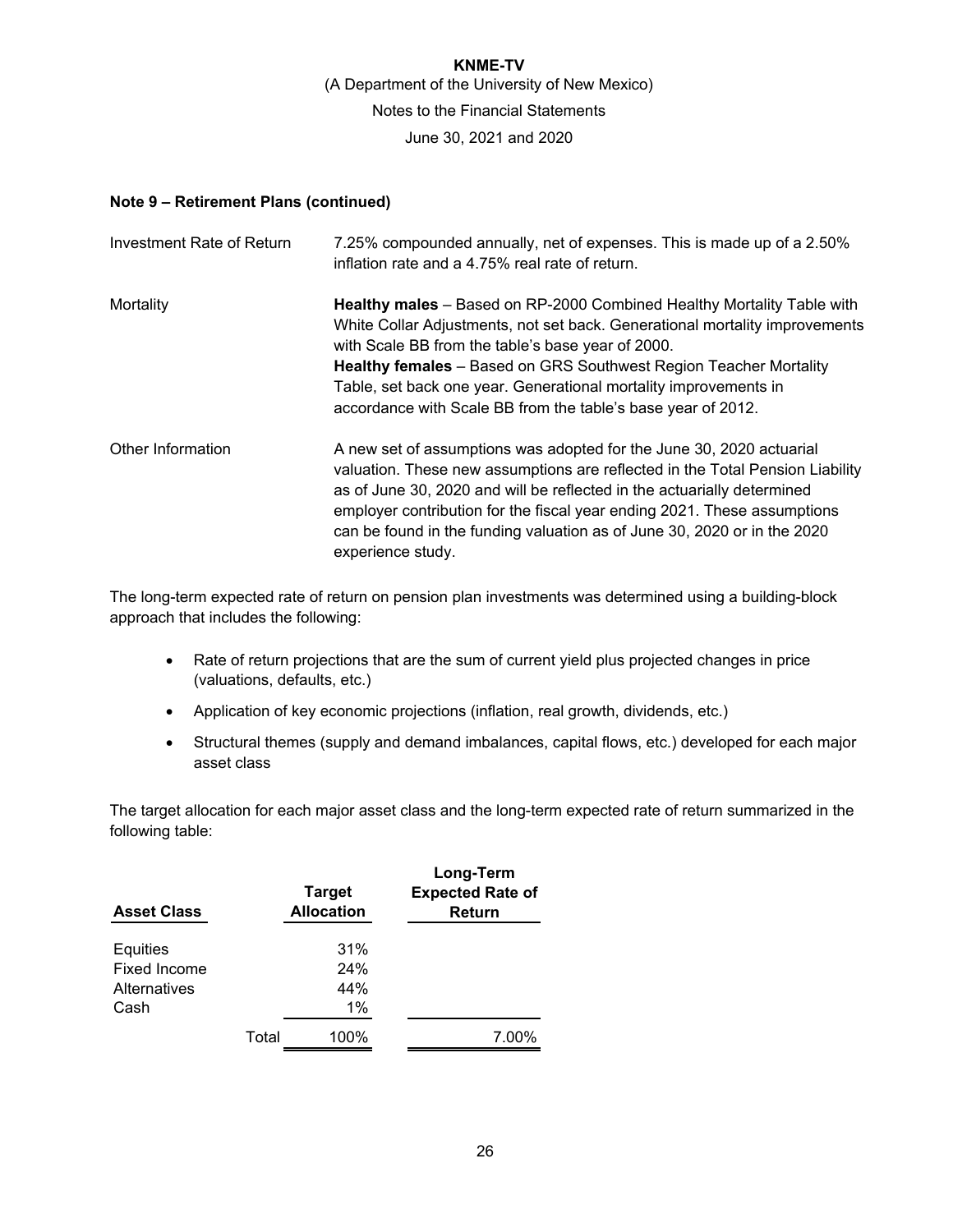### **Note 9 – Retirement Plans (continued)**

| <b>Investment Rate of Return</b> | 7.25% compounded annually, net of expenses. This is made up of a 2.50%<br>inflation rate and a 4.75% real rate of return.                                                                                                                                                                                                                                                                                                  |
|----------------------------------|----------------------------------------------------------------------------------------------------------------------------------------------------------------------------------------------------------------------------------------------------------------------------------------------------------------------------------------------------------------------------------------------------------------------------|
| Mortality                        | Healthy males - Based on RP-2000 Combined Healthy Mortality Table with<br>White Collar Adjustments, not set back. Generational mortality improvements<br>with Scale BB from the table's base year of 2000.<br><b>Healthy females</b> - Based on GRS Southwest Region Teacher Mortality<br>Table, set back one year. Generational mortality improvements in<br>accordance with Scale BB from the table's base year of 2012. |
| Other Information                | A new set of assumptions was adopted for the June 30, 2020 actuarial<br>valuation. These new assumptions are reflected in the Total Pension Liability<br>as of June 30, 2020 and will be reflected in the actuarially determined<br>employer contribution for the fiscal year ending 2021. These assumptions<br>can be found in the funding valuation as of June 30, 2020 or in the 2020<br>experience study.              |

The long-term expected rate of return on pension plan investments was determined using a building-block approach that includes the following:

- Rate of return projections that are the sum of current yield plus projected changes in price (valuations, defaults, etc.)
- Application of key economic projections (inflation, real growth, dividends, etc.)
- Structural themes (supply and demand imbalances, capital flows, etc.) developed for each major asset class

The target allocation for each major asset class and the long-term expected rate of return summarized in the following table:

| <b>Asset Class</b> |       | <b>Target</b><br><b>Allocation</b> | Long-Term<br><b>Expected Rate of</b><br>Return |
|--------------------|-------|------------------------------------|------------------------------------------------|
| Equities           |       | 31%                                |                                                |
| Fixed Income       |       | 24%                                |                                                |
| Alternatives       |       | 44%                                |                                                |
| Cash               |       | 1%                                 |                                                |
|                    | Total | 100%                               | 7.00%                                          |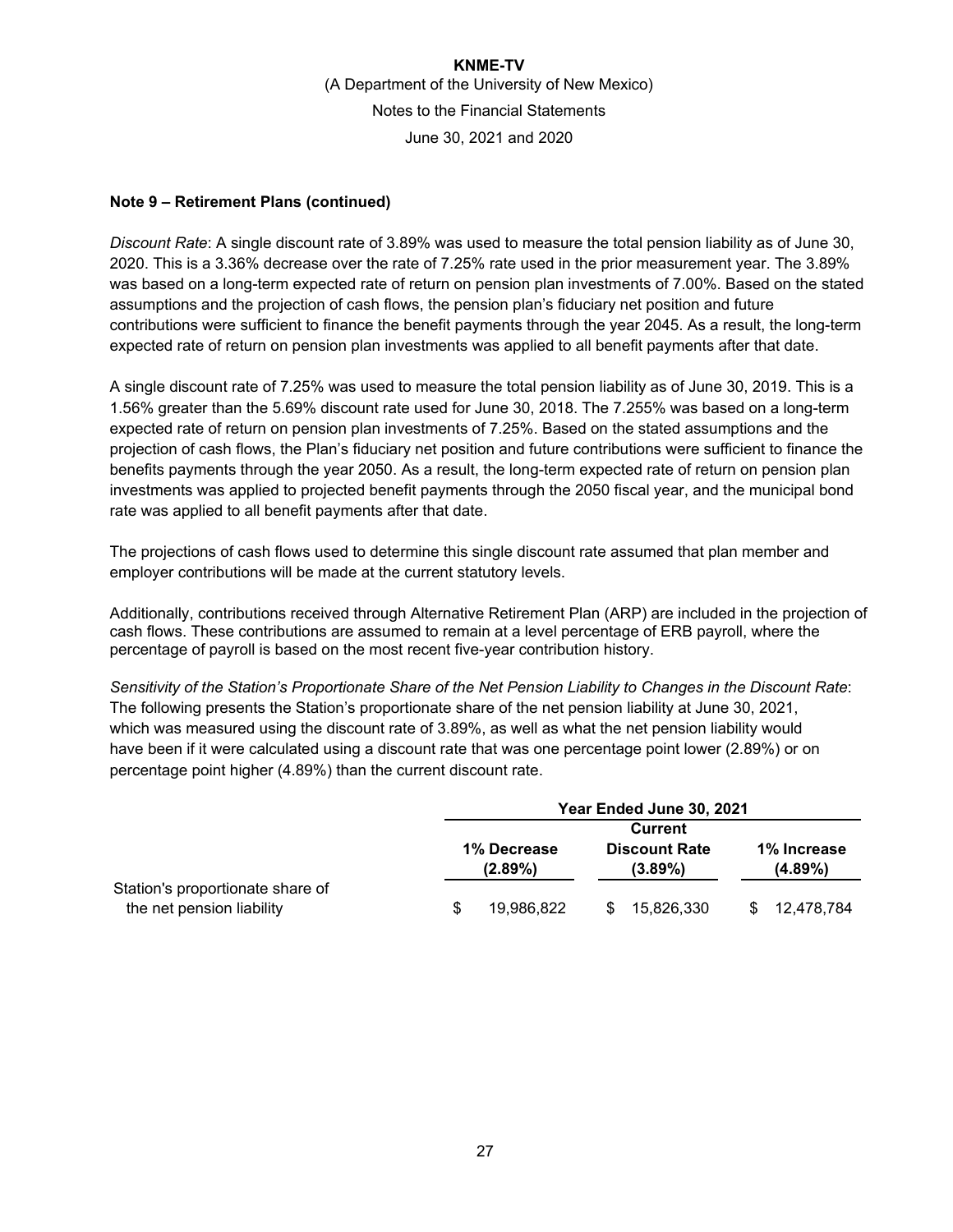### **Note 9 – Retirement Plans (continued)**

*Discount Rate*: A single discount rate of 3.89% was used to measure the total pension liability as of June 30, 2020. This is a 3.36% decrease over the rate of 7.25% rate used in the prior measurement year. The 3.89% was based on a long-term expected rate of return on pension plan investments of 7.00%. Based on the stated assumptions and the projection of cash flows, the pension plan's fiduciary net position and future contributions were sufficient to finance the benefit payments through the year 2045. As a result, the long-term expected rate of return on pension plan investments was applied to all benefit payments after that date.

A single discount rate of 7.25% was used to measure the total pension liability as of June 30, 2019. This is a 1.56% greater than the 5.69% discount rate used for June 30, 2018. The 7.255% was based on a long-term expected rate of return on pension plan investments of 7.25%. Based on the stated assumptions and the projection of cash flows, the Plan's fiduciary net position and future contributions were sufficient to finance the benefits payments through the year 2050. As a result, the long-term expected rate of return on pension plan investments was applied to projected benefit payments through the 2050 fiscal year, and the municipal bond rate was applied to all benefit payments after that date.

The projections of cash flows used to determine this single discount rate assumed that plan member and employer contributions will be made at the current statutory levels.

Additionally, contributions received through Alternative Retirement Plan (ARP) are included in the projection of cash flows. These contributions are assumed to remain at a level percentage of ERB payroll, where the percentage of payroll is based on the most recent five-year contribution history.

*Sensitivity of the Station's Proportionate Share of the Net Pension Liability to Changes in the Discount Rate*: The following presents the Station's proportionate share of the net pension liability at June 30, 2021, which was measured using the discount rate of 3.89%, as well as what the net pension liability would have been if it were calculated using a discount rate that was one percentage point lower (2.89%) or on percentage point higher (4.89%) than the current discount rate.

|                                                               |   | Year Ended June 30, 2021  |    |                                    |     |                           |
|---------------------------------------------------------------|---|---------------------------|----|------------------------------------|-----|---------------------------|
|                                                               |   | Current                   |    |                                    |     |                           |
|                                                               |   | 1% Decrease<br>$(2.89\%)$ |    | <b>Discount Rate</b><br>$(3.89\%)$ |     | 1% Increase<br>$(4.89\%)$ |
| Station's proportionate share of<br>the net pension liability | S | 19,986,822                | \$ | 15.826.330                         | \$. | 12,478,784                |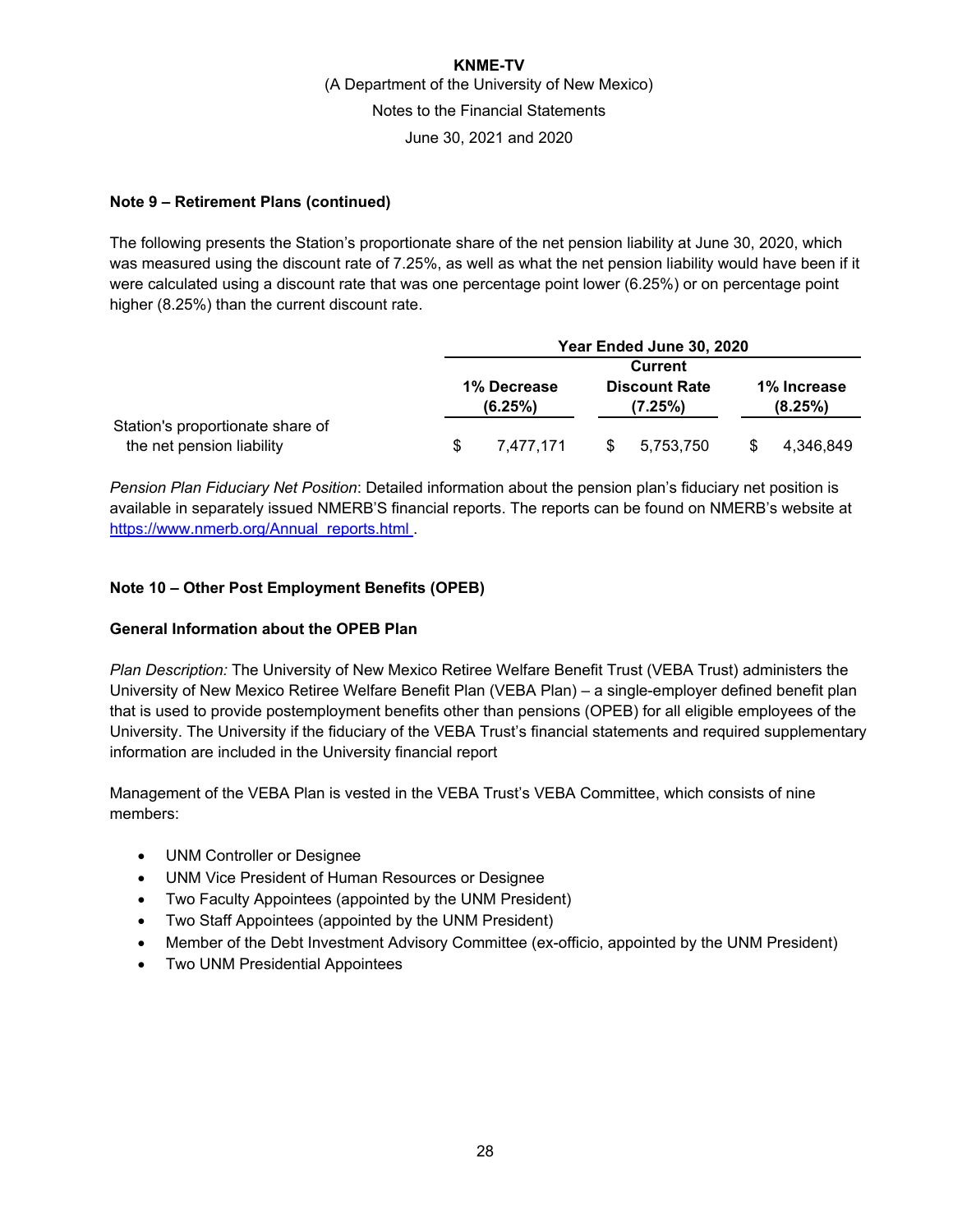### **Note 9 – Retirement Plans (continued)**

The following presents the Station's proportionate share of the net pension liability at June 30, 2020, which was measured using the discount rate of 7.25%, as well as what the net pension liability would have been if it were calculated using a discount rate that was one percentage point lower (6.25%) or on percentage point higher (8.25%) than the current discount rate.

|                                                               |     | Year Ended June 30, 2020 |     |                                 |  |                        |
|---------------------------------------------------------------|-----|--------------------------|-----|---------------------------------|--|------------------------|
|                                                               |     | <b>Current</b>           |     |                                 |  |                        |
|                                                               |     | 1% Decrease<br>(6.25%)   |     | <b>Discount Rate</b><br>(7.25%) |  | 1% Increase<br>(8.25%) |
| Station's proportionate share of<br>the net pension liability | \$. | 7.477.171                | \$. | 5,753,750                       |  | 4,346,849              |

*Pension Plan Fiduciary Net Position*: Detailed information about the pension plan's fiduciary net position is available in separately issued NMERB'S financial reports. The reports can be found on NMERB's website at https://www.nmerb.org/Annual\_reports.html .

### **Note 10 – Other Post Employment Benefits (OPEB)**

#### **General Information about the OPEB Plan**

*Plan Description:* The University of New Mexico Retiree Welfare Benefit Trust (VEBA Trust) administers the University of New Mexico Retiree Welfare Benefit Plan (VEBA Plan) – a single-employer defined benefit plan that is used to provide postemployment benefits other than pensions (OPEB) for all eligible employees of the University. The University if the fiduciary of the VEBA Trust's financial statements and required supplementary information are included in the University financial report

Management of the VEBA Plan is vested in the VEBA Trust's VEBA Committee, which consists of nine members:

- UNM Controller or Designee
- UNM Vice President of Human Resources or Designee
- Two Faculty Appointees (appointed by the UNM President)
- Two Staff Appointees (appointed by the UNM President)
- Member of the Debt Investment Advisory Committee (ex-officio, appointed by the UNM President)
- Two UNM Presidential Appointees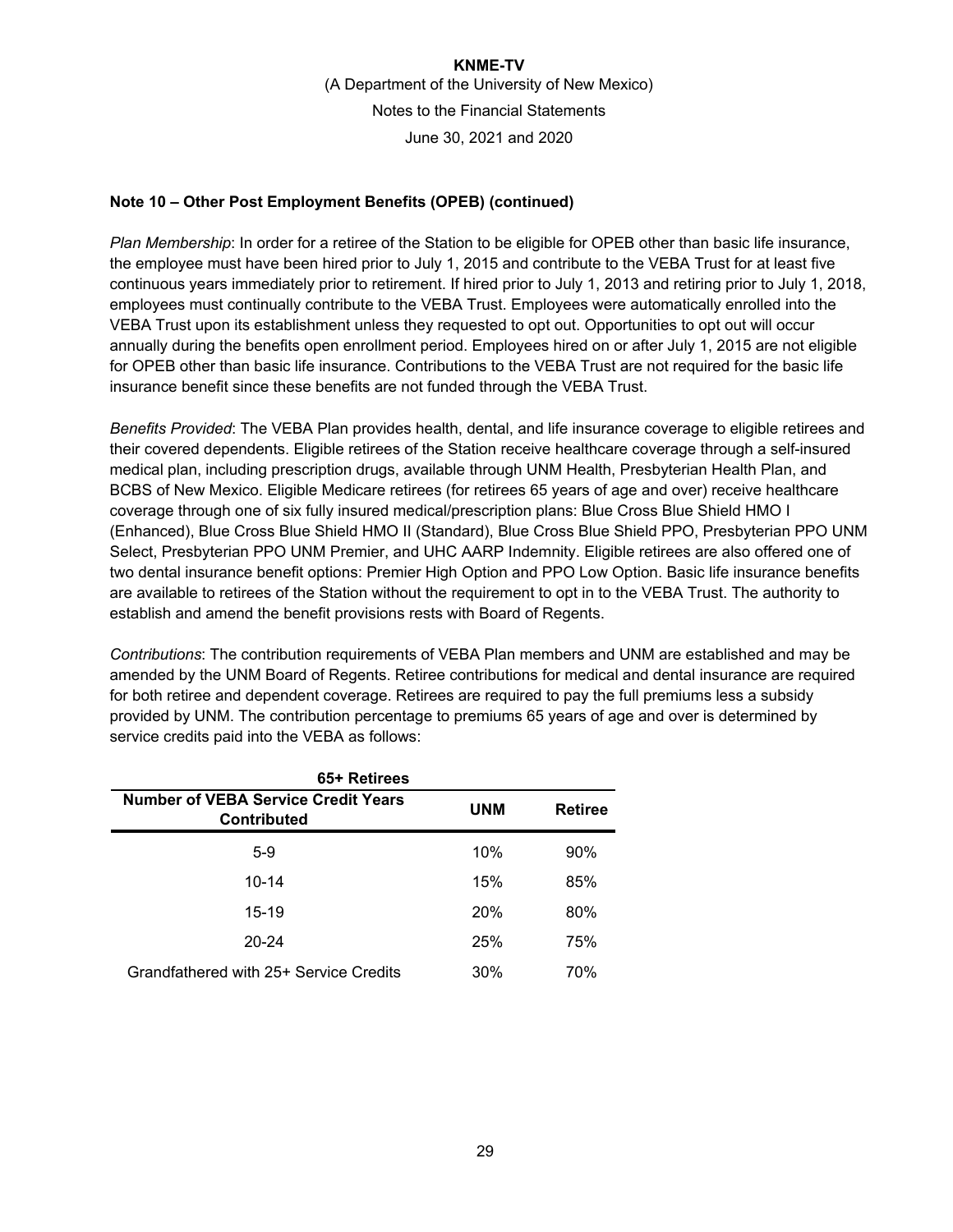### **Note 10 – Other Post Employment Benefits (OPEB) (continued)**

*Plan Membership*: In order for a retiree of the Station to be eligible for OPEB other than basic life insurance, the employee must have been hired prior to July 1, 2015 and contribute to the VEBA Trust for at least five continuous years immediately prior to retirement. If hired prior to July 1, 2013 and retiring prior to July 1, 2018, employees must continually contribute to the VEBA Trust. Employees were automatically enrolled into the VEBA Trust upon its establishment unless they requested to opt out. Opportunities to opt out will occur annually during the benefits open enrollment period. Employees hired on or after July 1, 2015 are not eligible for OPEB other than basic life insurance. Contributions to the VEBA Trust are not required for the basic life insurance benefit since these benefits are not funded through the VEBA Trust.

*Benefits Provided*: The VEBA Plan provides health, dental, and life insurance coverage to eligible retirees and their covered dependents. Eligible retirees of the Station receive healthcare coverage through a self-insured medical plan, including prescription drugs, available through UNM Health, Presbyterian Health Plan, and BCBS of New Mexico. Eligible Medicare retirees (for retirees 65 years of age and over) receive healthcare coverage through one of six fully insured medical/prescription plans: Blue Cross Blue Shield HMO I (Enhanced), Blue Cross Blue Shield HMO II (Standard), Blue Cross Blue Shield PPO, Presbyterian PPO UNM Select, Presbyterian PPO UNM Premier, and UHC AARP Indemnity. Eligible retirees are also offered one of two dental insurance benefit options: Premier High Option and PPO Low Option. Basic life insurance benefits are available to retirees of the Station without the requirement to opt in to the VEBA Trust. The authority to establish and amend the benefit provisions rests with Board of Regents.

*Contributions*: The contribution requirements of VEBA Plan members and UNM are established and may be amended by the UNM Board of Regents. Retiree contributions for medical and dental insurance are required for both retiree and dependent coverage. Retirees are required to pay the full premiums less a subsidy provided by UNM. The contribution percentage to premiums 65 years of age and over is determined by service credits paid into the VEBA as follows:

| 65+ Retirees                                                                                     |     |     |  |  |
|--------------------------------------------------------------------------------------------------|-----|-----|--|--|
| <b>Number of VEBA Service Credit Years</b><br><b>UNM</b><br><b>Retiree</b><br><b>Contributed</b> |     |     |  |  |
| $5-9$                                                                                            | 10% | 90% |  |  |
| 10-14                                                                                            | 15% | 85% |  |  |
| 15-19                                                                                            | 20% | 80% |  |  |
| 20-24                                                                                            | 25% | 75% |  |  |
| Grandfathered with 25+ Service Credits                                                           | 30% | 70% |  |  |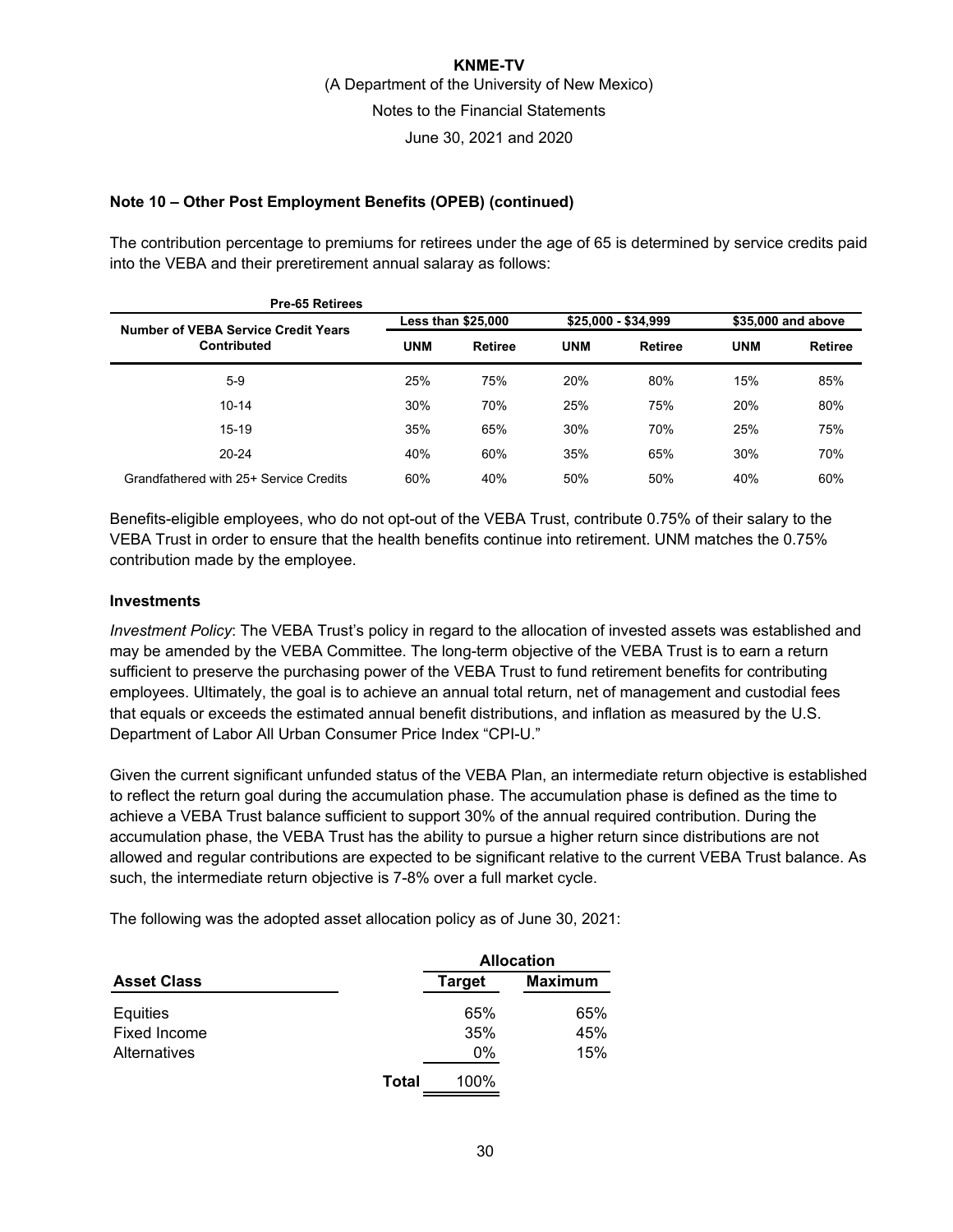### **Note 10 – Other Post Employment Benefits (OPEB) (continued)**

The contribution percentage to premiums for retirees under the age of 65 is determined by service credits paid into the VEBA and their preretirement annual salaray as follows:

| Pre-65 Retirees                            |            |                           |            |                     |            |                    |  |
|--------------------------------------------|------------|---------------------------|------------|---------------------|------------|--------------------|--|
| <b>Number of VEBA Service Credit Years</b> |            | <b>Less than \$25,000</b> |            | \$25,000 - \$34,999 |            | \$35,000 and above |  |
| <b>Contributed</b>                         | <b>UNM</b> | Retiree                   | <b>UNM</b> | Retiree             | <b>UNM</b> | <b>Retiree</b>     |  |
| $5 - 9$                                    | 25%        | 75%                       | 20%        | 80%                 | 15%        | 85%                |  |
| $10 - 14$                                  | 30%        | 70%                       | 25%        | 75%                 | 20%        | 80%                |  |
| $15 - 19$                                  | 35%        | 65%                       | 30%        | 70%                 | 25%        | 75%                |  |
| $20 - 24$                                  | 40%        | 60%                       | 35%        | 65%                 | 30%        | 70%                |  |
| Grandfathered with 25+ Service Credits     | 60%        | 40%                       | 50%        | 50%                 | 40%        | 60%                |  |

Benefits-eligible employees, who do not opt-out of the VEBA Trust, contribute 0.75% of their salary to the VEBA Trust in order to ensure that the health benefits continue into retirement. UNM matches the 0.75% contribution made by the employee.

#### **Investments**

*Investment Policy*: The VEBA Trust's policy in regard to the allocation of invested assets was established and may be amended by the VEBA Committee. The long-term objective of the VEBA Trust is to earn a return sufficient to preserve the purchasing power of the VEBA Trust to fund retirement benefits for contributing employees. Ultimately, the goal is to achieve an annual total return, net of management and custodial fees that equals or exceeds the estimated annual benefit distributions, and inflation as measured by the U.S. Department of Labor All Urban Consumer Price Index "CPI-U."

Given the current significant unfunded status of the VEBA Plan, an intermediate return objective is established to reflect the return goal during the accumulation phase. The accumulation phase is defined as the time to achieve a VEBA Trust balance sufficient to support 30% of the annual required contribution. During the accumulation phase, the VEBA Trust has the ability to pursue a higher return since distributions are not allowed and regular contributions are expected to be significant relative to the current VEBA Trust balance. As such, the intermediate return objective is 7-8% over a full market cycle.

The following was the adopted asset allocation policy as of June 30, 2021:

|                    |       | <b>Allocation</b>               |     |  |
|--------------------|-------|---------------------------------|-----|--|
| <b>Asset Class</b> |       | <b>Maximum</b><br><b>Target</b> |     |  |
| Equities           |       | 65%                             | 65% |  |
| Fixed Income       |       | 35%                             | 45% |  |
| Alternatives       |       | 0%                              | 15% |  |
|                    | Total | 100%                            |     |  |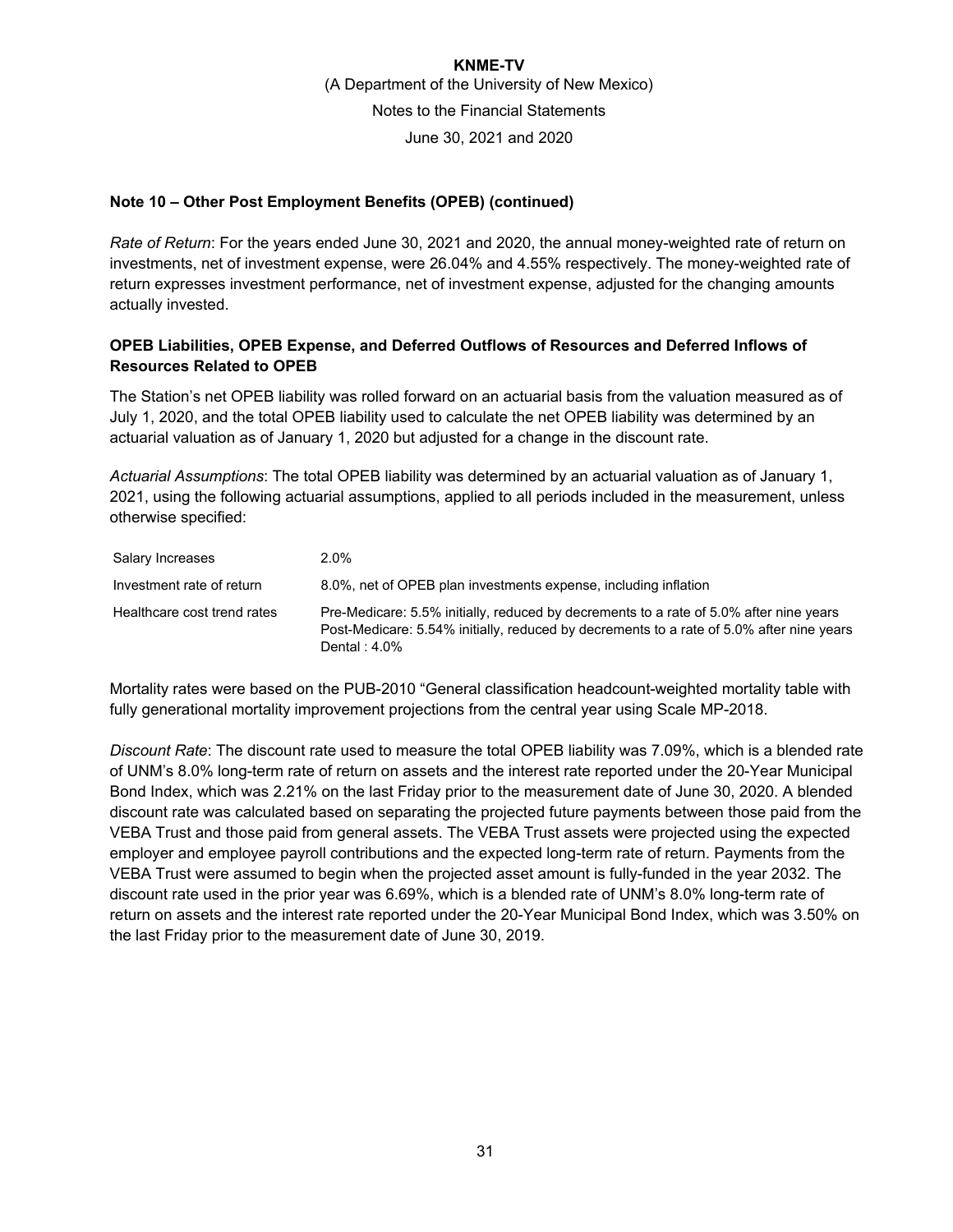### **Note 10 – Other Post Employment Benefits (OPEB) (continued)**

*Rate of Return*: For the years ended June 30, 2021 and 2020, the annual money-weighted rate of return on investments, net of investment expense, were 26.04% and 4.55% respectively. The money-weighted rate of return expresses investment performance, net of investment expense, adjusted for the changing amounts actually invested.

### **OPEB Liabilities, OPEB Expense, and Deferred Outflows of Resources and Deferred Inflows of Resources Related to OPEB**

The Station's net OPEB liability was rolled forward on an actuarial basis from the valuation measured as of July 1, 2020, and the total OPEB liability used to calculate the net OPEB liability was determined by an actuarial valuation as of January 1, 2020 but adjusted for a change in the discount rate.

*Actuarial Assumptions*: The total OPEB liability was determined by an actuarial valuation as of January 1, 2021, using the following actuarial assumptions, applied to all periods included in the measurement, unless otherwise specified:

| Salary Increases            | $2.0\%$                                                                                                                                                                                                |
|-----------------------------|--------------------------------------------------------------------------------------------------------------------------------------------------------------------------------------------------------|
| Investment rate of return   | 8.0%, net of OPEB plan investments expense, including inflation                                                                                                                                        |
| Healthcare cost trend rates | Pre-Medicare: 5.5% initially, reduced by decrements to a rate of 5.0% after nine years<br>Post-Medicare: 5.54% initially, reduced by decrements to a rate of 5.0% after nine years<br>Dental : $4.0\%$ |

Mortality rates were based on the PUB-2010 "General classification headcount-weighted mortality table with fully generational mortality improvement projections from the central year using Scale MP-2018.

*Discount Rate*: The discount rate used to measure the total OPEB liability was 7.09%, which is a blended rate of UNM's 8.0% long-term rate of return on assets and the interest rate reported under the 20-Year Municipal Bond Index, which was 2.21% on the last Friday prior to the measurement date of June 30, 2020. A blended discount rate was calculated based on separating the projected future payments between those paid from the VEBA Trust and those paid from general assets. The VEBA Trust assets were projected using the expected employer and employee payroll contributions and the expected long-term rate of return. Payments from the VEBA Trust were assumed to begin when the projected asset amount is fully-funded in the year 2032. The discount rate used in the prior year was 6.69%, which is a blended rate of UNM's 8.0% long-term rate of return on assets and the interest rate reported under the 20-Year Municipal Bond Index, which was 3.50% on the last Friday prior to the measurement date of June 30, 2019.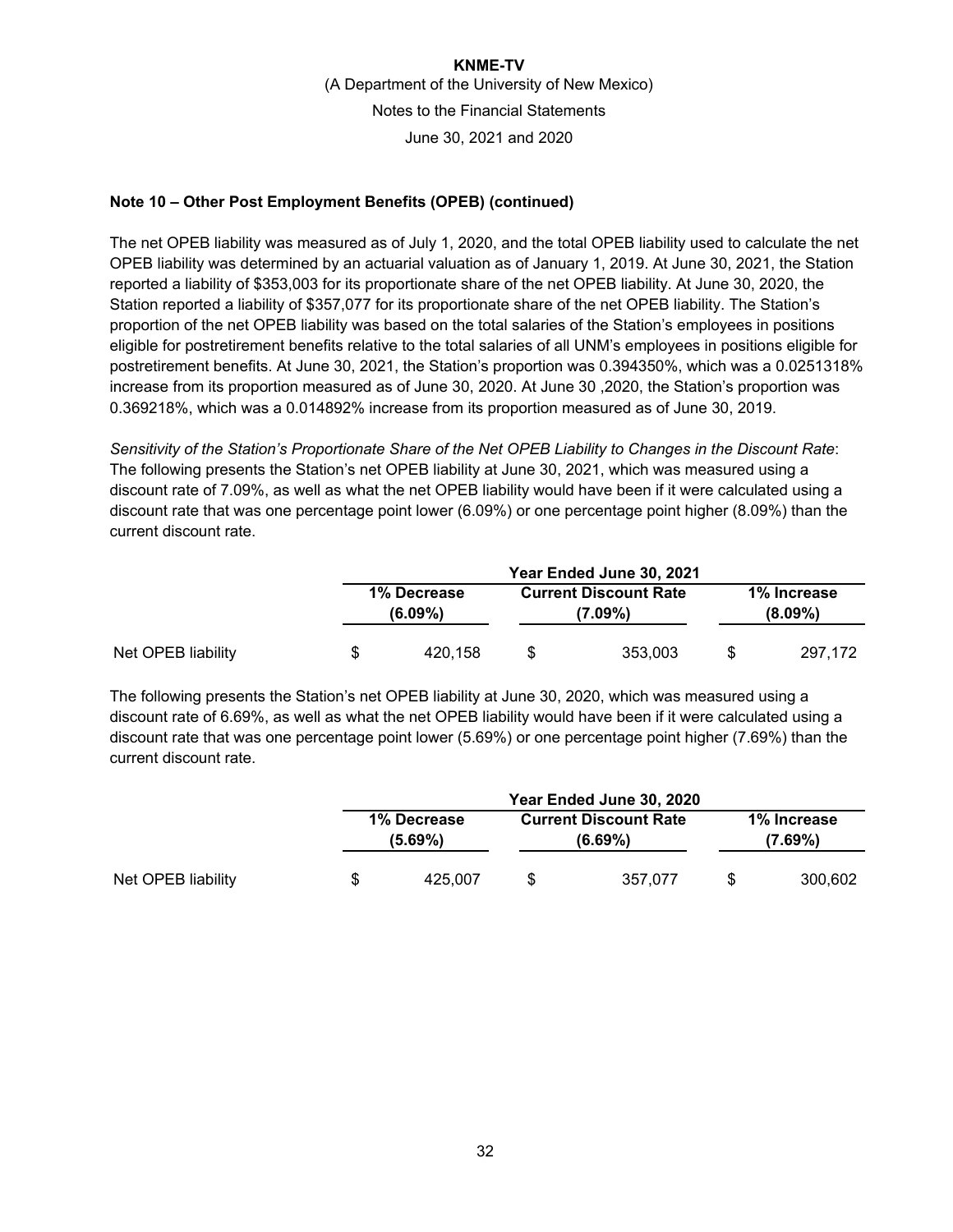### **Note 10 – Other Post Employment Benefits (OPEB) (continued)**

The net OPEB liability was measured as of July 1, 2020, and the total OPEB liability used to calculate the net OPEB liability was determined by an actuarial valuation as of January 1, 2019. At June 30, 2021, the Station reported a liability of \$353,003 for its proportionate share of the net OPEB liability. At June 30, 2020, the Station reported a liability of \$357,077 for its proportionate share of the net OPEB liability. The Station's proportion of the net OPEB liability was based on the total salaries of the Station's employees in positions eligible for postretirement benefits relative to the total salaries of all UNM's employees in positions eligible for postretirement benefits. At June 30, 2021, the Station's proportion was 0.394350%, which was a 0.0251318% increase from its proportion measured as of June 30, 2020. At June 30 ,2020, the Station's proportion was 0.369218%, which was a 0.014892% increase from its proportion measured as of June 30, 2019.

*Sensitivity of the Station's Proportionate Share of the Net OPEB Liability to Changes in the Discount Rate*: The following presents the Station's net OPEB liability at June 30, 2021, which was measured using a discount rate of 7.09%, as well as what the net OPEB liability would have been if it were calculated using a discount rate that was one percentage point lower (6.09%) or one percentage point higher (8.09%) than the current discount rate.

|                    | Year Ended June 30, 2021  |    |                                         |                           |         |  |  |  |  |
|--------------------|---------------------------|----|-----------------------------------------|---------------------------|---------|--|--|--|--|
|                    | 1% Decrease<br>$(6.09\%)$ |    | <b>Current Discount Rate</b><br>(7.09%) | 1% Increase<br>$(8.09\%)$ |         |  |  |  |  |
| Net OPEB liability | \$<br>420.158             | \$ | 353,003                                 | S                         | 297.172 |  |  |  |  |

The following presents the Station's net OPEB liability at June 30, 2020, which was measured using a discount rate of 6.69%, as well as what the net OPEB liability would have been if it were calculated using a discount rate that was one percentage point lower (5.69%) or one percentage point higher (7.69%) than the current discount rate.

|                    | Year Ended June 30, 2020  |    |                                            |                           |         |  |  |  |
|--------------------|---------------------------|----|--------------------------------------------|---------------------------|---------|--|--|--|
|                    | 1% Decrease<br>$(5.69\%)$ |    | <b>Current Discount Rate</b><br>$(6.69\%)$ | 1% Increase<br>$(7.69\%)$ |         |  |  |  |
| Net OPEB liability | \$<br>425.007             | \$ | 357.077                                    | \$.                       | 300.602 |  |  |  |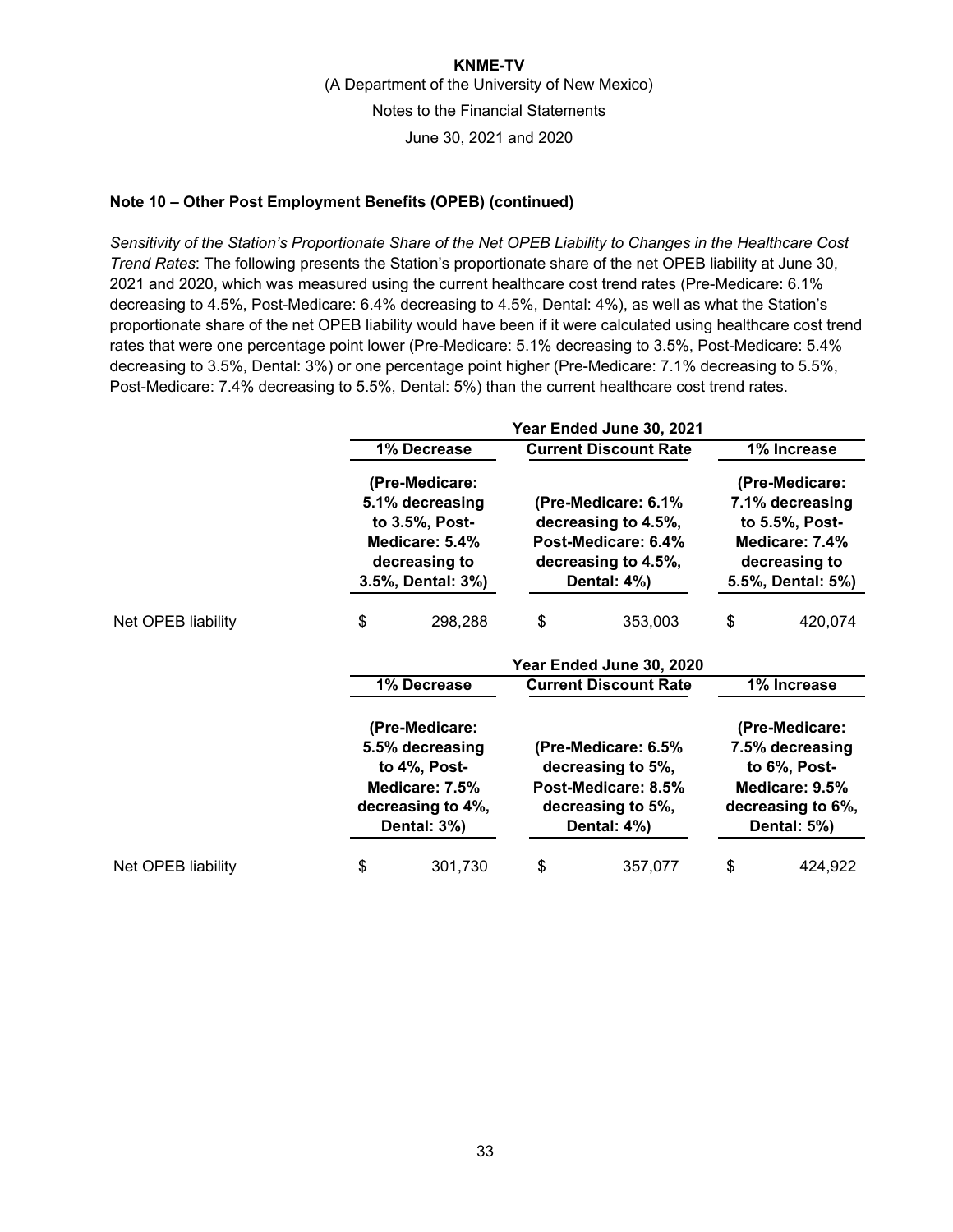### **Note 10 – Other Post Employment Benefits (OPEB) (continued)**

*Sensitivity of the Station's Proportionate Share of the Net OPEB Liability to Changes in the Healthcare Cost Trend Rates*: The following presents the Station's proportionate share of the net OPEB liability at June 30, 2021 and 2020, which was measured using the current healthcare cost trend rates (Pre-Medicare: 6.1% decreasing to 4.5%, Post-Medicare: 6.4% decreasing to 4.5%, Dental: 4%), as well as what the Station's proportionate share of the net OPEB liability would have been if it were calculated using healthcare cost trend rates that were one percentage point lower (Pre-Medicare: 5.1% decreasing to 3.5%, Post-Medicare: 5.4% decreasing to 3.5%, Dental: 3%) or one percentage point higher (Pre-Medicare: 7.1% decreasing to 5.5%, Post-Medicare: 7.4% decreasing to 5.5%, Dental: 5%) than the current healthcare cost trend rates.

|                    |                                                                                                         |                                                                                                             | Year Ended June 30, 2021                                                                                |                                                                                                             |         |  |  |
|--------------------|---------------------------------------------------------------------------------------------------------|-------------------------------------------------------------------------------------------------------------|---------------------------------------------------------------------------------------------------------|-------------------------------------------------------------------------------------------------------------|---------|--|--|
|                    |                                                                                                         | 1% Decrease                                                                                                 | <b>Current Discount Rate</b>                                                                            | 1% Increase                                                                                                 |         |  |  |
|                    |                                                                                                         | (Pre-Medicare:<br>5.1% decreasing<br>to 3.5%, Post-<br>Medicare: 5.4%<br>decreasing to<br>3.5%, Dental: 3%) | (Pre-Medicare: 6.1%<br>decreasing to 4.5%,<br>Post-Medicare: 6.4%<br>decreasing to 4.5%,<br>Dental: 4%) | (Pre-Medicare:<br>7.1% decreasing<br>to 5.5%, Post-<br>Medicare: 7.4%<br>decreasing to<br>5.5%, Dental: 5%) |         |  |  |
| Net OPEB liability | \$                                                                                                      | 298,288                                                                                                     | \$<br>353,003                                                                                           | \$                                                                                                          | 420,074 |  |  |
|                    |                                                                                                         |                                                                                                             | Year Ended June 30, 2020                                                                                |                                                                                                             |         |  |  |
|                    |                                                                                                         | 1% Decrease                                                                                                 | <b>Current Discount Rate</b>                                                                            | 1% Increase                                                                                                 |         |  |  |
|                    | (Pre-Medicare:<br>5.5% decreasing<br>to 4%, Post-<br>Medicare: 7.5%<br>decreasing to 4%,<br>Dental: 3%) |                                                                                                             | (Pre-Medicare: 6.5%<br>decreasing to 5%,<br>Post-Medicare: 8.5%<br>decreasing to 5%,<br>Dental: 4%)     | (Pre-Medicare:<br>7.5% decreasing<br>to 6%, Post-<br>Medicare: 9.5%<br>decreasing to 6%,<br>Dental: 5%)     |         |  |  |
| Net OPEB liability | \$                                                                                                      | 301,730                                                                                                     | \$<br>357,077                                                                                           | \$                                                                                                          | 424,922 |  |  |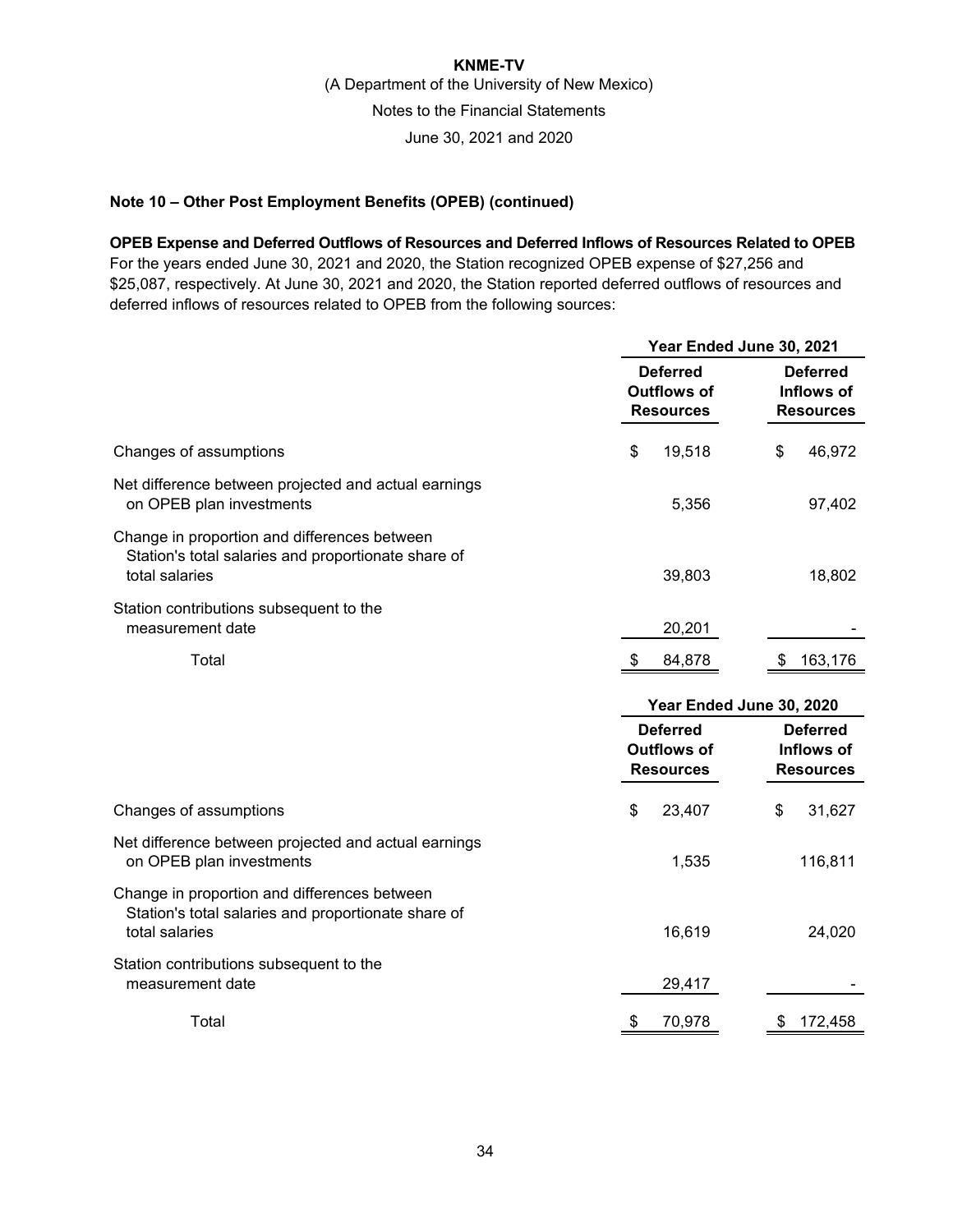### **Note 10 – Other Post Employment Benefits (OPEB) (continued)**

**OPEB Expense and Deferred Outflows of Resources and Deferred Inflows of Resources Related to OPEB**  For the years ended June 30, 2021 and 2020, the Station recognized OPEB expense of \$27,256 and \$25,087, respectively. At June 30, 2021 and 2020, the Station reported deferred outflows of resources and deferred inflows of resources related to OPEB from the following sources:

|                                                                                                                       |                                                           | Year Ended June 30, 2021                          |  |  |  |  |
|-----------------------------------------------------------------------------------------------------------------------|-----------------------------------------------------------|---------------------------------------------------|--|--|--|--|
|                                                                                                                       | <b>Deferred</b><br><b>Outflows of</b>                     | <b>Deferred</b><br><b>Inflows of</b>              |  |  |  |  |
|                                                                                                                       | <b>Resources</b>                                          | <b>Resources</b>                                  |  |  |  |  |
| Changes of assumptions                                                                                                | \$<br>19,518                                              | \$<br>46,972                                      |  |  |  |  |
| Net difference between projected and actual earnings<br>on OPEB plan investments                                      | 5,356                                                     | 97,402                                            |  |  |  |  |
| Change in proportion and differences between<br>Station's total salaries and proportionate share of<br>total salaries | 39,803                                                    | 18,802                                            |  |  |  |  |
| Station contributions subsequent to the<br>measurement date                                                           | 20,201                                                    |                                                   |  |  |  |  |
| Total                                                                                                                 | 84,878<br>S                                               | 163,176<br>S                                      |  |  |  |  |
|                                                                                                                       |                                                           |                                                   |  |  |  |  |
|                                                                                                                       |                                                           | Year Ended June 30, 2020                          |  |  |  |  |
|                                                                                                                       | <b>Deferred</b><br><b>Outflows of</b><br><b>Resources</b> | <b>Deferred</b><br>Inflows of<br><b>Resources</b> |  |  |  |  |
| Changes of assumptions                                                                                                | \$<br>23,407                                              | \$<br>31,627                                      |  |  |  |  |
| Net difference between projected and actual earnings<br>on OPEB plan investments                                      | 1,535                                                     | 116,811                                           |  |  |  |  |
| Change in proportion and differences between<br>Station's total salaries and proportionate share of<br>total salaries | 16,619                                                    | 24,020                                            |  |  |  |  |
| Station contributions subsequent to the<br>measurement date                                                           | 29,417                                                    |                                                   |  |  |  |  |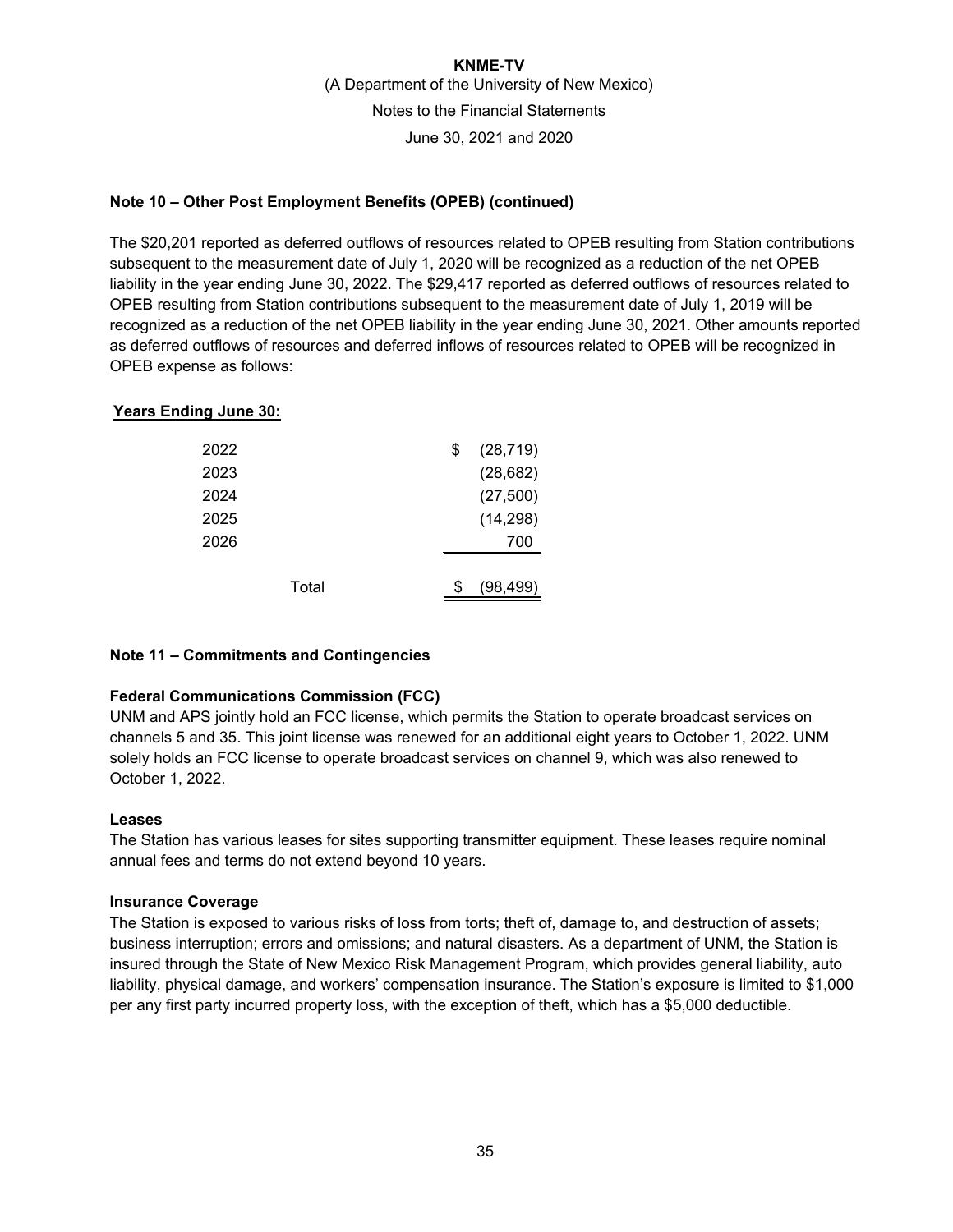### **Note 10 – Other Post Employment Benefits (OPEB) (continued)**

The \$20,201 reported as deferred outflows of resources related to OPEB resulting from Station contributions subsequent to the measurement date of July 1, 2020 will be recognized as a reduction of the net OPEB liability in the year ending June 30, 2022. The \$29,417 reported as deferred outflows of resources related to OPEB resulting from Station contributions subsequent to the measurement date of July 1, 2019 will be recognized as a reduction of the net OPEB liability in the year ending June 30, 2021. Other amounts reported as deferred outflows of resources and deferred inflows of resources related to OPEB will be recognized in OPEB expense as follows:

### **Years Ending June 30:**

| 2022  | \$<br>(28, 719) |
|-------|-----------------|
| 2023  | (28, 682)       |
| 2024  | (27, 500)       |
| 2025  | (14, 298)       |
| 2026  | 700             |
|       |                 |
| Total | (98, 499)       |

### **Note 11 – Commitments and Contingencies**

### **Federal Communications Commission (FCC)**

UNM and APS jointly hold an FCC license, which permits the Station to operate broadcast services on channels 5 and 35. This joint license was renewed for an additional eight years to October 1, 2022. UNM solely holds an FCC license to operate broadcast services on channel 9, which was also renewed to October 1, 2022.

### **Leases**

The Station has various leases for sites supporting transmitter equipment. These leases require nominal annual fees and terms do not extend beyond 10 years.

### **Insurance Coverage**

The Station is exposed to various risks of loss from torts; theft of, damage to, and destruction of assets; business interruption; errors and omissions; and natural disasters. As a department of UNM, the Station is insured through the State of New Mexico Risk Management Program, which provides general liability, auto liability, physical damage, and workers' compensation insurance. The Station's exposure is limited to \$1,000 per any first party incurred property loss, with the exception of theft, which has a \$5,000 deductible.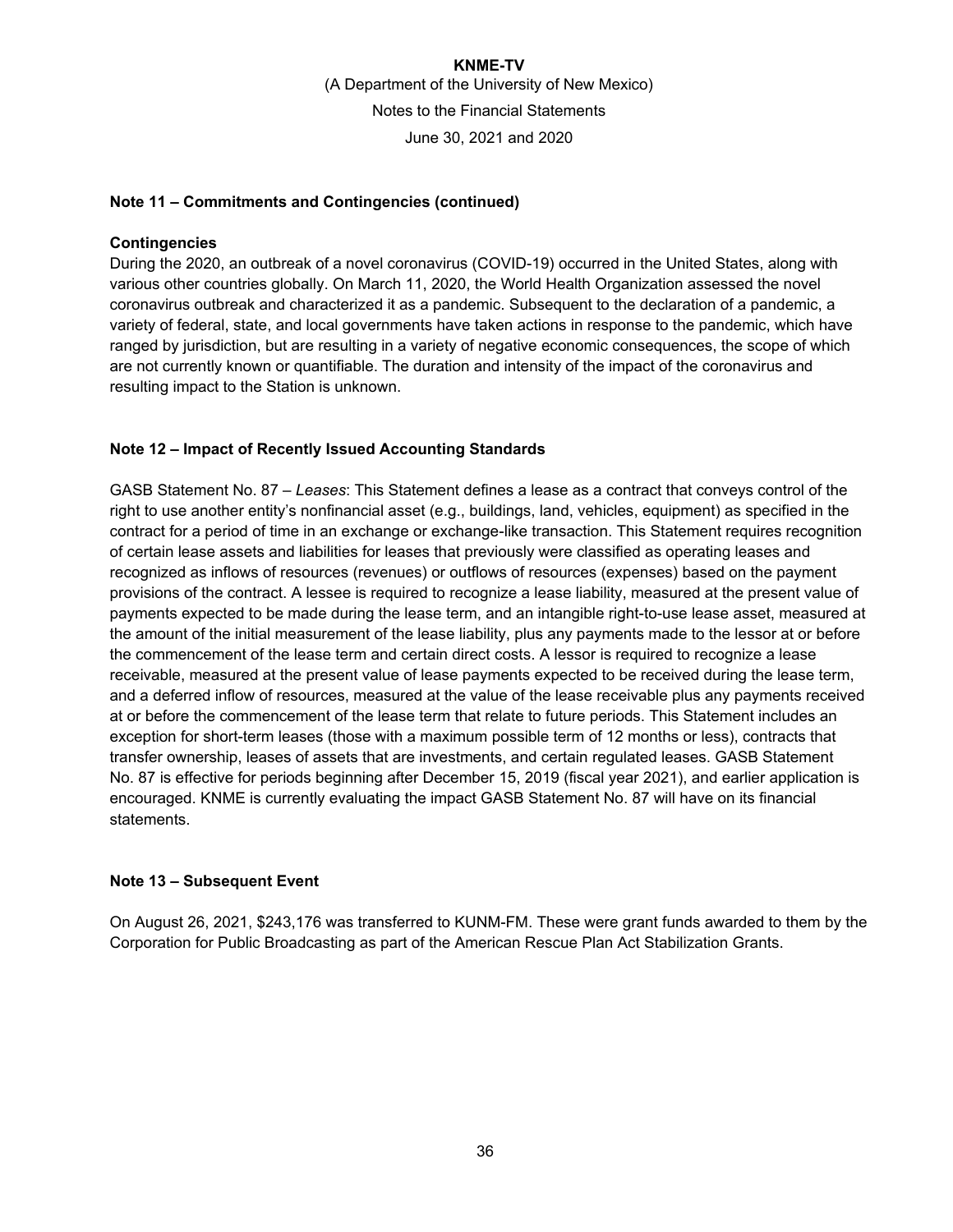### **Note 11 – Commitments and Contingencies (continued)**

### **Contingencies**

During the 2020, an outbreak of a novel coronavirus (COVID-19) occurred in the United States, along with various other countries globally. On March 11, 2020, the World Health Organization assessed the novel coronavirus outbreak and characterized it as a pandemic. Subsequent to the declaration of a pandemic, a variety of federal, state, and local governments have taken actions in response to the pandemic, which have ranged by jurisdiction, but are resulting in a variety of negative economic consequences, the scope of which are not currently known or quantifiable. The duration and intensity of the impact of the coronavirus and resulting impact to the Station is unknown.

### **Note 12 – Impact of Recently Issued Accounting Standards**

GASB Statement No. 87 – *Leases*: This Statement defines a lease as a contract that conveys control of the right to use another entity's nonfinancial asset (e.g., buildings, land, vehicles, equipment) as specified in the contract for a period of time in an exchange or exchange-like transaction. This Statement requires recognition of certain lease assets and liabilities for leases that previously were classified as operating leases and recognized as inflows of resources (revenues) or outflows of resources (expenses) based on the payment provisions of the contract. A lessee is required to recognize a lease liability, measured at the present value of payments expected to be made during the lease term, and an intangible right-to-use lease asset, measured at the amount of the initial measurement of the lease liability, plus any payments made to the lessor at or before the commencement of the lease term and certain direct costs. A lessor is required to recognize a lease receivable, measured at the present value of lease payments expected to be received during the lease term, and a deferred inflow of resources, measured at the value of the lease receivable plus any payments received at or before the commencement of the lease term that relate to future periods. This Statement includes an exception for short-term leases (those with a maximum possible term of 12 months or less), contracts that transfer ownership, leases of assets that are investments, and certain regulated leases. GASB Statement No. 87 is effective for periods beginning after December 15, 2019 (fiscal year 2021), and earlier application is encouraged. KNME is currently evaluating the impact GASB Statement No. 87 will have on its financial statements.

#### **Note 13 – Subsequent Event**

On August 26, 2021, \$243,176 was transferred to KUNM-FM. These were grant funds awarded to them by the Corporation for Public Broadcasting as part of the American Rescue Plan Act Stabilization Grants.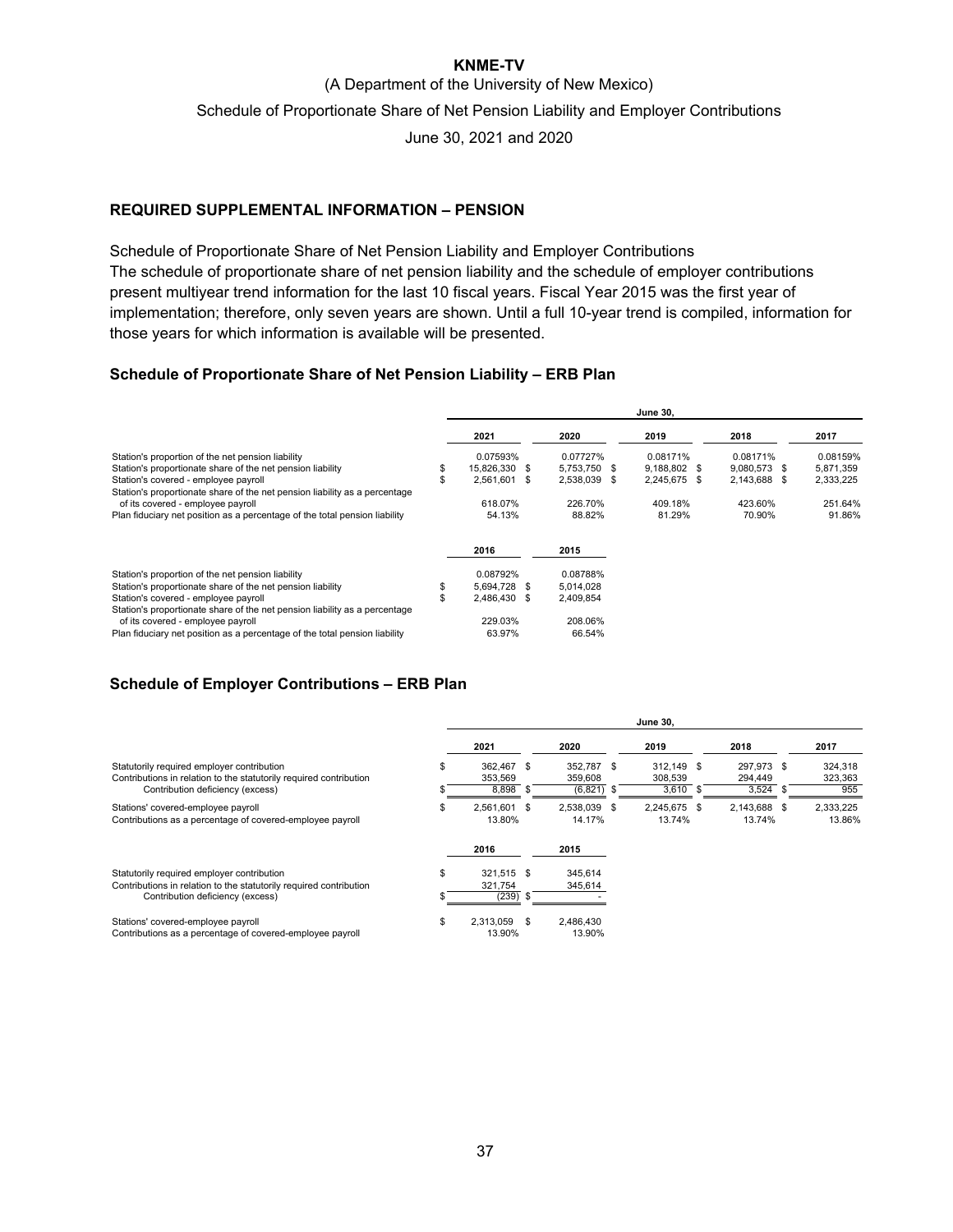### **KNME-TV**

(A Department of the University of New Mexico)

Schedule of Proportionate Share of Net Pension Liability and Employer Contributions

June 30, 2021 and 2020

### **REQUIRED SUPPLEMENTAL INFORMATION – PENSION**

Schedule of Proportionate Share of Net Pension Liability and Employer Contributions The schedule of proportionate share of net pension liability and the schedule of employer contributions present multiyear trend information for the last 10 fiscal years. Fiscal Year 2015 was the first year of implementation; therefore, only seven years are shown. Until a full 10-year trend is compiled, information for those years for which information is available will be presented.

#### **Schedule of Proportionate Share of Net Pension Liability – ERB Plan**

|                                                                            | <b>June 30,</b>     |      |              |              |  |              |           |
|----------------------------------------------------------------------------|---------------------|------|--------------|--------------|--|--------------|-----------|
|                                                                            | 2021                |      | 2020         | 2019         |  | 2018         | 2017      |
| Station's proportion of the net pension liability                          | 0.07593%            |      | 0.07727%     | 0.08171%     |  | 0.08171%     | 0.08159%  |
| Station's proportionate share of the net pension liability                 | \$<br>15,826,330 \$ |      | 5,753,750 \$ | 9,188,802 \$ |  | 9,080,573 \$ | 5,871,359 |
| Station's covered - employee payroll                                       | \$<br>2,561,601     | - \$ | 2,538,039 \$ | 2,245,675 \$ |  | 2,143,688 \$ | 2,333,225 |
| Station's proportionate share of the net pension liability as a percentage |                     |      |              |              |  |              |           |
| of its covered - employee payroll                                          | 618.07%             |      | 226.70%      | 409.18%      |  | 423.60%      | 251.64%   |
| Plan fiduciary net position as a percentage of the total pension liability | 54.13%              |      | 88.82%       | 81.29%       |  | 70.90%       | 91.86%    |
|                                                                            | 2016                |      | 2015         |              |  |              |           |
| Station's proportion of the net pension liability                          | 0.08792%            |      | 0.08788%     |              |  |              |           |
| Station's proportionate share of the net pension liability                 | \$<br>5.694.728 \$  |      | 5,014,028    |              |  |              |           |
| Station's covered - employee payroll                                       | 2,486,430 \$        |      | 2,409,854    |              |  |              |           |
| Station's proportionate share of the net pension liability as a percentage |                     |      |              |              |  |              |           |
| of its covered - employee payroll                                          | 229.03%             |      | 208.06%      |              |  |              |           |
| Plan fiduciary net position as a percentage of the total pension liability | 63.97%              |      | 66.54%       |              |  |              |           |

### **Schedule of Employer Contributions – ERB Plan**

|                                                                                                                                                      |    | <b>June 30,</b>                |      |                                           |  |                                     |  |                                |                           |
|------------------------------------------------------------------------------------------------------------------------------------------------------|----|--------------------------------|------|-------------------------------------------|--|-------------------------------------|--|--------------------------------|---------------------------|
|                                                                                                                                                      |    | 2021                           |      | 2020                                      |  | 2019                                |  | 2018                           | 2017                      |
| Statutorily required employer contribution<br>Contributions in relation to the statutorily required contribution<br>Contribution deficiency (excess) |    | 362.467 \$<br>353.569<br>8,898 | Яб.  | 352.787 \$<br>359,608<br>(6, 821)<br>- 35 |  | 312.149 \$<br>308,539<br>$3,610$ \$ |  | 297.973 \$<br>294.449<br>3,524 | 324,318<br>323,363<br>955 |
| Stations' covered-employee payroll<br>Contributions as a percentage of covered-employee payroll                                                      |    | 2,561,601<br>13.80%            | - \$ | 2,538,039 \$<br>14.17%                    |  | 2,245,675 \$<br>13.74%              |  | 2,143,688 \$<br>13.74%         | 2,333,225<br>13.86%       |
|                                                                                                                                                      |    | 2016                           |      | 2015                                      |  |                                     |  |                                |                           |
| Statutorily required employer contribution<br>Contributions in relation to the statutorily required contribution<br>Contribution deficiency (excess) |    | 321,515 \$<br>321,754<br>(239) | - 96 | 345,614<br>345,614                        |  |                                     |  |                                |                           |
| Stations' covered-employee payroll<br>Contributions as a percentage of covered-employee payroll                                                      | £. | 2.313.059<br>13.90%            | - \$ | 2,486,430<br>13.90%                       |  |                                     |  |                                |                           |